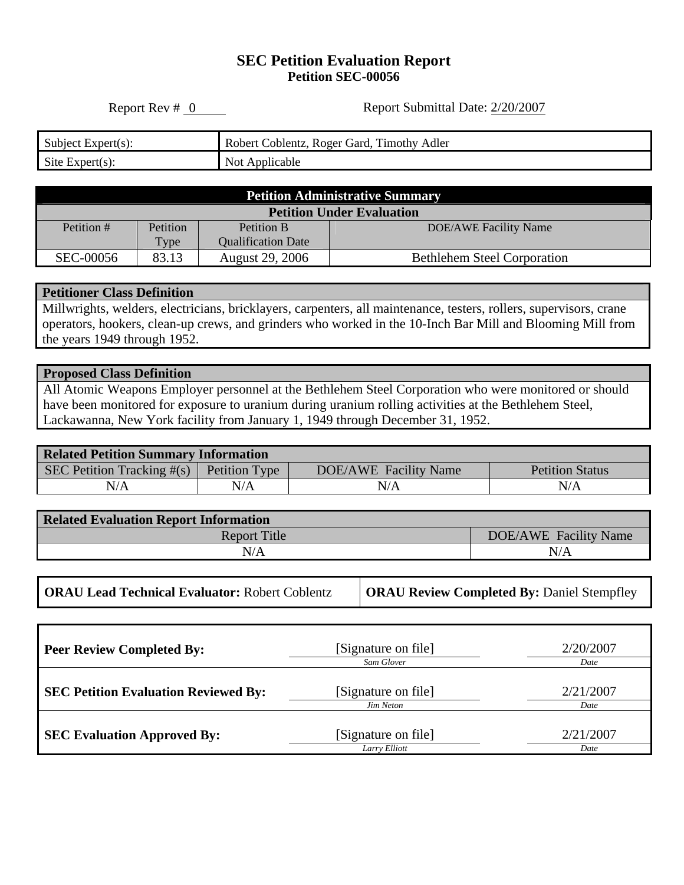## **SEC Petition Evaluation Report Petition SEC-00056**

Report Rev # 0 Report Submittal Date:  $\frac{2}{2002007}$ 

| Subject Expert $(s)$ : | Robert Coblentz, Roger Gard, Timothy Adler |
|------------------------|--------------------------------------------|
| Site Expert $(s)$ :    | Not Applicable                             |

| <b>Petition Administrative Summary</b>                                             |  |  |                              |  |
|------------------------------------------------------------------------------------|--|--|------------------------------|--|
| <b>Petition Under Evaluation</b>                                                   |  |  |                              |  |
| Petition #<br>Petition<br>Petition B                                               |  |  | <b>DOE/AWE Facility Name</b> |  |
| <b>Qualification Date</b><br>Type                                                  |  |  |                              |  |
| <b>SEC-00056</b><br>83.13<br>August 29, 2006<br><b>Bethlehem Steel Corporation</b> |  |  |                              |  |

#### **Petitioner Class Definition**

Millwrights, welders, electricians, bricklayers, carpenters, all maintenance, testers, rollers, supervisors, crane operators, hookers, clean-up crews, and grinders who worked in the 10-Inch Bar Mill and Blooming Mill from the years 1949 through 1952.

#### **Proposed Class Definition**

All Atomic Weapons Employer personnel at the Bethlehem Steel Corporation who were monitored or should have been monitored for exposure to uranium during uranium rolling activities at the Bethlehem Steel, Lackawanna, New York facility from January 1, 1949 through December 31, 1952.

| <b>Related Petition Summary Information</b> |     |                       |                        |  |  |
|---------------------------------------------|-----|-----------------------|------------------------|--|--|
| SEC Petition Tracking $\#(s)$ Petition Type |     | DOE/AWE Facility Name | <b>Petition Status</b> |  |  |
| N/A                                         | N/A | N/A                   | N/A                    |  |  |

| <b>Related Evaluation Report Information</b> |                       |  |  |
|----------------------------------------------|-----------------------|--|--|
| <b>Report Title</b>                          | DOE/AWE Facility Name |  |  |
| N/A                                          | N/A                   |  |  |

**ORAU Lead Technical Evaluator:** Robert Coblentz | **ORAU Review Completed By:** Daniel Stempfley

| <b>Peer Review Completed By:</b>            | [Signature on file]<br>Sam Glover       | 2/20/2007<br>Date |
|---------------------------------------------|-----------------------------------------|-------------------|
| <b>SEC Petition Evaluation Reviewed By:</b> | [Signature on file]<br><b>Jim Neton</b> | 2/21/2007<br>Date |
| <b>SEC Evaluation Approved By:</b>          | [Signature on file]<br>Larry Elliott    | 2/21/2007<br>Date |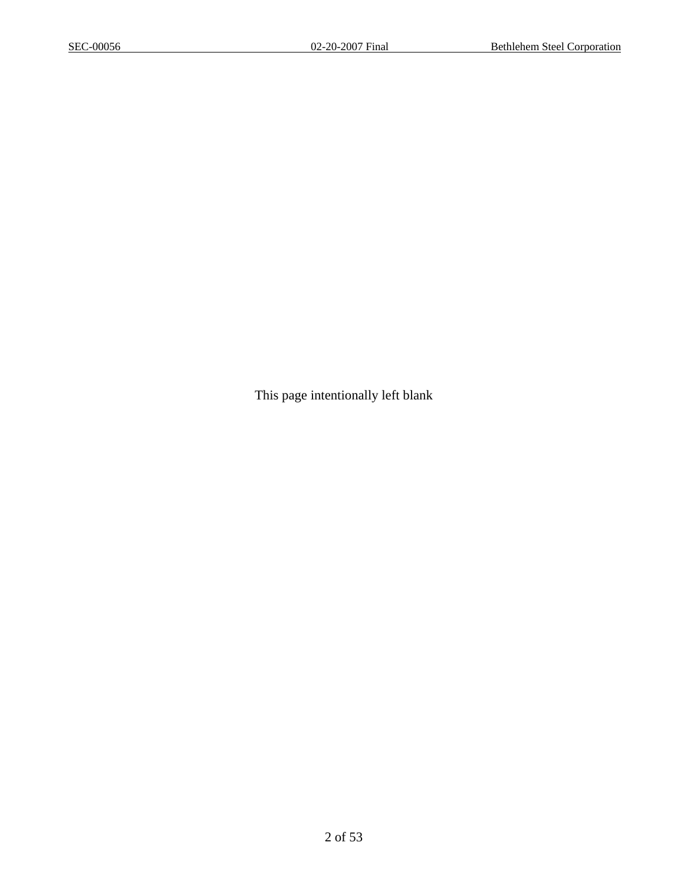This page intentionally left blank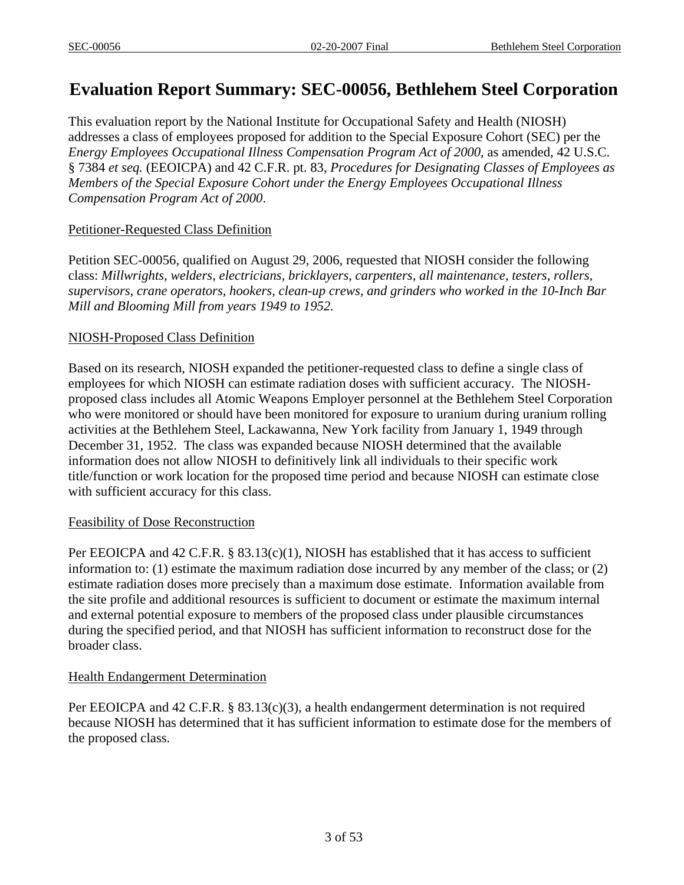# **Evaluation Report Summary: SEC-00056, Bethlehem Steel Corporation**

This evaluation report by the National Institute for Occupational Safety and Health (NIOSH) addresses a class of employees proposed for addition to the Special Exposure Cohort (SEC) per the *Energy Employees Occupational Illness Compensation Program Act of 2000*, as amended, 42 U.S.C. § 7384 *et seq.* (EEOICPA) and 42 C.F.R. pt. 83, *Procedures for Designating Classes of Employees as Members of the Special Exposure Cohort under the Energy Employees Occupational Illness Compensation Program Act of 2000*.

#### Petitioner-Requested Class Definition

Petition SEC-00056, qualified on August 29, 2006, requested that NIOSH consider the following class: *Millwrights, welders, electricians, bricklayers, carpenters, all maintenance, testers, rollers, supervisors, crane operators, hookers, clean-up crews, and grinders who worked in the 10-Inch Bar Mill and Blooming Mill from years 1949 to 1952.* 

#### NIOSH-Proposed Class Definition

Based on its research, NIOSH expanded the petitioner-requested class to define a single class of employees for which NIOSH can estimate radiation doses with sufficient accuracy. The NIOSHproposed class includes all Atomic Weapons Employer personnel at the Bethlehem Steel Corporation who were monitored or should have been monitored for exposure to uranium during uranium rolling activities at the Bethlehem Steel, Lackawanna, New York facility from January 1, 1949 through December 31, 1952. The class was expanded because NIOSH determined that the available information does not allow NIOSH to definitively link all individuals to their specific work title/function or work location for the proposed time period and because NIOSH can estimate close with sufficient accuracy for this class.

#### Feasibility of Dose Reconstruction

Per EEOICPA and 42 C.F.R. § 83.13(c)(1), NIOSH has established that it has access to sufficient information to: (1) estimate the maximum radiation dose incurred by any member of the class; or (2) estimate radiation doses more precisely than a maximum dose estimate. Information available from the site profile and additional resources is sufficient to document or estimate the maximum internal and external potential exposure to members of the proposed class under plausible circumstances during the specified period, and that NIOSH has sufficient information to reconstruct dose for the broader class.

#### Health Endangerment Determination

Per EEOICPA and 42 C.F.R. § 83.13(c)(3), a health endangerment determination is not required because NIOSH has determined that it has sufficient information to estimate dose for the members of the proposed class.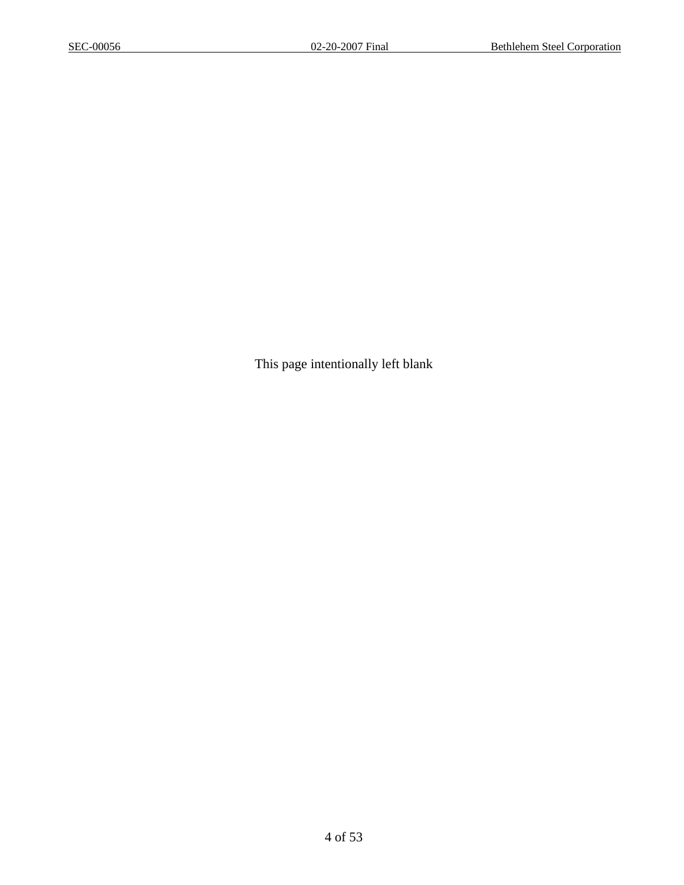This page intentionally left blank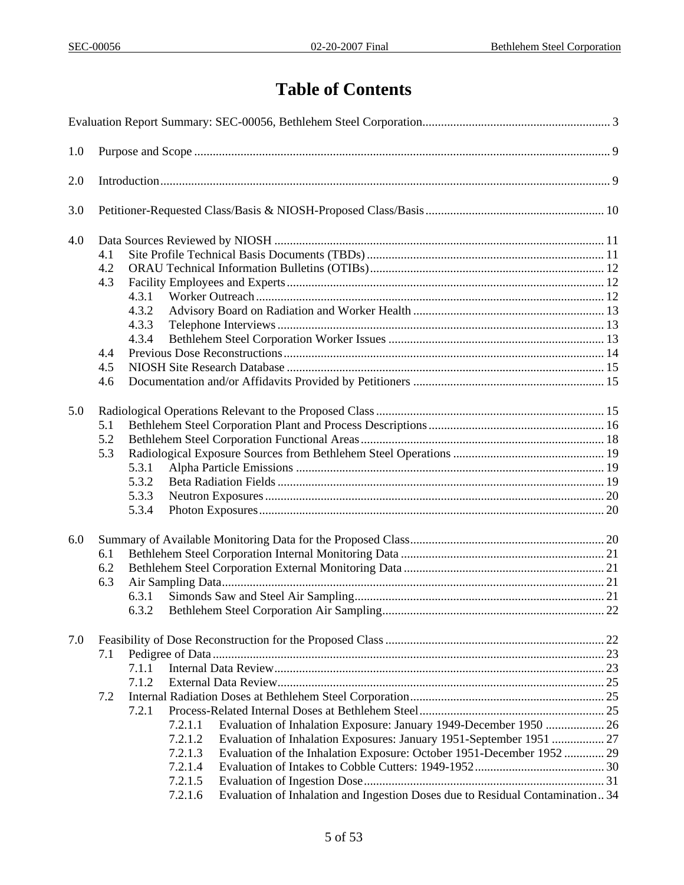# **Table of Contents**

| 1.0 |                                                                            |                                                                                                                                                                                                                                                                                                                                                                     |  |
|-----|----------------------------------------------------------------------------|---------------------------------------------------------------------------------------------------------------------------------------------------------------------------------------------------------------------------------------------------------------------------------------------------------------------------------------------------------------------|--|
| 2.0 |                                                                            |                                                                                                                                                                                                                                                                                                                                                                     |  |
| 3.0 |                                                                            |                                                                                                                                                                                                                                                                                                                                                                     |  |
| 4.0 | 4.1<br>4.2<br>4.3<br>4.3.1<br>4.3.2<br>4.3.3<br>4.3.4<br>4.4<br>4.5<br>4.6 |                                                                                                                                                                                                                                                                                                                                                                     |  |
| 5.0 | 5.1<br>5.2<br>5.3<br>5.3.1<br>5.3.2<br>5.3.3<br>5.3.4                      |                                                                                                                                                                                                                                                                                                                                                                     |  |
| 6.0 | 6.1<br>6.2<br>6.3<br>6.3.1                                                 |                                                                                                                                                                                                                                                                                                                                                                     |  |
| 7.0 | 7.1<br>7.1.1<br>7.1.2<br>7.2<br>7.2.1                                      | Evaluation of Inhalation Exposure: January 1949-December 1950  26<br>7.2.1.1<br>7.2.1.2<br>Evaluation of Inhalation Exposures: January 1951-September 1951  27<br>7.2.1.3<br>Evaluation of the Inhalation Exposure: October 1951-December 1952 29<br>7.2.1.4<br>7.2.1.5<br>Evaluation of Inhalation and Ingestion Doses due to Residual Contamination 34<br>7.2.1.6 |  |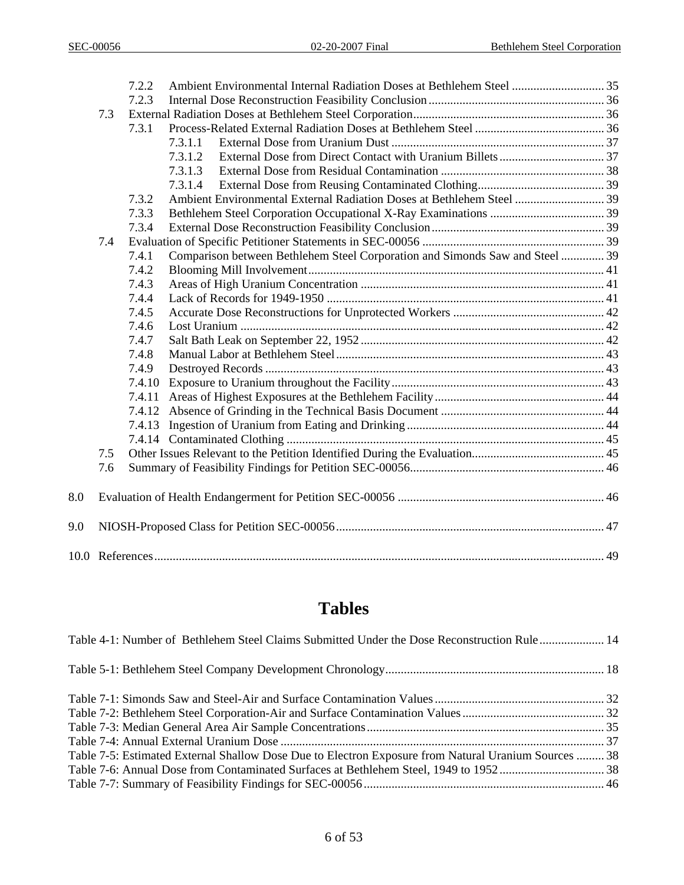|     |     | 7.2.2  | Ambient Environmental Internal Radiation Doses at Bethlehem Steel  35        |  |  |
|-----|-----|--------|------------------------------------------------------------------------------|--|--|
|     |     | 7.2.3  |                                                                              |  |  |
|     | 7.3 |        |                                                                              |  |  |
|     |     | 7.3.1  |                                                                              |  |  |
|     |     |        | 7.3.1.1                                                                      |  |  |
|     |     |        | 7.3.1.2                                                                      |  |  |
|     |     |        | 7.3.1.3                                                                      |  |  |
|     |     |        | 7.3.1.4                                                                      |  |  |
|     |     | 7.3.2  | Ambient Environmental External Radiation Doses at Bethlehem Steel  39        |  |  |
|     |     | 7.3.3  |                                                                              |  |  |
|     |     | 7.3.4  |                                                                              |  |  |
|     | 7.4 |        |                                                                              |  |  |
|     |     | 7.4.1  | Comparison between Bethlehem Steel Corporation and Simonds Saw and Steel  39 |  |  |
|     |     | 7.4.2  |                                                                              |  |  |
|     |     | 7.4.3  |                                                                              |  |  |
|     |     | 7.4.4  |                                                                              |  |  |
|     |     | 7.4.5  |                                                                              |  |  |
|     |     | 7.4.6  |                                                                              |  |  |
|     |     | 7.4.7  |                                                                              |  |  |
|     |     | 7.4.8  |                                                                              |  |  |
|     |     | 7.4.9  |                                                                              |  |  |
|     |     | 7.4.10 |                                                                              |  |  |
|     |     | 7.4.11 |                                                                              |  |  |
|     |     | 7.4.12 |                                                                              |  |  |
|     |     |        |                                                                              |  |  |
|     |     |        |                                                                              |  |  |
|     | 7.5 |        |                                                                              |  |  |
|     | 7.6 |        |                                                                              |  |  |
| 8.0 |     |        |                                                                              |  |  |
| 9.0 |     |        |                                                                              |  |  |
|     |     |        |                                                                              |  |  |

# **Tables**

| Table 4-1: Number of Bethlehem Steel Claims Submitted Under the Dose Reconstruction Rule 14          |  |
|------------------------------------------------------------------------------------------------------|--|
|                                                                                                      |  |
|                                                                                                      |  |
|                                                                                                      |  |
|                                                                                                      |  |
|                                                                                                      |  |
| Table 7-5: Estimated External Shallow Dose Due to Electron Exposure from Natural Uranium Sources  38 |  |
|                                                                                                      |  |
|                                                                                                      |  |
|                                                                                                      |  |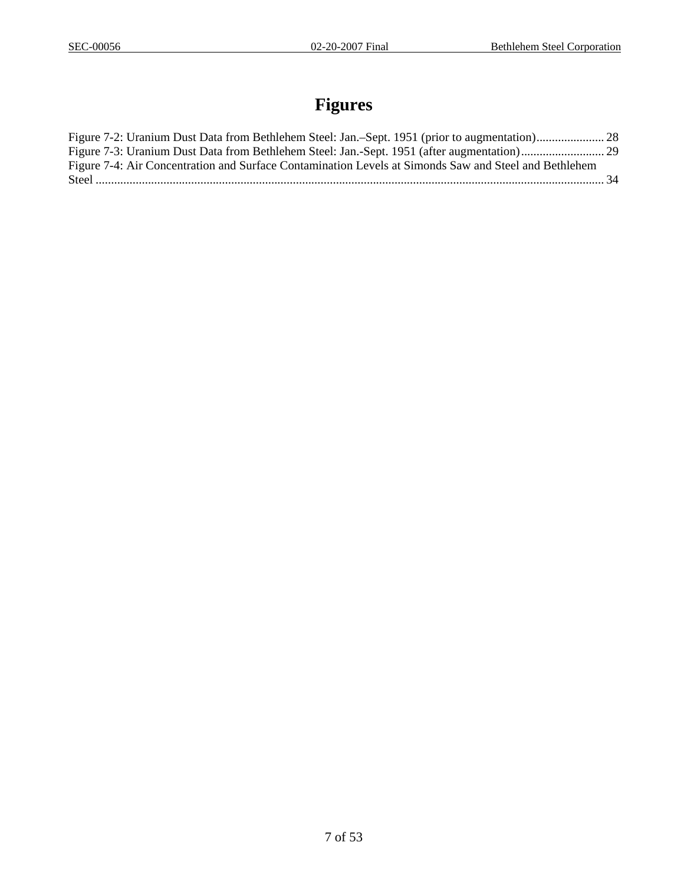# **Figures**

| Figure 7-4: Air Concentration and Surface Contamination Levels at Simonds Saw and Steel and Bethlehem |  |
|-------------------------------------------------------------------------------------------------------|--|
|                                                                                                       |  |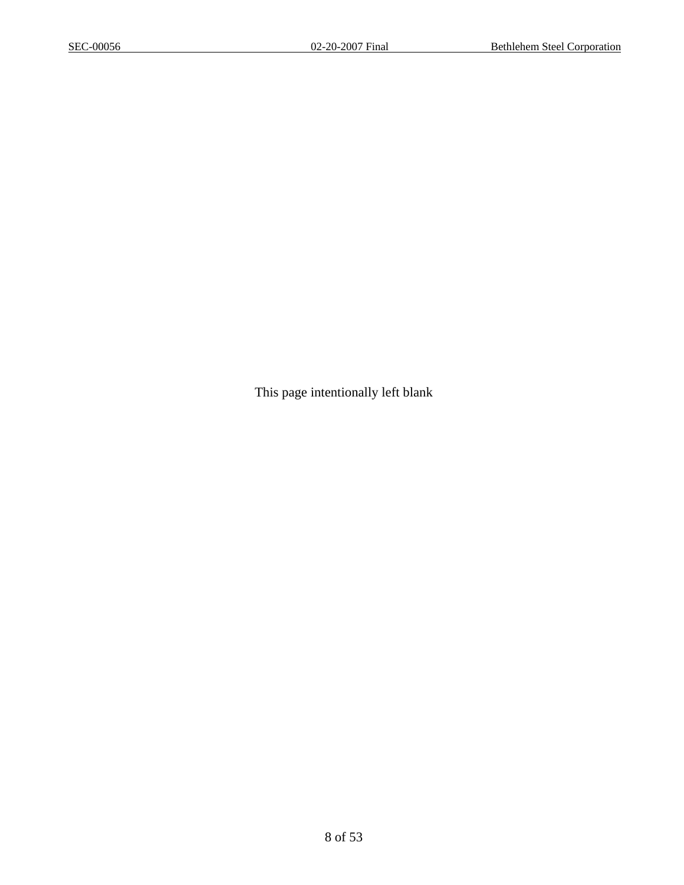This page intentionally left blank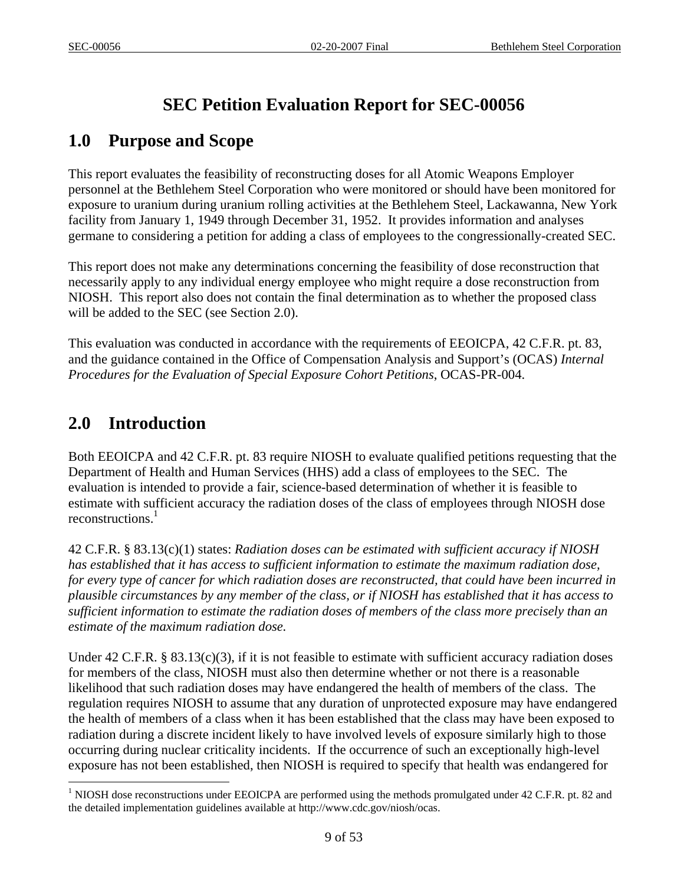# **SEC Petition Evaluation Report for SEC-00056**

# **1.0 Purpose and Scope**

This report evaluates the feasibility of reconstructing doses for all Atomic Weapons Employer personnel at the Bethlehem Steel Corporation who were monitored or should have been monitored for exposure to uranium during uranium rolling activities at the Bethlehem Steel, Lackawanna, New York facility from January 1, 1949 through December 31, 1952. It provides information and analyses germane to considering a petition for adding a class of employees to the congressionally-created SEC.

This report does not make any determinations concerning the feasibility of dose reconstruction that necessarily apply to any individual energy employee who might require a dose reconstruction from NIOSH. This report also does not contain the final determination as to whether the proposed class will be added to the SEC (see Section 2.0).

This evaluation was conducted in accordance with the requirements of EEOICPA, 42 C.F.R. pt. 83, and the guidance contained in the Office of Compensation Analysis and Support's (OCAS) *Internal Procedures for the Evaluation of Special Exposure Cohort Petitions*, OCAS-PR-004.

# **2.0 Introduction**

 $\overline{a}$ 

Both EEOICPA and 42 C.F.R. pt. 83 require NIOSH to evaluate qualified petitions requesting that the Department of Health and Human Services (HHS) add a class of employees to the SEC. The evaluation is intended to provide a fair, science-based determination of whether it is feasible to estimate with sufficient accuracy the radiation doses of the class of employees through NIOSH dose reconstructions.<sup>1</sup>

42 C.F.R. § 83.13(c)(1) states: *Radiation doses can be estimated with sufficient accuracy if NIOSH has established that it has access to sufficient information to estimate the maximum radiation dose, for every type of cancer for which radiation doses are reconstructed, that could have been incurred in plausible circumstances by any member of the class, or if NIOSH has established that it has access to sufficient information to estimate the radiation doses of members of the class more precisely than an estimate of the maximum radiation dose.*

Under 42 C.F.R.  $\S$  83.13(c)(3), if it is not feasible to estimate with sufficient accuracy radiation doses for members of the class, NIOSH must also then determine whether or not there is a reasonable likelihood that such radiation doses may have endangered the health of members of the class. The regulation requires NIOSH to assume that any duration of unprotected exposure may have endangered the health of members of a class when it has been established that the class may have been exposed to radiation during a discrete incident likely to have involved levels of exposure similarly high to those occurring during nuclear criticality incidents. If the occurrence of such an exceptionally high-level exposure has not been established, then NIOSH is required to specify that health was endangered for

<sup>&</sup>lt;sup>1</sup> NIOSH dose reconstructions under EEOICPA are performed using the methods promulgated under 42 C.F.R. pt. 82 and the detailed implementation guidelines available at http://www.cdc.gov/niosh/ocas.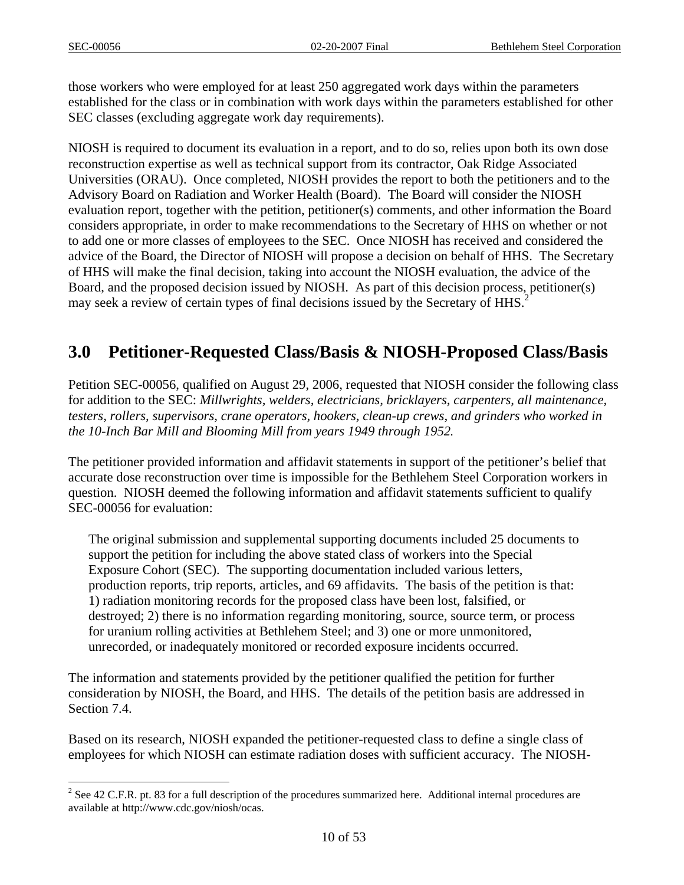$\overline{a}$ 

those workers who were employed for at least 250 aggregated work days within the parameters established for the class or in combination with work days within the parameters established for other SEC classes (excluding aggregate work day requirements).

NIOSH is required to document its evaluation in a report, and to do so, relies upon both its own dose reconstruction expertise as well as technical support from its contractor, Oak Ridge Associated Universities (ORAU). Once completed, NIOSH provides the report to both the petitioners and to the Advisory Board on Radiation and Worker Health (Board). The Board will consider the NIOSH evaluation report, together with the petition, petitioner(s) comments, and other information the Board considers appropriate, in order to make recommendations to the Secretary of HHS on whether or not to add one or more classes of employees to the SEC. Once NIOSH has received and considered the advice of the Board, the Director of NIOSH will propose a decision on behalf of HHS. The Secretary of HHS will make the final decision, taking into account the NIOSH evaluation, the advice of the Board, and the proposed decision issued by NIOSH. As part of this decision process, petitioner(s) may seek a review of certain types of final decisions issued by the Secretary of HHS.<sup>2</sup>

# **3.0 Petitioner-Requested Class/Basis & NIOSH-Proposed Class/Basis**

Petition SEC-00056, qualified on August 29, 2006, requested that NIOSH consider the following class for addition to the SEC: *Millwrights, welders, electricians, bricklayers, carpenters, all maintenance, testers, rollers, supervisors, crane operators, hookers, clean-up crews, and grinders who worked in the 10-Inch Bar Mill and Blooming Mill from years 1949 through 1952.*

The petitioner provided information and affidavit statements in support of the petitioner's belief that accurate dose reconstruction over time is impossible for the Bethlehem Steel Corporation workers in question. NIOSH deemed the following information and affidavit statements sufficient to qualify SEC-00056 for evaluation:

The original submission and supplemental supporting documents included 25 documents to support the petition for including the above stated class of workers into the Special Exposure Cohort (SEC). The supporting documentation included various letters, production reports, trip reports, articles, and 69 affidavits. The basis of the petition is that: 1) radiation monitoring records for the proposed class have been lost, falsified, or destroyed; 2) there is no information regarding monitoring, source, source term, or process for uranium rolling activities at Bethlehem Steel; and 3) one or more unmonitored, unrecorded, or inadequately monitored or recorded exposure incidents occurred.

The information and statements provided by the petitioner qualified the petition for further consideration by NIOSH, the Board, and HHS. The details of the petition basis are addressed in Section 7.4.

Based on its research, NIOSH expanded the petitioner-requested class to define a single class of employees for which NIOSH can estimate radiation doses with sufficient accuracy. The NIOSH-

<sup>&</sup>lt;sup>2</sup> See 42 C.F.R. pt. 83 for a full description of the procedures summarized here. Additional internal procedures are available at http://www.cdc.gov/niosh/ocas.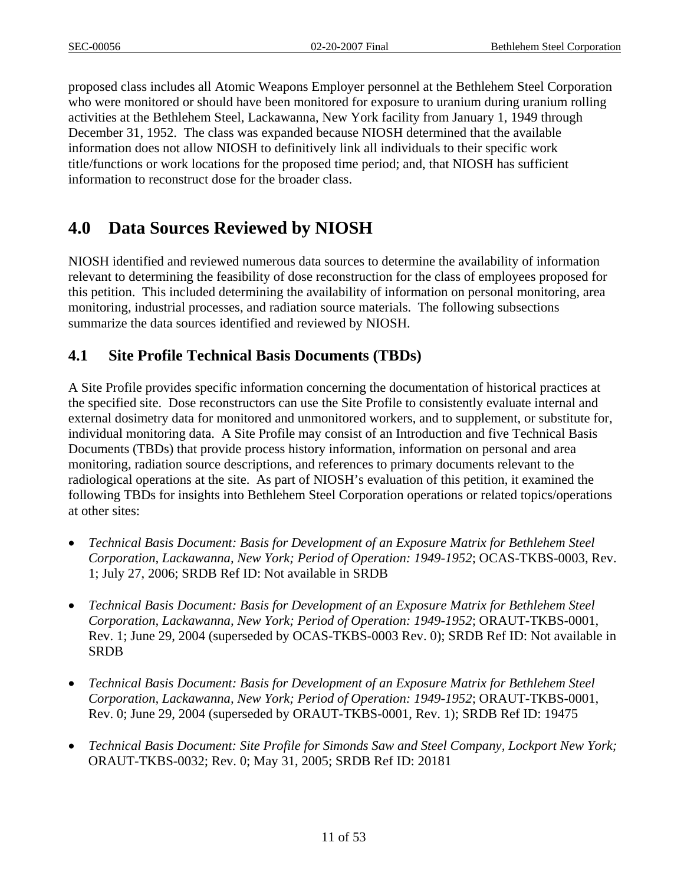proposed class includes all Atomic Weapons Employer personnel at the Bethlehem Steel Corporation who were monitored or should have been monitored for exposure to uranium during uranium rolling activities at the Bethlehem Steel, Lackawanna, New York facility from January 1, 1949 through December 31, 1952. The class was expanded because NIOSH determined that the available information does not allow NIOSH to definitively link all individuals to their specific work title/functions or work locations for the proposed time period; and, that NIOSH has sufficient information to reconstruct dose for the broader class.

# **4.0 Data Sources Reviewed by NIOSH**

NIOSH identified and reviewed numerous data sources to determine the availability of information relevant to determining the feasibility of dose reconstruction for the class of employees proposed for this petition. This included determining the availability of information on personal monitoring, area monitoring, industrial processes, and radiation source materials. The following subsections summarize the data sources identified and reviewed by NIOSH.

# **4.1 Site Profile Technical Basis Documents (TBDs)**

A Site Profile provides specific information concerning the documentation of historical practices at the specified site. Dose reconstructors can use the Site Profile to consistently evaluate internal and external dosimetry data for monitored and unmonitored workers, and to supplement, or substitute for, individual monitoring data. A Site Profile may consist of an Introduction and five Technical Basis Documents (TBDs) that provide process history information, information on personal and area monitoring, radiation source descriptions, and references to primary documents relevant to the radiological operations at the site. As part of NIOSH's evaluation of this petition, it examined the following TBDs for insights into Bethlehem Steel Corporation operations or related topics/operations at other sites:

- *Technical Basis Document: Basis for Development of an Exposure Matrix for Bethlehem Steel Corporation, Lackawanna, New York; Period of Operation: 1949-1952*; OCAS-TKBS-0003, Rev. 1; July 27, 2006; SRDB Ref ID: Not available in SRDB
- *Technical Basis Document: Basis for Development of an Exposure Matrix for Bethlehem Steel Corporation, Lackawanna, New York; Period of Operation: 1949-1952*; ORAUT-TKBS-0001, Rev. 1; June 29, 2004 (superseded by OCAS-TKBS-0003 Rev. 0); SRDB Ref ID: Not available in SRDB
- *Technical Basis Document: Basis for Development of an Exposure Matrix for Bethlehem Steel Corporation, Lackawanna, New York; Period of Operation: 1949-1952*; ORAUT-TKBS-0001, Rev. 0; June 29, 2004 (superseded by ORAUT-TKBS-0001, Rev. 1); SRDB Ref ID: 19475
- *Technical Basis Document: Site Profile for Simonds Saw and Steel Company, Lockport New York;*  ORAUT-TKBS-0032; Rev. 0; May 31, 2005; SRDB Ref ID: 20181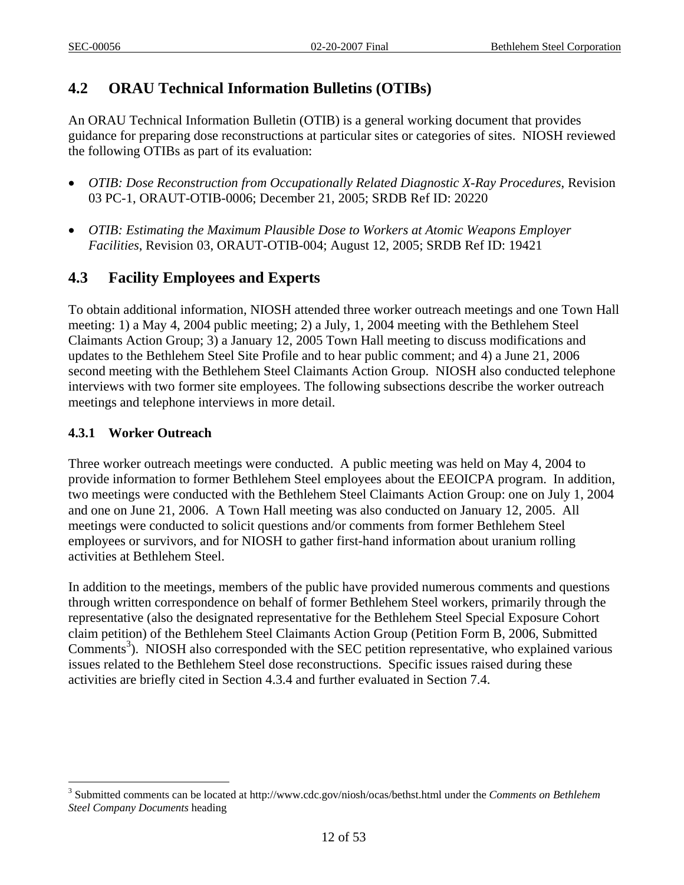# **4.2 ORAU Technical Information Bulletins (OTIBs)**

An ORAU Technical Information Bulletin (OTIB) is a general working document that provides guidance for preparing dose reconstructions at particular sites or categories of sites. NIOSH reviewed the following OTIBs as part of its evaluation:

- *OTIB: Dose Reconstruction from Occupationally Related Diagnostic X-Ray Procedures*, Revision 03 PC-1, ORAUT-OTIB-0006; December 21, 2005; SRDB Ref ID: 20220
- *OTIB: Estimating the Maximum Plausible Dose to Workers at Atomic Weapons Employer Facilities*, Revision 03, ORAUT-OTIB-004; August 12, 2005; SRDB Ref ID: 19421

# **4.3 Facility Employees and Experts**

To obtain additional information, NIOSH attended three worker outreach meetings and one Town Hall meeting: 1) a May 4, 2004 public meeting; 2) a July, 1, 2004 meeting with the Bethlehem Steel Claimants Action Group; 3) a January 12, 2005 Town Hall meeting to discuss modifications and updates to the Bethlehem Steel Site Profile and to hear public comment; and 4) a June 21, 2006 second meeting with the Bethlehem Steel Claimants Action Group. NIOSH also conducted telephone interviews with two former site employees. The following subsections describe the worker outreach meetings and telephone interviews in more detail.

## **4.3.1 Worker Outreach**

 $\overline{a}$ 

Three worker outreach meetings were conducted. A public meeting was held on May 4, 2004 to provide information to former Bethlehem Steel employees about the EEOICPA program. In addition, two meetings were conducted with the Bethlehem Steel Claimants Action Group: one on July 1, 2004 and one on June 21, 2006. A Town Hall meeting was also conducted on January 12, 2005. All meetings were conducted to solicit questions and/or comments from former Bethlehem Steel employees or survivors, and for NIOSH to gather first-hand information about uranium rolling activities at Bethlehem Steel.

In addition to the meetings, members of the public have provided numerous comments and questions through written correspondence on behalf of former Bethlehem Steel workers, primarily through the representative (also the designated representative for the Bethlehem Steel Special Exposure Cohort claim petition) of the Bethlehem Steel Claimants Action Group (Petition Form B, 2006, Submitted Comments<sup>3</sup>). NIOSH also corresponded with the SEC petition representative, who explained various issues related to the Bethlehem Steel dose reconstructions. Specific issues raised during these activities are briefly cited in Section 4.3.4 and further evaluated in Section 7.4.

<sup>3</sup> Submitted comments can be located at http://www.cdc.gov/niosh/ocas/bethst.html under the *Comments on Bethlehem Steel Company Documents* heading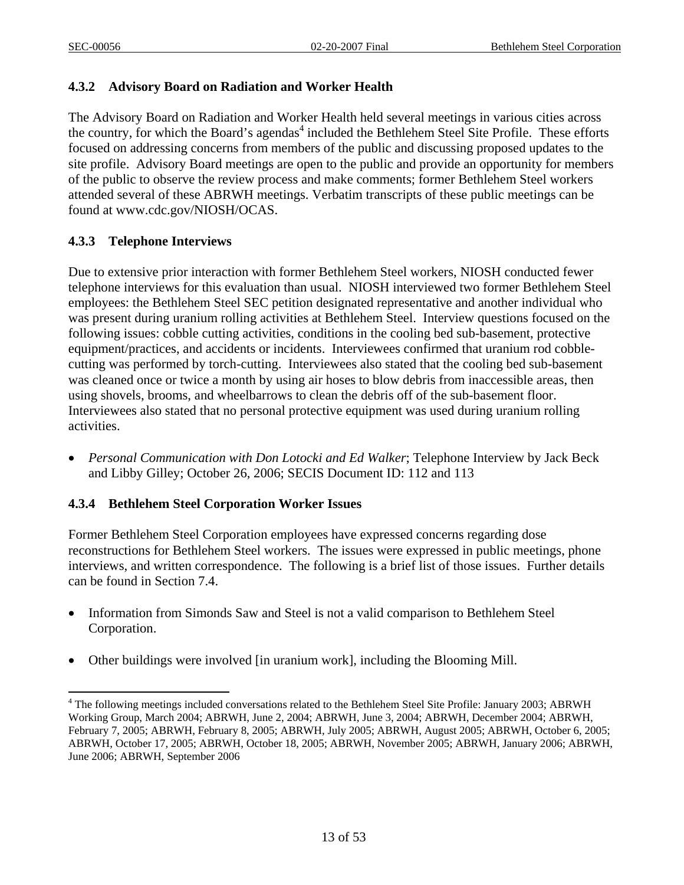$\overline{a}$ 

#### **4.3.2 Advisory Board on Radiation and Worker Health**

The Advisory Board on Radiation and Worker Health held several meetings in various cities across the country, for which the Board's agendas<sup>4</sup> included the Bethlehem Steel Site Profile. These efforts focused on addressing concerns from members of the public and discussing proposed updates to the site profile. Advisory Board meetings are open to the public and provide an opportunity for members of the public to observe the review process and make comments; former Bethlehem Steel workers attended several of these ABRWH meetings. Verbatim transcripts of these public meetings can be found at www.cdc.gov/NIOSH/OCAS.

#### **4.3.3 Telephone Interviews**

Due to extensive prior interaction with former Bethlehem Steel workers, NIOSH conducted fewer telephone interviews for this evaluation than usual. NIOSH interviewed two former Bethlehem Steel employees: the Bethlehem Steel SEC petition designated representative and another individual who was present during uranium rolling activities at Bethlehem Steel. Interview questions focused on the following issues: cobble cutting activities, conditions in the cooling bed sub-basement, protective equipment/practices, and accidents or incidents. Interviewees confirmed that uranium rod cobblecutting was performed by torch-cutting. Interviewees also stated that the cooling bed sub-basement was cleaned once or twice a month by using air hoses to blow debris from inaccessible areas, then using shovels, brooms, and wheelbarrows to clean the debris off of the sub-basement floor. Interviewees also stated that no personal protective equipment was used during uranium rolling activities.

• *Personal Communication with Don Lotocki and Ed Walker*; Telephone Interview by Jack Beck and Libby Gilley; October 26, 2006; SECIS Document ID: 112 and 113

## **4.3.4 Bethlehem Steel Corporation Worker Issues**

Former Bethlehem Steel Corporation employees have expressed concerns regarding dose reconstructions for Bethlehem Steel workers. The issues were expressed in public meetings, phone interviews, and written correspondence. The following is a brief list of those issues. Further details can be found in Section 7.4.

- Information from Simonds Saw and Steel is not a valid comparison to Bethlehem Steel Corporation.
- Other buildings were involved [in uranium work], including the Blooming Mill.

<sup>&</sup>lt;sup>4</sup> The following meetings included conversations related to the Bethlehem Steel Site Profile: January 2003; ABRWH Working Group, March 2004; ABRWH, June 2, 2004; ABRWH, June 3, 2004; ABRWH, December 2004; ABRWH, February 7, 2005; ABRWH, February 8, 2005; ABRWH, July 2005; ABRWH, August 2005; ABRWH, October 6, 2005; ABRWH, October 17, 2005; ABRWH, October 18, 2005; ABRWH, November 2005; ABRWH, January 2006; ABRWH, June 2006; ABRWH, September 2006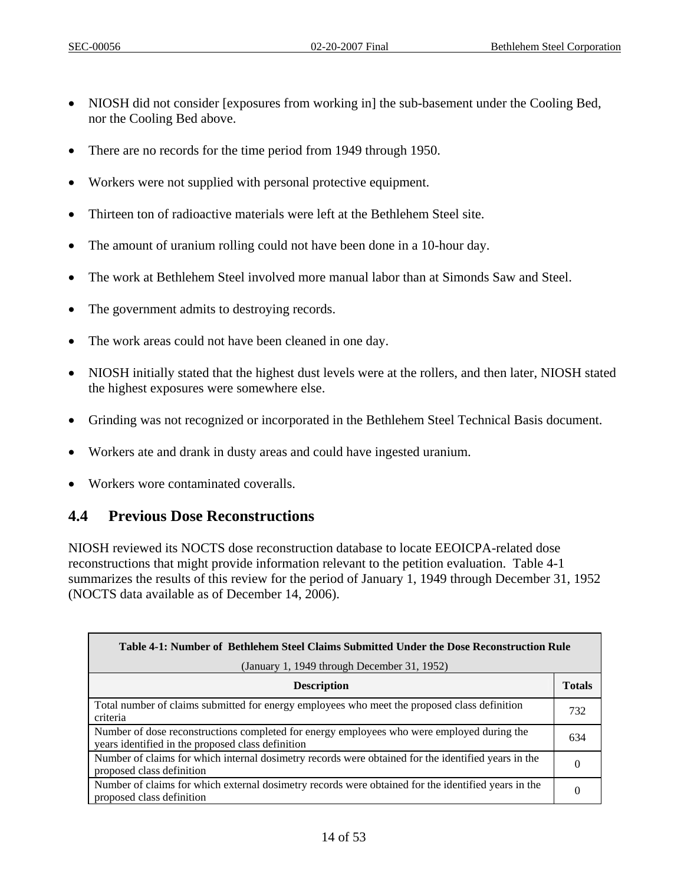- NIOSH did not consider [exposures from working in] the sub-basement under the Cooling Bed, nor the Cooling Bed above.
- There are no records for the time period from 1949 through 1950.
- Workers were not supplied with personal protective equipment.
- Thirteen ton of radioactive materials were left at the Bethlehem Steel site.
- The amount of uranium rolling could not have been done in a 10-hour day.
- The work at Bethlehem Steel involved more manual labor than at Simonds Saw and Steel.
- The government admits to destroying records.
- The work areas could not have been cleaned in one day.
- NIOSH initially stated that the highest dust levels were at the rollers, and then later, NIOSH stated the highest exposures were somewhere else.
- Grinding was not recognized or incorporated in the Bethlehem Steel Technical Basis document.
- Workers ate and drank in dusty areas and could have ingested uranium.
- Workers wore contaminated coveralls.

## **4.4 Previous Dose Reconstructions**

NIOSH reviewed its NOCTS dose reconstruction database to locate EEOICPA-related dose reconstructions that might provide information relevant to the petition evaluation. Table 4-1 summarizes the results of this review for the period of January 1, 1949 through December 31, 1952 (NOCTS data available as of December 14, 2006).

| Table 4-1: Number of Bethlehem Steel Claims Submitted Under the Dose Reconstruction Rule                                                        |               |  |  |
|-------------------------------------------------------------------------------------------------------------------------------------------------|---------------|--|--|
| (January 1, 1949 through December 31, 1952)                                                                                                     |               |  |  |
| <b>Description</b>                                                                                                                              | <b>Totals</b> |  |  |
| Total number of claims submitted for energy employees who meet the proposed class definition<br>criteria                                        | 732           |  |  |
| Number of dose reconstructions completed for energy employees who were employed during the<br>years identified in the proposed class definition | 634           |  |  |
| Number of claims for which internal dosimetry records were obtained for the identified years in the<br>proposed class definition                |               |  |  |
| Number of claims for which external dosimetry records were obtained for the identified years in the<br>proposed class definition                |               |  |  |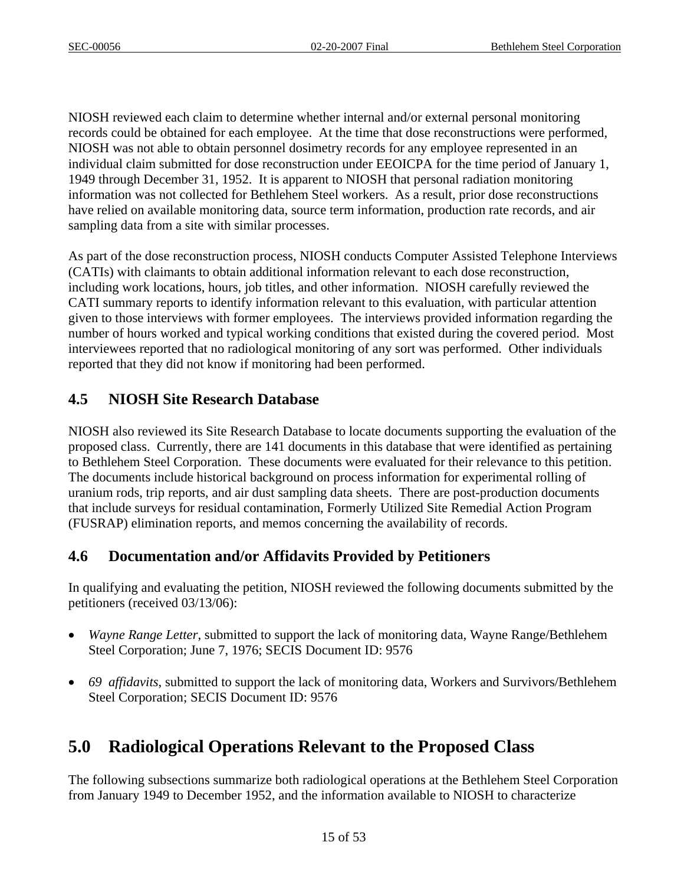NIOSH reviewed each claim to determine whether internal and/or external personal monitoring records could be obtained for each employee. At the time that dose reconstructions were performed, NIOSH was not able to obtain personnel dosimetry records for any employee represented in an individual claim submitted for dose reconstruction under EEOICPA for the time period of January 1, 1949 through December 31, 1952. It is apparent to NIOSH that personal radiation monitoring information was not collected for Bethlehem Steel workers. As a result, prior dose reconstructions have relied on available monitoring data, source term information, production rate records, and air sampling data from a site with similar processes.

As part of the dose reconstruction process, NIOSH conducts Computer Assisted Telephone Interviews (CATIs) with claimants to obtain additional information relevant to each dose reconstruction, including work locations, hours, job titles, and other information. NIOSH carefully reviewed the CATI summary reports to identify information relevant to this evaluation, with particular attention given to those interviews with former employees. The interviews provided information regarding the number of hours worked and typical working conditions that existed during the covered period. Most interviewees reported that no radiological monitoring of any sort was performed. Other individuals reported that they did not know if monitoring had been performed.

# **4.5 NIOSH Site Research Database**

NIOSH also reviewed its Site Research Database to locate documents supporting the evaluation of the proposed class. Currently, there are 141 documents in this database that were identified as pertaining to Bethlehem Steel Corporation. These documents were evaluated for their relevance to this petition. The documents include historical background on process information for experimental rolling of uranium rods, trip reports, and air dust sampling data sheets. There are post-production documents that include surveys for residual contamination, Formerly Utilized Site Remedial Action Program (FUSRAP) elimination reports, and memos concerning the availability of records.

# **4.6 Documentation and/or Affidavits Provided by Petitioners**

In qualifying and evaluating the petition, NIOSH reviewed the following documents submitted by the petitioners (received 03/13/06):

- *Wayne Range Letter*, submitted to support the lack of monitoring data, Wayne Range/Bethlehem Steel Corporation; June 7, 1976; SECIS Document ID: 9576
- *69 affidavits*, submitted to support the lack of monitoring data, Workers and Survivors/Bethlehem Steel Corporation; SECIS Document ID: 9576

# **5.0 Radiological Operations Relevant to the Proposed Class**

The following subsections summarize both radiological operations at the Bethlehem Steel Corporation from January 1949 to December 1952, and the information available to NIOSH to characterize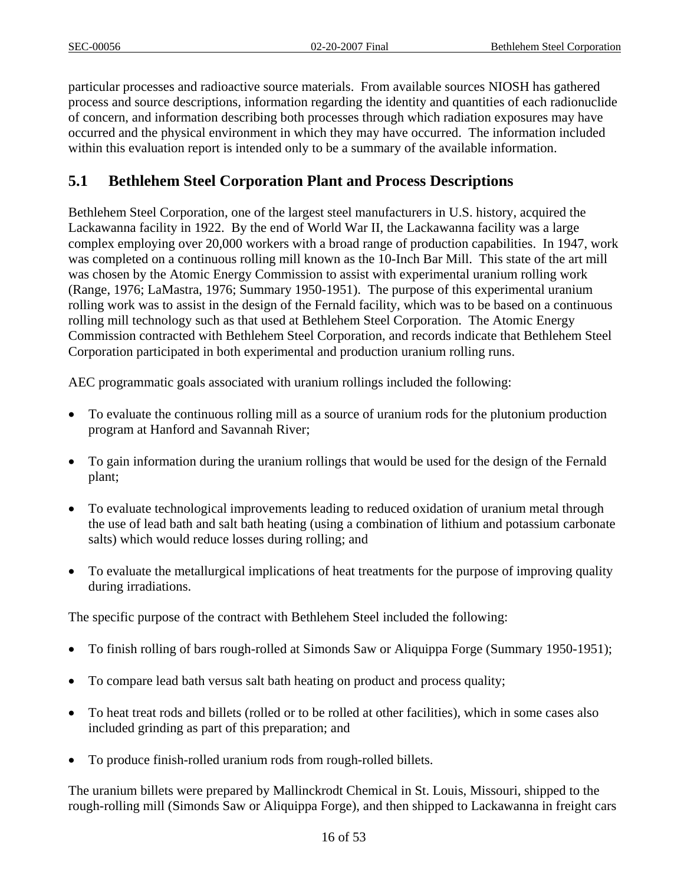particular processes and radioactive source materials. From available sources NIOSH has gathered process and source descriptions, information regarding the identity and quantities of each radionuclide of concern, and information describing both processes through which radiation exposures may have occurred and the physical environment in which they may have occurred. The information included within this evaluation report is intended only to be a summary of the available information.

## **5.1 Bethlehem Steel Corporation Plant and Process Descriptions**

Bethlehem Steel Corporation, one of the largest steel manufacturers in U.S. history, acquired the Lackawanna facility in 1922. By the end of World War II, the Lackawanna facility was a large complex employing over 20,000 workers with a broad range of production capabilities. In 1947, work was completed on a continuous rolling mill known as the 10-Inch Bar Mill. This state of the art mill was chosen by the Atomic Energy Commission to assist with experimental uranium rolling work (Range, 1976; LaMastra, 1976; Summary 1950-1951). The purpose of this experimental uranium rolling work was to assist in the design of the Fernald facility, which was to be based on a continuous rolling mill technology such as that used at Bethlehem Steel Corporation.The Atomic Energy Commission contracted with Bethlehem Steel Corporation, and records indicate that Bethlehem Steel Corporation participated in both experimental and production uranium rolling runs.

AEC programmatic goals associated with uranium rollings included the following:

- To evaluate the continuous rolling mill as a source of uranium rods for the plutonium production program at Hanford and Savannah River;
- To gain information during the uranium rollings that would be used for the design of the Fernald plant;
- To evaluate technological improvements leading to reduced oxidation of uranium metal through the use of lead bath and salt bath heating (using a combination of lithium and potassium carbonate salts) which would reduce losses during rolling; and
- To evaluate the metallurgical implications of heat treatments for the purpose of improving quality during irradiations.

The specific purpose of the contract with Bethlehem Steel included the following:

- To finish rolling of bars rough-rolled at Simonds Saw or Aliquippa Forge (Summary 1950-1951);
- To compare lead bath versus salt bath heating on product and process quality;
- To heat treat rods and billets (rolled or to be rolled at other facilities), which in some cases also included grinding as part of this preparation; and
- To produce finish-rolled uranium rods from rough-rolled billets.

The uranium billets were prepared by Mallinckrodt Chemical in St. Louis, Missouri, shipped to the rough-rolling mill (Simonds Saw or Aliquippa Forge), and then shipped to Lackawanna in freight cars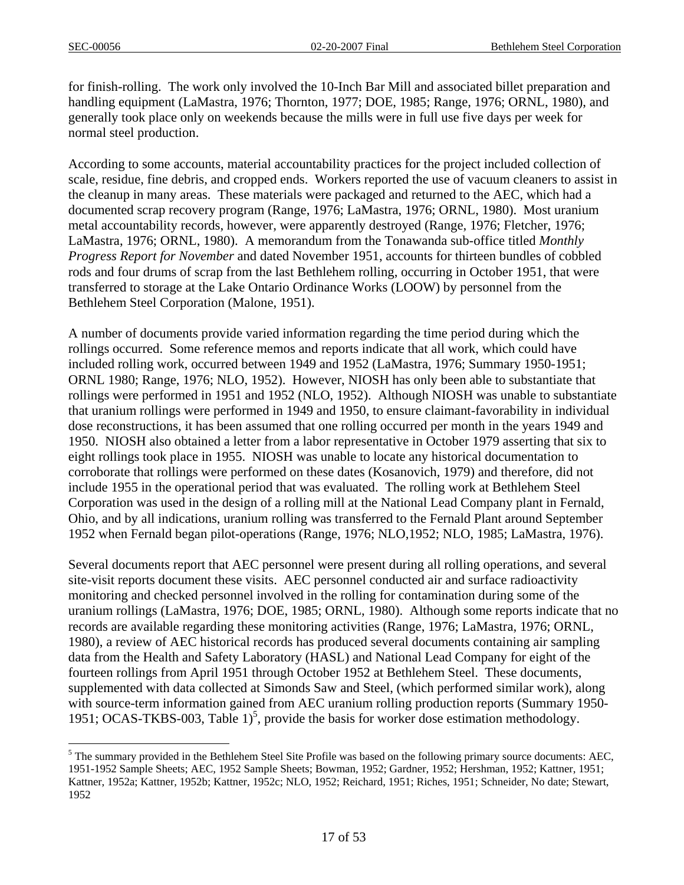$\overline{a}$ 

for finish-rolling. The work only involved the 10-Inch Bar Mill and associated billet preparation and handling equipment (LaMastra, 1976; Thornton, 1977; DOE, 1985; Range, 1976; ORNL, 1980), and generally took place only on weekends because the mills were in full use five days per week for normal steel production.

According to some accounts, material accountability practices for the project included collection of scale, residue, fine debris, and cropped ends. Workers reported the use of vacuum cleaners to assist in the cleanup in many areas. These materials were packaged and returned to the AEC, which had a documented scrap recovery program (Range, 1976; LaMastra, 1976; ORNL, 1980). Most uranium metal accountability records, however, were apparently destroyed (Range, 1976; Fletcher, 1976; LaMastra, 1976; ORNL, 1980). A memorandum from the Tonawanda sub-office titled *Monthly Progress Report for November* and dated November 1951, accounts for thirteen bundles of cobbled rods and four drums of scrap from the last Bethlehem rolling, occurring in October 1951, that were transferred to storage at the Lake Ontario Ordinance Works (LOOW) by personnel from the Bethlehem Steel Corporation (Malone, 1951).

A number of documents provide varied information regarding the time period during which the rollings occurred. Some reference memos and reports indicate that all work, which could have included rolling work, occurred between 1949 and 1952 (LaMastra, 1976; Summary 1950-1951; ORNL 1980; Range, 1976; NLO, 1952). However, NIOSH has only been able to substantiate that rollings were performed in 1951 and 1952 (NLO, 1952). Although NIOSH was unable to substantiate that uranium rollings were performed in 1949 and 1950, to ensure claimant-favorability in individual dose reconstructions, it has been assumed that one rolling occurred per month in the years 1949 and 1950. NIOSH also obtained a letter from a labor representative in October 1979 asserting that six to eight rollings took place in 1955. NIOSH was unable to locate any historical documentation to corroborate that rollings were performed on these dates (Kosanovich, 1979) and therefore, did not include 1955 in the operational period that was evaluated. The rolling work at Bethlehem Steel Corporation was used in the design of a rolling mill at the National Lead Company plant in Fernald, Ohio, and by all indications, uranium rolling was transferred to the Fernald Plant around September 1952 when Fernald began pilot-operations (Range, 1976; NLO,1952; NLO, 1985; LaMastra, 1976).

Several documents report that AEC personnel were present during all rolling operations, and several site-visit reports document these visits. AEC personnel conducted air and surface radioactivity monitoring and checked personnel involved in the rolling for contamination during some of the uranium rollings (LaMastra, 1976; DOE, 1985; ORNL, 1980). Although some reports indicate that no records are available regarding these monitoring activities (Range, 1976; LaMastra, 1976; ORNL, 1980), a review of AEC historical records has produced several documents containing air sampling data from the Health and Safety Laboratory (HASL) and National Lead Company for eight of the fourteen rollings from April 1951 through October 1952 at Bethlehem Steel. These documents, supplemented with data collected at Simonds Saw and Steel, (which performed similar work), along with source-term information gained from AEC uranium rolling production reports (Summary 1950-1951; OCAS-TKBS-003, Table  $1<sup>5</sup>$ , provide the basis for worker dose estimation methodology.

 $<sup>5</sup>$  The summary provided in the Bethlehem Steel Site Profile was based on the following primary source documents: AEC,</sup> 1951-1952 Sample Sheets; AEC, 1952 Sample Sheets; Bowman, 1952; Gardner, 1952; Hershman, 1952; Kattner, 1951; Kattner, 1952a; Kattner, 1952b; Kattner, 1952c; NLO, 1952; Reichard, 1951; Riches, 1951; Schneider, No date; Stewart, 1952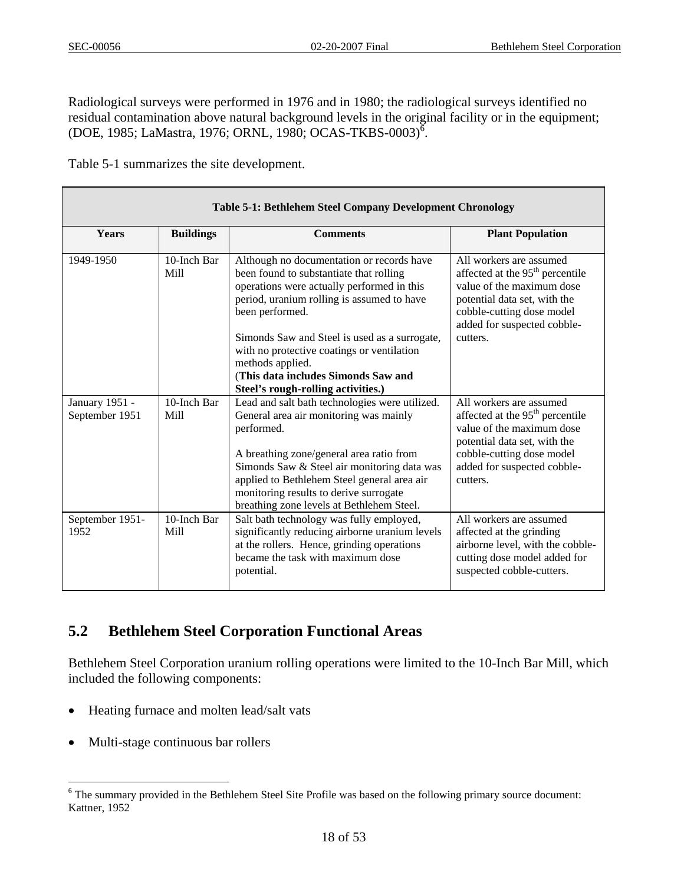Radiological surveys were performed in 1976 and in 1980; the radiological surveys identified no residual contamination above natural background levels in the original facility or in the equipment; (DOE, 1985; LaMastra, 1976; ORNL, 1980; OCAS-TKBS-0003)<sup>6</sup>.

Table 5-1 summarizes the site development.

| <b>Table 5-1: Bethlehem Steel Company Development Chronology</b> |                            |                                                                                                                                                                                                                                                                                                                                         |                                                                                                                                                                                                             |  |  |
|------------------------------------------------------------------|----------------------------|-----------------------------------------------------------------------------------------------------------------------------------------------------------------------------------------------------------------------------------------------------------------------------------------------------------------------------------------|-------------------------------------------------------------------------------------------------------------------------------------------------------------------------------------------------------------|--|--|
| <b>Years</b>                                                     | <b>Buildings</b>           | <b>Comments</b>                                                                                                                                                                                                                                                                                                                         | <b>Plant Population</b>                                                                                                                                                                                     |  |  |
| 1949-1950                                                        | 10-Inch Bar<br>Mill        | Although no documentation or records have<br>been found to substantiate that rolling<br>operations were actually performed in this<br>period, uranium rolling is assumed to have<br>been performed.<br>Simonds Saw and Steel is used as a surrogate,<br>with no protective coatings or ventilation                                      | All workers are assumed<br>affected at the 95 <sup>th</sup> percentile<br>value of the maximum dose<br>potential data set, with the<br>cobble-cutting dose model<br>added for suspected cobble-<br>cutters. |  |  |
|                                                                  |                            | methods applied.<br>(This data includes Simonds Saw and<br>Steel's rough-rolling activities.)                                                                                                                                                                                                                                           |                                                                                                                                                                                                             |  |  |
| January 1951 -<br>September 1951                                 | 10-Inch Bar<br><b>Mill</b> | Lead and salt bath technologies were utilized.<br>General area air monitoring was mainly<br>performed.<br>A breathing zone/general area ratio from<br>Simonds Saw & Steel air monitoring data was<br>applied to Bethlehem Steel general area air<br>monitoring results to derive surrogate<br>breathing zone levels at Bethlehem Steel. | All workers are assumed<br>affected at the 95 <sup>th</sup> percentile<br>value of the maximum dose<br>potential data set, with the<br>cobble-cutting dose model<br>added for suspected cobble-<br>cutters. |  |  |
| September 1951-<br>1952                                          | 10-Inch Bar<br><b>Mill</b> | Salt bath technology was fully employed,<br>significantly reducing airborne uranium levels<br>at the rollers. Hence, grinding operations<br>became the task with maximum dose<br>potential.                                                                                                                                             | All workers are assumed<br>affected at the grinding<br>airborne level, with the cobble-<br>cutting dose model added for<br>suspected cobble-cutters.                                                        |  |  |

## **5.2 Bethlehem Steel Corporation Functional Areas**

Bethlehem Steel Corporation uranium rolling operations were limited to the 10-Inch Bar Mill, which included the following components:

- Heating furnace and molten lead/salt vats
- Multi-stage continuous bar rollers

 $\overline{a}$ 

 $6$  The summary provided in the Bethlehem Steel Site Profile was based on the following primary source document: Kattner, 1952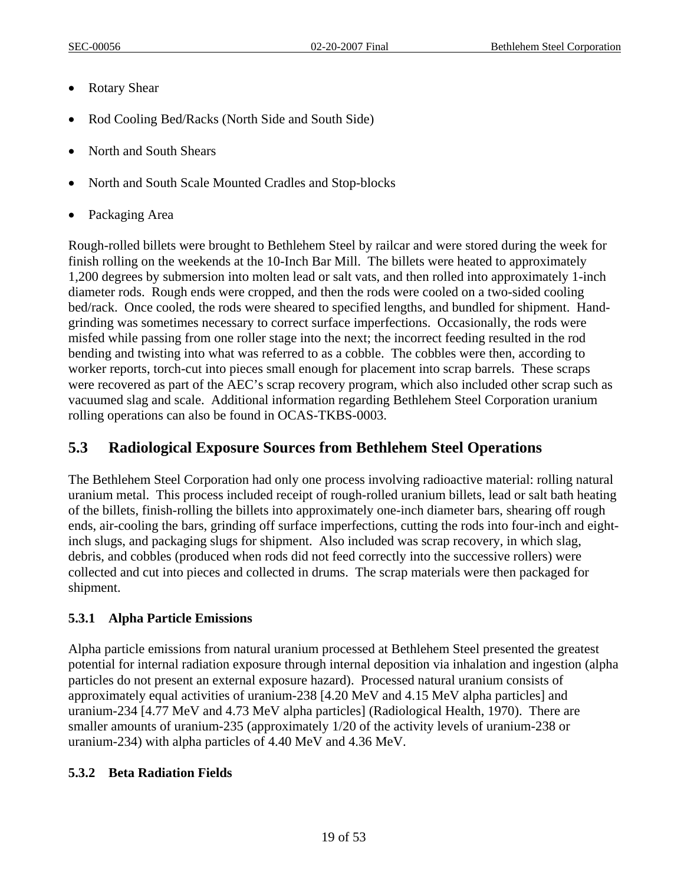- Rotary Shear
- Rod Cooling Bed/Racks (North Side and South Side)
- North and South Shears
- North and South Scale Mounted Cradles and Stop-blocks
- Packaging Area

Rough-rolled billets were brought to Bethlehem Steel by railcar and were stored during the week for finish rolling on the weekends at the 10-Inch Bar Mill. The billets were heated to approximately 1,200 degrees by submersion into molten lead or salt vats, and then rolled into approximately 1-inch diameter rods. Rough ends were cropped, and then the rods were cooled on a two-sided cooling bed/rack. Once cooled, the rods were sheared to specified lengths, and bundled for shipment. Handgrinding was sometimes necessary to correct surface imperfections. Occasionally, the rods were misfed while passing from one roller stage into the next; the incorrect feeding resulted in the rod bending and twisting into what was referred to as a cobble. The cobbles were then, according to worker reports, torch-cut into pieces small enough for placement into scrap barrels. These scraps were recovered as part of the AEC's scrap recovery program, which also included other scrap such as vacuumed slag and scale. Additional information regarding Bethlehem Steel Corporation uranium rolling operations can also be found in OCAS-TKBS-0003.

## **5.3 Radiological Exposure Sources from Bethlehem Steel Operations**

The Bethlehem Steel Corporation had only one process involving radioactive material: rolling natural uranium metal. This process included receipt of rough-rolled uranium billets, lead or salt bath heating of the billets, finish-rolling the billets into approximately one-inch diameter bars, shearing off rough ends, air-cooling the bars, grinding off surface imperfections, cutting the rods into four-inch and eightinch slugs, and packaging slugs for shipment. Also included was scrap recovery, in which slag, debris, and cobbles (produced when rods did not feed correctly into the successive rollers) were collected and cut into pieces and collected in drums. The scrap materials were then packaged for shipment.

## **5.3.1 Alpha Particle Emissions**

Alpha particle emissions from natural uranium processed at Bethlehem Steel presented the greatest potential for internal radiation exposure through internal deposition via inhalation and ingestion (alpha particles do not present an external exposure hazard). Processed natural uranium consists of approximately equal activities of uranium-238 [4.20 MeV and 4.15 MeV alpha particles] and uranium-234 [4.77 MeV and 4.73 MeV alpha particles] (Radiological Health, 1970). There are smaller amounts of uranium-235 (approximately 1/20 of the activity levels of uranium-238 or uranium-234) with alpha particles of 4.40 MeV and 4.36 MeV.

## **5.3.2 Beta Radiation Fields**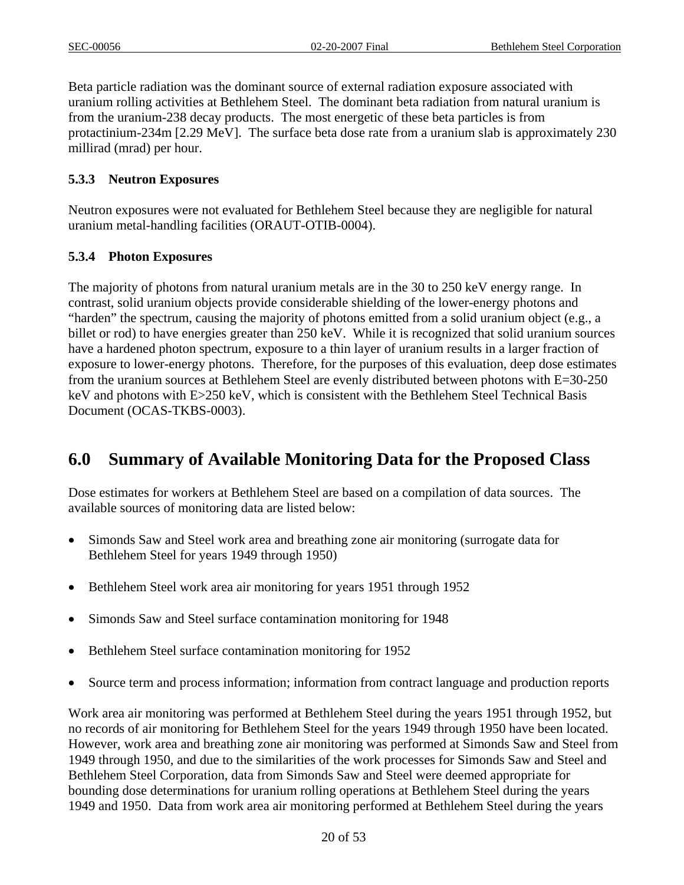Beta particle radiation was the dominant source of external radiation exposure associated with uranium rolling activities at Bethlehem Steel. The dominant beta radiation from natural uranium is from the uranium-238 decay products. The most energetic of these beta particles is from protactinium-234m [2.29 MeV]. The surface beta dose rate from a uranium slab is approximately 230 millirad (mrad) per hour.

### **5.3.3 Neutron Exposures**

Neutron exposures were not evaluated for Bethlehem Steel because they are negligible for natural uranium metal-handling facilities (ORAUT-OTIB-0004).

#### **5.3.4 Photon Exposures**

The majority of photons from natural uranium metals are in the 30 to 250 keV energy range. In contrast, solid uranium objects provide considerable shielding of the lower-energy photons and "harden" the spectrum, causing the majority of photons emitted from a solid uranium object (e.g., a billet or rod) to have energies greater than 250 keV. While it is recognized that solid uranium sources have a hardened photon spectrum, exposure to a thin layer of uranium results in a larger fraction of exposure to lower-energy photons. Therefore, for the purposes of this evaluation, deep dose estimates from the uranium sources at Bethlehem Steel are evenly distributed between photons with E=30-250 keV and photons with E>250 keV, which is consistent with the Bethlehem Steel Technical Basis Document (OCAS-TKBS-0003).

# **6.0 Summary of Available Monitoring Data for the Proposed Class**

Dose estimates for workers at Bethlehem Steel are based on a compilation of data sources. The available sources of monitoring data are listed below:

- Simonds Saw and Steel work area and breathing zone air monitoring (surrogate data for Bethlehem Steel for years 1949 through 1950)
- Bethlehem Steel work area air monitoring for years 1951 through 1952
- Simonds Saw and Steel surface contamination monitoring for 1948
- Bethlehem Steel surface contamination monitoring for 1952
- Source term and process information; information from contract language and production reports

Work area air monitoring was performed at Bethlehem Steel during the years 1951 through 1952, but no records of air monitoring for Bethlehem Steel for the years 1949 through 1950 have been located. However, work area and breathing zone air monitoring was performed at Simonds Saw and Steel from 1949 through 1950, and due to the similarities of the work processes for Simonds Saw and Steel and Bethlehem Steel Corporation, data from Simonds Saw and Steel were deemed appropriate for bounding dose determinations for uranium rolling operations at Bethlehem Steel during the years 1949 and 1950. Data from work area air monitoring performed at Bethlehem Steel during the years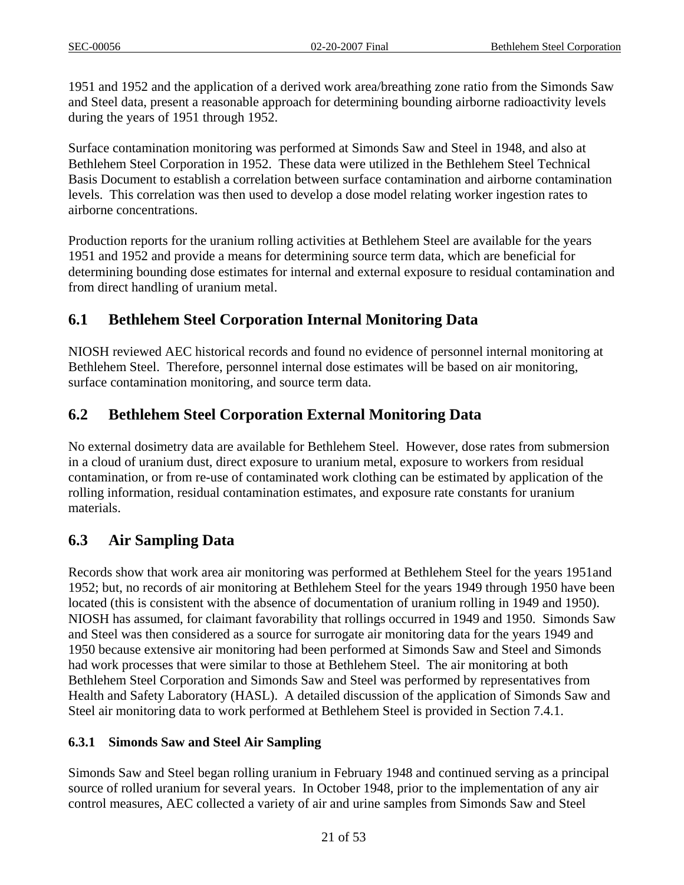1951 and 1952 and the application of a derived work area/breathing zone ratio from the Simonds Saw and Steel data, present a reasonable approach for determining bounding airborne radioactivity levels during the years of 1951 through 1952.

Surface contamination monitoring was performed at Simonds Saw and Steel in 1948, and also at Bethlehem Steel Corporation in 1952. These data were utilized in the Bethlehem Steel Technical Basis Document to establish a correlation between surface contamination and airborne contamination levels. This correlation was then used to develop a dose model relating worker ingestion rates to airborne concentrations.

Production reports for the uranium rolling activities at Bethlehem Steel are available for the years 1951 and 1952 and provide a means for determining source term data, which are beneficial for determining bounding dose estimates for internal and external exposure to residual contamination and from direct handling of uranium metal.

## **6.1 Bethlehem Steel Corporation Internal Monitoring Data**

NIOSH reviewed AEC historical records and found no evidence of personnel internal monitoring at Bethlehem Steel. Therefore, personnel internal dose estimates will be based on air monitoring, surface contamination monitoring, and source term data.

## **6.2 Bethlehem Steel Corporation External Monitoring Data**

No external dosimetry data are available for Bethlehem Steel. However, dose rates from submersion in a cloud of uranium dust, direct exposure to uranium metal, exposure to workers from residual contamination, or from re-use of contaminated work clothing can be estimated by application of the rolling information, residual contamination estimates, and exposure rate constants for uranium materials.

# **6.3 Air Sampling Data**

Records show that work area air monitoring was performed at Bethlehem Steel for the years 1951and 1952; but, no records of air monitoring at Bethlehem Steel for the years 1949 through 1950 have been located (this is consistent with the absence of documentation of uranium rolling in 1949 and 1950). NIOSH has assumed, for claimant favorability that rollings occurred in 1949 and 1950. Simonds Saw and Steel was then considered as a source for surrogate air monitoring data for the years 1949 and 1950 because extensive air monitoring had been performed at Simonds Saw and Steel and Simonds had work processes that were similar to those at Bethlehem Steel. The air monitoring at both Bethlehem Steel Corporation and Simonds Saw and Steel was performed by representatives from Health and Safety Laboratory (HASL). A detailed discussion of the application of Simonds Saw and Steel air monitoring data to work performed at Bethlehem Steel is provided in Section 7.4.1.

## **6.3.1 Simonds Saw and Steel Air Sampling**

Simonds Saw and Steel began rolling uranium in February 1948 and continued serving as a principal source of rolled uranium for several years. In October 1948, prior to the implementation of any air control measures, AEC collected a variety of air and urine samples from Simonds Saw and Steel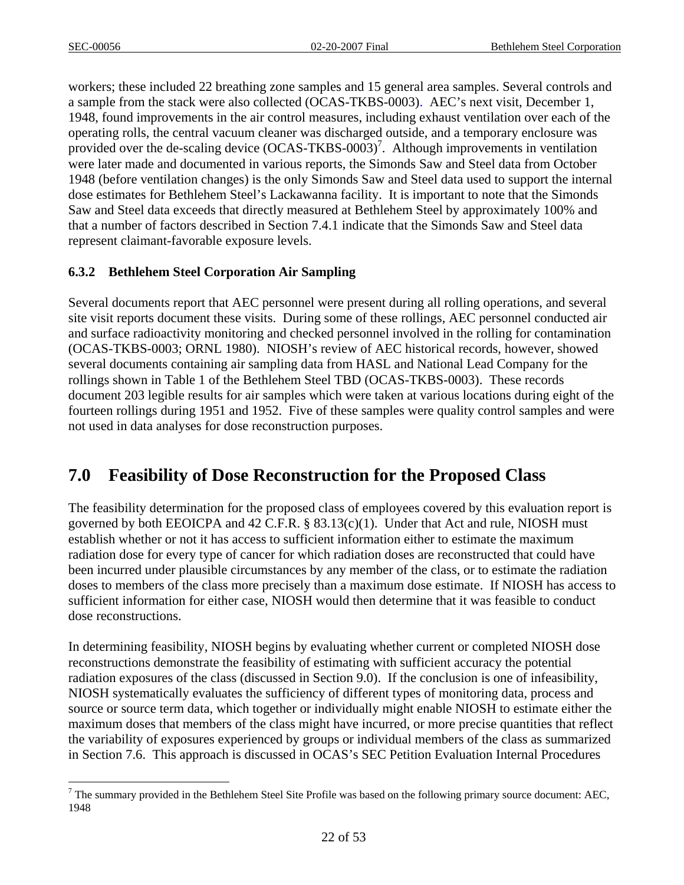workers; these included 22 breathing zone samples and 15 general area samples. Several controls and a sample from the stack were also collected (OCAS-TKBS-0003). AEC's next visit, December 1, 1948, found improvements in the air control measures, including exhaust ventilation over each of the operating rolls, the central vacuum cleaner was discharged outside, and a temporary enclosure was provided over the de-scaling device (OCAS-TKBS-0003)<sup>7</sup>. Although improvements in ventilation were later made and documented in various reports, the Simonds Saw and Steel data from October 1948 (before ventilation changes) is the only Simonds Saw and Steel data used to support the internal dose estimates for Bethlehem Steel's Lackawanna facility. It is important to note that the Simonds Saw and Steel data exceeds that directly measured at Bethlehem Steel by approximately 100% and that a number of factors described in Section 7.4.1 indicate that the Simonds Saw and Steel data represent claimant-favorable exposure levels.

#### **6.3.2 Bethlehem Steel Corporation Air Sampling**

Several documents report that AEC personnel were present during all rolling operations, and several site visit reports document these visits. During some of these rollings, AEC personnel conducted air and surface radioactivity monitoring and checked personnel involved in the rolling for contamination (OCAS-TKBS-0003; ORNL 1980). NIOSH's review of AEC historical records, however, showed several documents containing air sampling data from HASL and National Lead Company for the rollings shown in Table 1 of the Bethlehem Steel TBD (OCAS-TKBS-0003). These records document 203 legible results for air samples which were taken at various locations during eight of the fourteen rollings during 1951 and 1952. Five of these samples were quality control samples and were not used in data analyses for dose reconstruction purposes.

# **7.0 Feasibility of Dose Reconstruction for the Proposed Class**

The feasibility determination for the proposed class of employees covered by this evaluation report is governed by both EEOICPA and 42 C.F.R. § 83.13(c)(1). Under that Act and rule, NIOSH must establish whether or not it has access to sufficient information either to estimate the maximum radiation dose for every type of cancer for which radiation doses are reconstructed that could have been incurred under plausible circumstances by any member of the class, or to estimate the radiation doses to members of the class more precisely than a maximum dose estimate. If NIOSH has access to sufficient information for either case, NIOSH would then determine that it was feasible to conduct dose reconstructions.

In determining feasibility, NIOSH begins by evaluating whether current or completed NIOSH dose reconstructions demonstrate the feasibility of estimating with sufficient accuracy the potential radiation exposures of the class (discussed in Section 9.0). If the conclusion is one of infeasibility, NIOSH systematically evaluates the sufficiency of different types of monitoring data, process and source or source term data, which together or individually might enable NIOSH to estimate either the maximum doses that members of the class might have incurred, or more precise quantities that reflect the variability of exposures experienced by groups or individual members of the class as summarized in Section 7.6. This approach is discussed in OCAS's SEC Petition Evaluation Internal Procedures

 $\overline{a}$  $<sup>7</sup>$  The summary provided in the Bethlehem Steel Site Profile was based on the following primary source document: AEC,</sup> 1948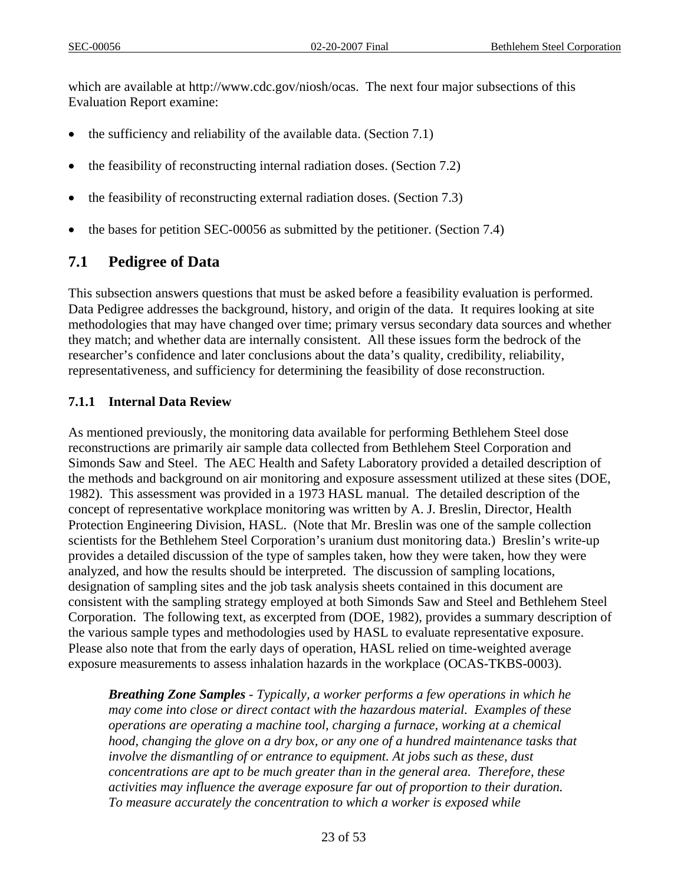which are available at http://www.cdc.gov/niosh/ocas. The next four major subsections of this Evaluation Report examine:

- the sufficiency and reliability of the available data. (Section 7.1)
- the feasibility of reconstructing internal radiation doses. (Section 7.2)
- the feasibility of reconstructing external radiation doses. (Section 7.3)
- the bases for petition SEC-00056 as submitted by the petitioner. (Section 7.4)

## **7.1 Pedigree of Data**

This subsection answers questions that must be asked before a feasibility evaluation is performed. Data Pedigree addresses the background, history, and origin of the data. It requires looking at site methodologies that may have changed over time; primary versus secondary data sources and whether they match; and whether data are internally consistent. All these issues form the bedrock of the researcher's confidence and later conclusions about the data's quality, credibility, reliability, representativeness, and sufficiency for determining the feasibility of dose reconstruction.

#### **7.1.1 Internal Data Review**

As mentioned previously, the monitoring data available for performing Bethlehem Steel dose reconstructions are primarily air sample data collected from Bethlehem Steel Corporation and Simonds Saw and Steel. The AEC Health and Safety Laboratory provided a detailed description of the methods and background on air monitoring and exposure assessment utilized at these sites (DOE, 1982). This assessment was provided in a 1973 HASL manual. The detailed description of the concept of representative workplace monitoring was written by A. J. Breslin, Director, Health Protection Engineering Division, HASL. (Note that Mr. Breslin was one of the sample collection scientists for the Bethlehem Steel Corporation's uranium dust monitoring data.) Breslin's write-up provides a detailed discussion of the type of samples taken, how they were taken, how they were analyzed, and how the results should be interpreted. The discussion of sampling locations, designation of sampling sites and the job task analysis sheets contained in this document are consistent with the sampling strategy employed at both Simonds Saw and Steel and Bethlehem Steel Corporation. The following text, as excerpted from (DOE, 1982), provides a summary description of the various sample types and methodologies used by HASL to evaluate representative exposure. Please also note that from the early days of operation, HASL relied on time-weighted average exposure measurements to assess inhalation hazards in the workplace (OCAS-TKBS-0003).

*Breathing Zone Samples - Typically, a worker performs a few operations in which he may come into close or direct contact with the hazardous material. Examples of these operations are operating a machine tool, charging a furnace, working at a chemical hood, changing the glove on a dry box, or any one of a hundred maintenance tasks that involve the dismantling of or entrance to equipment. At jobs such as these, dust concentrations are apt to be much greater than in the general area. Therefore, these activities may influence the average exposure far out of proportion to their duration. To measure accurately the concentration to which a worker is exposed while*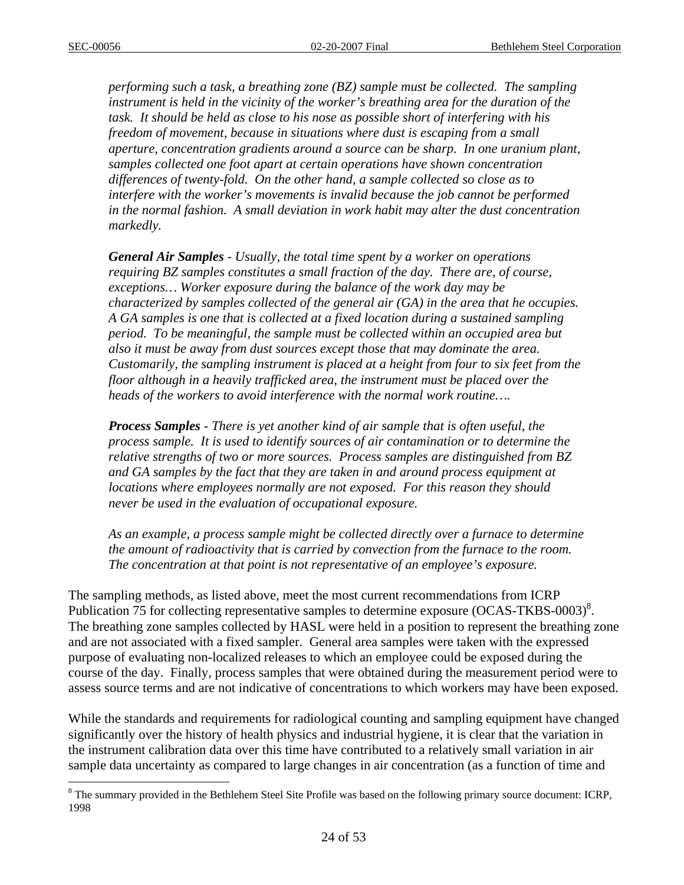$\overline{a}$ 

*performing such a task, a breathing zone (BZ) sample must be collected. The sampling instrument is held in the vicinity of the worker's breathing area for the duration of the task. It should be held as close to his nose as possible short of interfering with his freedom of movement, because in situations where dust is escaping from a small aperture, concentration gradients around a source can be sharp. In one uranium plant, samples collected one foot apart at certain operations have shown concentration differences of twenty-fold. On the other hand, a sample collected so close as to interfere with the worker's movements is invalid because the job cannot be performed in the normal fashion. A small deviation in work habit may alter the dust concentration markedly.* 

*General Air Samples - Usually, the total time spent by a worker on operations requiring BZ samples constitutes a small fraction of the day. There are, of course, exceptions… Worker exposure during the balance of the work day may be characterized by samples collected of the general air (GA) in the area that he occupies. A GA samples is one that is collected at a fixed location during a sustained sampling period. To be meaningful, the sample must be collected within an occupied area but also it must be away from dust sources except those that may dominate the area. Customarily, the sampling instrument is placed at a height from four to six feet from the floor although in a heavily trafficked area, the instrument must be placed over the heads of the workers to avoid interference with the normal work routine….* 

*Process Samples - There is yet another kind of air sample that is often useful, the process sample. It is used to identify sources of air contamination or to determine the relative strengths of two or more sources. Process samples are distinguished from BZ and GA samples by the fact that they are taken in and around process equipment at locations where employees normally are not exposed. For this reason they should never be used in the evaluation of occupational exposure.* 

*As an example, a process sample might be collected directly over a furnace to determine the amount of radioactivity that is carried by convection from the furnace to the room. The concentration at that point is not representative of an employee's exposure.* 

The sampling methods, as listed above, meet the most current recommendations from ICRP Publication 75 for collecting representative samples to determine exposure (OCAS-TKBS-0003)<sup>8</sup>. The breathing zone samples collected by HASL were held in a position to represent the breathing zone and are not associated with a fixed sampler. General area samples were taken with the expressed purpose of evaluating non-localized releases to which an employee could be exposed during the course of the day. Finally, process samples that were obtained during the measurement period were to assess source terms and are not indicative of concentrations to which workers may have been exposed.

While the standards and requirements for radiological counting and sampling equipment have changed significantly over the history of health physics and industrial hygiene, it is clear that the variation in the instrument calibration data over this time have contributed to a relatively small variation in air sample data uncertainty as compared to large changes in air concentration (as a function of time and

 $8$  The summary provided in the Bethlehem Steel Site Profile was based on the following primary source document: ICRP, 1998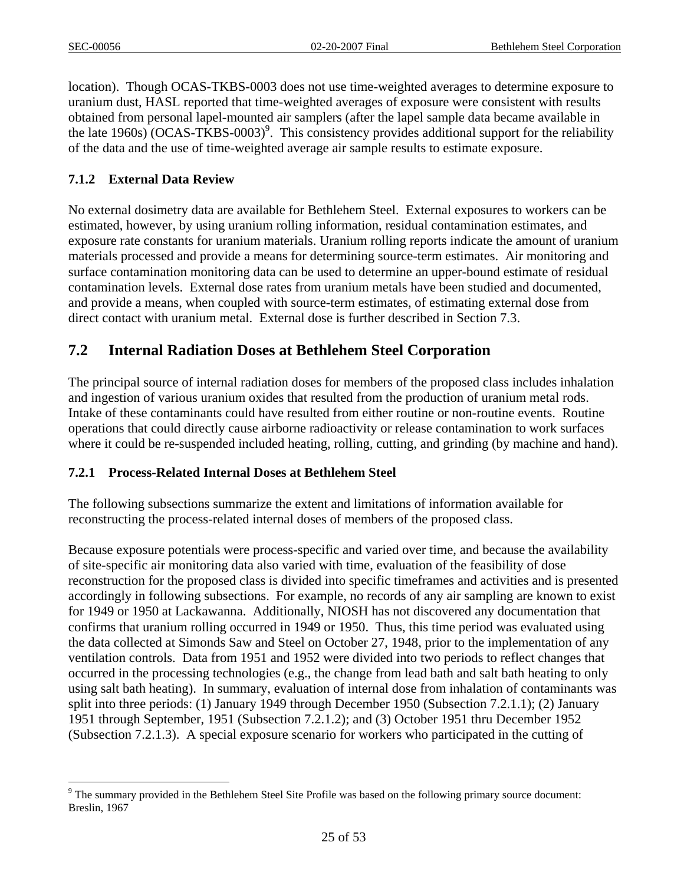$\overline{a}$ 

location). Though OCAS-TKBS-0003 does not use time-weighted averages to determine exposure to uranium dust, HASL reported that time-weighted averages of exposure were consistent with results obtained from personal lapel-mounted air samplers (after the lapel sample data became available in the late 1960s) (OCAS-TKBS-0003)<sup>9</sup>. This consistency provides additional support for the reliability of the data and the use of time-weighted average air sample results to estimate exposure.

#### **7.1.2 External Data Review**

No external dosimetry data are available for Bethlehem Steel. External exposures to workers can be estimated, however, by using uranium rolling information, residual contamination estimates, and exposure rate constants for uranium materials. Uranium rolling reports indicate the amount of uranium materials processed and provide a means for determining source-term estimates. Air monitoring and surface contamination monitoring data can be used to determine an upper-bound estimate of residual contamination levels. External dose rates from uranium metals have been studied and documented, and provide a means, when coupled with source-term estimates, of estimating external dose from direct contact with uranium metal. External dose is further described in Section 7.3.

## **7.2 Internal Radiation Doses at Bethlehem Steel Corporation**

The principal source of internal radiation doses for members of the proposed class includes inhalation and ingestion of various uranium oxides that resulted from the production of uranium metal rods. Intake of these contaminants could have resulted from either routine or non-routine events. Routine operations that could directly cause airborne radioactivity or release contamination to work surfaces where it could be re-suspended included heating, rolling, cutting, and grinding (by machine and hand).

#### **7.2.1 Process-Related Internal Doses at Bethlehem Steel**

The following subsections summarize the extent and limitations of information available for reconstructing the process-related internal doses of members of the proposed class.

Because exposure potentials were process-specific and varied over time, and because the availability of site-specific air monitoring data also varied with time, evaluation of the feasibility of dose reconstruction for the proposed class is divided into specific timeframes and activities and is presented accordingly in following subsections. For example, no records of any air sampling are known to exist for 1949 or 1950 at Lackawanna. Additionally, NIOSH has not discovered any documentation that confirms that uranium rolling occurred in 1949 or 1950. Thus, this time period was evaluated using the data collected at Simonds Saw and Steel on October 27, 1948, prior to the implementation of any ventilation controls. Data from 1951 and 1952 were divided into two periods to reflect changes that occurred in the processing technologies (e.g., the change from lead bath and salt bath heating to only using salt bath heating). In summary, evaluation of internal dose from inhalation of contaminants was split into three periods: (1) January 1949 through December 1950 (Subsection 7.2.1.1); (2) January 1951 through September, 1951 (Subsection 7.2.1.2); and (3) October 1951 thru December 1952 (Subsection 7.2.1.3). A special exposure scenario for workers who participated in the cutting of

 $9$  The summary provided in the Bethlehem Steel Site Profile was based on the following primary source document: Breslin, 1967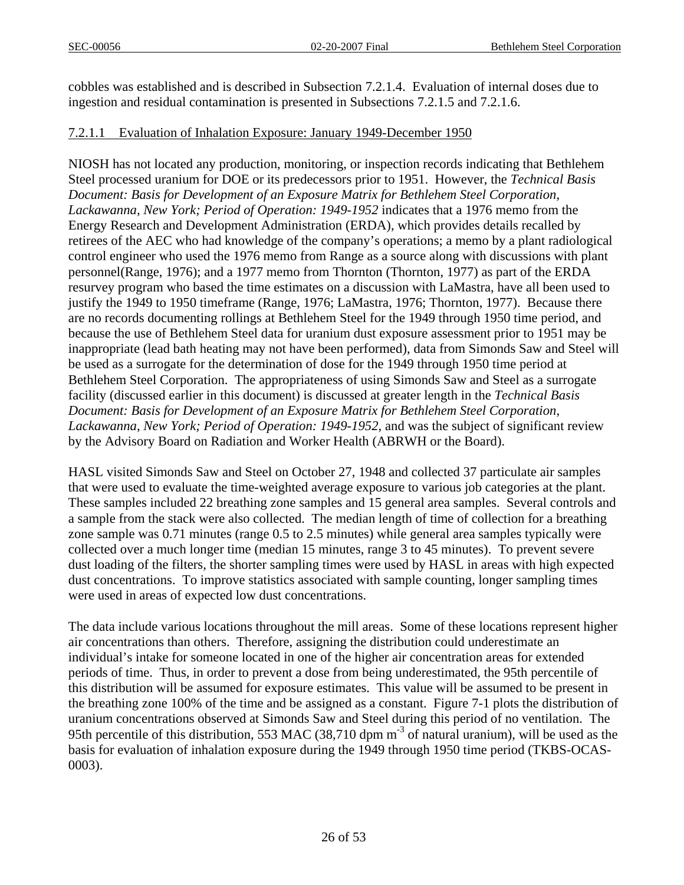cobbles was established and is described in Subsection 7.2.1.4. Evaluation of internal doses due to ingestion and residual contamination is presented in Subsections 7.2.1.5 and 7.2.1.6.

#### 7.2.1.1 Evaluation of Inhalation Exposure: January 1949-December 1950

NIOSH has not located any production, monitoring, or inspection records indicating that Bethlehem Steel processed uranium for DOE or its predecessors prior to 1951. However, the *Technical Basis Document: Basis for Development of an Exposure Matrix for Bethlehem Steel Corporation, Lackawanna, New York; Period of Operation: 1949-1952* indicates that a 1976 memo from the Energy Research and Development Administration (ERDA), which provides details recalled by retirees of the AEC who had knowledge of the company's operations; a memo by a plant radiological control engineer who used the 1976 memo from Range as a source along with discussions with plant personnel(Range, 1976); and a 1977 memo from Thornton (Thornton, 1977) as part of the ERDA resurvey program who based the time estimates on a discussion with LaMastra, have all been used to justify the 1949 to 1950 timeframe (Range, 1976; LaMastra, 1976; Thornton, 1977). Because there are no records documenting rollings at Bethlehem Steel for the 1949 through 1950 time period, and because the use of Bethlehem Steel data for uranium dust exposure assessment prior to 1951 may be inappropriate (lead bath heating may not have been performed), data from Simonds Saw and Steel will be used as a surrogate for the determination of dose for the 1949 through 1950 time period at Bethlehem Steel Corporation. The appropriateness of using Simonds Saw and Steel as a surrogate facility (discussed earlier in this document) is discussed at greater length in the *Technical Basis Document: Basis for Development of an Exposure Matrix for Bethlehem Steel Corporation, Lackawanna, New York; Period of Operation: 1949-1952*, and was the subject of significant review by the Advisory Board on Radiation and Worker Health (ABRWH or the Board).

HASL visited Simonds Saw and Steel on October 27, 1948 and collected 37 particulate air samples that were used to evaluate the time-weighted average exposure to various job categories at the plant. These samples included 22 breathing zone samples and 15 general area samples. Several controls and a sample from the stack were also collected. The median length of time of collection for a breathing zone sample was 0.71 minutes (range 0.5 to 2.5 minutes) while general area samples typically were collected over a much longer time (median 15 minutes, range 3 to 45 minutes). To prevent severe dust loading of the filters, the shorter sampling times were used by HASL in areas with high expected dust concentrations. To improve statistics associated with sample counting, longer sampling times were used in areas of expected low dust concentrations.

The data include various locations throughout the mill areas. Some of these locations represent higher air concentrations than others. Therefore, assigning the distribution could underestimate an individual's intake for someone located in one of the higher air concentration areas for extended periods of time. Thus, in order to prevent a dose from being underestimated, the 95th percentile of this distribution will be assumed for exposure estimates. This value will be assumed to be present in the breathing zone 100% of the time and be assigned as a constant. Figure 7-1 plots the distribution of uranium concentrations observed at Simonds Saw and Steel during this period of no ventilation. The 95th percentile of this distribution, 553 MAC (38,710 dpm m<sup>-3</sup> of natural uranium), will be used as the basis for evaluation of inhalation exposure during the 1949 through 1950 time period (TKBS-OCAS-0003).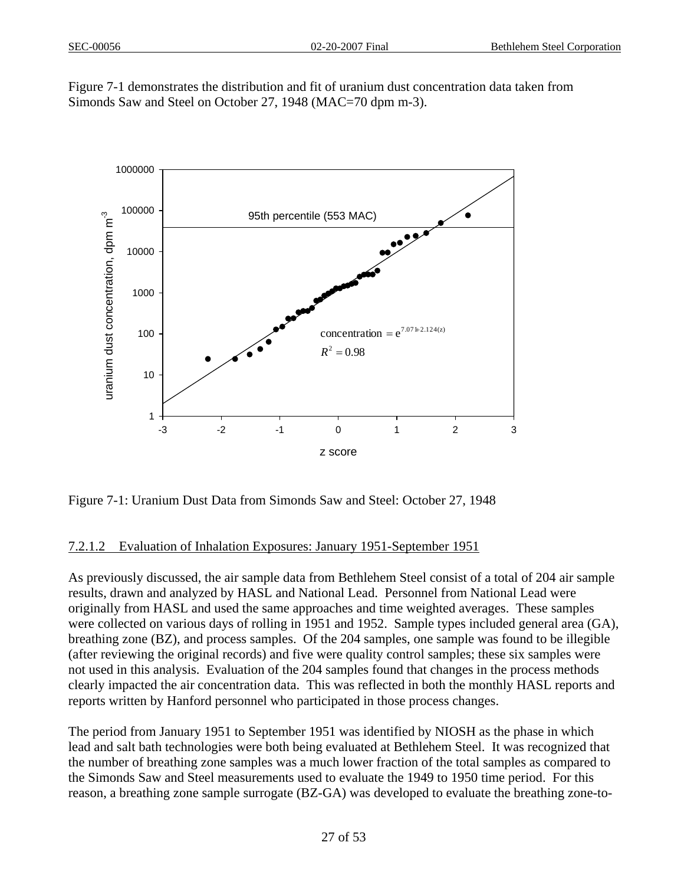Figure 7-1 demonstrates the distribution and fit of uranium dust concentration data taken from Simonds Saw and Steel on October 27, 1948 (MAC=70 dpm m-3).



Figure 7-1: Uranium Dust Data from Simonds Saw and Steel: October 27, 1948

## 7.2.1.2 Evaluation of Inhalation Exposures: January 1951-September 1951

As previously discussed, the air sample data from Bethlehem Steel consist of a total of 204 air sample results, drawn and analyzed by HASL and National Lead. Personnel from National Lead were originally from HASL and used the same approaches and time weighted averages. These samples were collected on various days of rolling in 1951 and 1952. Sample types included general area (GA), breathing zone (BZ), and process samples. Of the 204 samples, one sample was found to be illegible (after reviewing the original records) and five were quality control samples; these six samples were not used in this analysis. Evaluation of the 204 samples found that changes in the process methods clearly impacted the air concentration data. This was reflected in both the monthly HASL reports and reports written by Hanford personnel who participated in those process changes.

The period from January 1951 to September 1951 was identified by NIOSH as the phase in which lead and salt bath technologies were both being evaluated at Bethlehem Steel. It was recognized that the number of breathing zone samples was a much lower fraction of the total samples as compared to the Simonds Saw and Steel measurements used to evaluate the 1949 to 1950 time period. For this reason, a breathing zone sample surrogate (BZ-GA) was developed to evaluate the breathing zone-to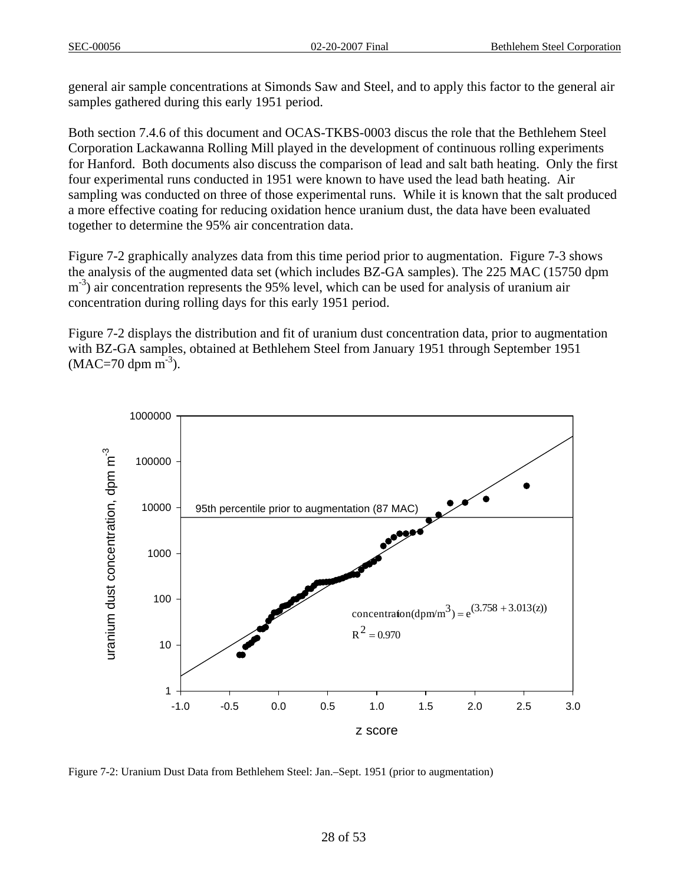general air sample concentrations at Simonds Saw and Steel, and to apply this factor to the general air samples gathered during this early 1951 period.

Both section 7.4.6 of this document and OCAS-TKBS-0003 discus the role that the Bethlehem Steel Corporation Lackawanna Rolling Mill played in the development of continuous rolling experiments for Hanford. Both documents also discuss the comparison of lead and salt bath heating. Only the first four experimental runs conducted in 1951 were known to have used the lead bath heating. Air sampling was conducted on three of those experimental runs. While it is known that the salt produced a more effective coating for reducing oxidation hence uranium dust, the data have been evaluated together to determine the 95% air concentration data.

Figure 7-2 graphically analyzes data from this time period prior to augmentation. Figure 7-3 shows the analysis of the augmented data set (which includes BZ-GA samples). The 225 MAC (15750 dpm m<sup>-3</sup>) air concentration represents the 95% level, which can be used for analysis of uranium air concentration during rolling days for this early 1951 period.

Figure 7-2 displays the distribution and fit of uranium dust concentration data, prior to augmentation with BZ-GA samples, obtained at Bethlehem Steel from January 1951 through September 1951  $(MAC=70$  dpm m<sup>-3</sup>).



Figure 7-2: Uranium Dust Data from Bethlehem Steel: Jan.–Sept. 1951 (prior to augmentation)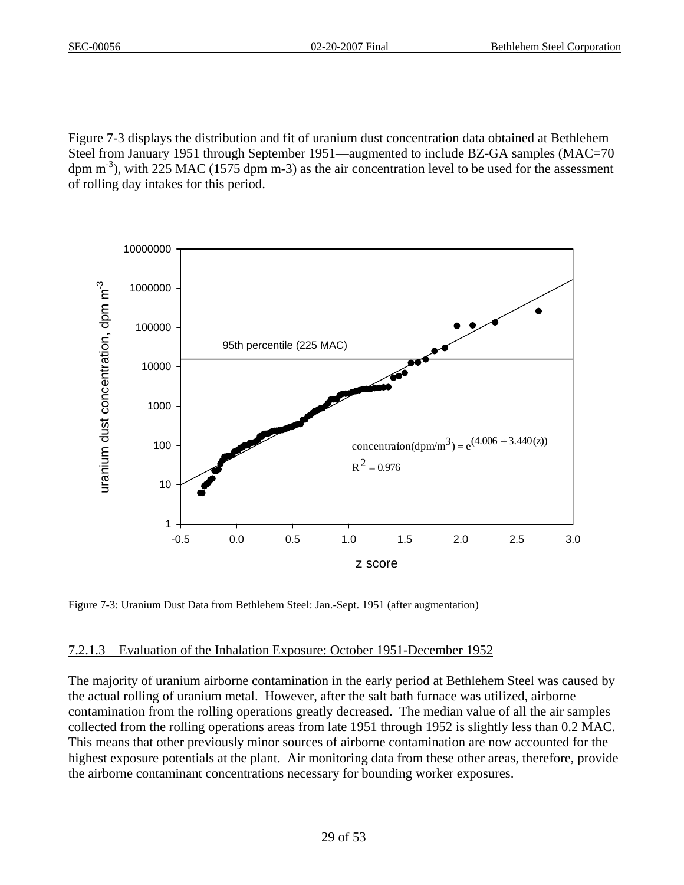Figure 7-3 displays the distribution and fit of uranium dust concentration data obtained at Bethlehem Steel from January 1951 through September 1951—augmented to include BZ-GA samples (MAC=70) dpm  $m^{-3}$ ), with 225 MAC (1575 dpm m-3) as the air concentration level to be used for the assessment of rolling day intakes for this period.



Figure 7-3: Uranium Dust Data from Bethlehem Steel: Jan.-Sept. 1951 (after augmentation)

## 7.2.1.3 Evaluation of the Inhalation Exposure: October 1951-December 1952

The majority of uranium airborne contamination in the early period at Bethlehem Steel was caused by the actual rolling of uranium metal. However, after the salt bath furnace was utilized, airborne contamination from the rolling operations greatly decreased. The median value of all the air samples collected from the rolling operations areas from late 1951 through 1952 is slightly less than 0.2 MAC. This means that other previously minor sources of airborne contamination are now accounted for the highest exposure potentials at the plant. Air monitoring data from these other areas, therefore, provide the airborne contaminant concentrations necessary for bounding worker exposures.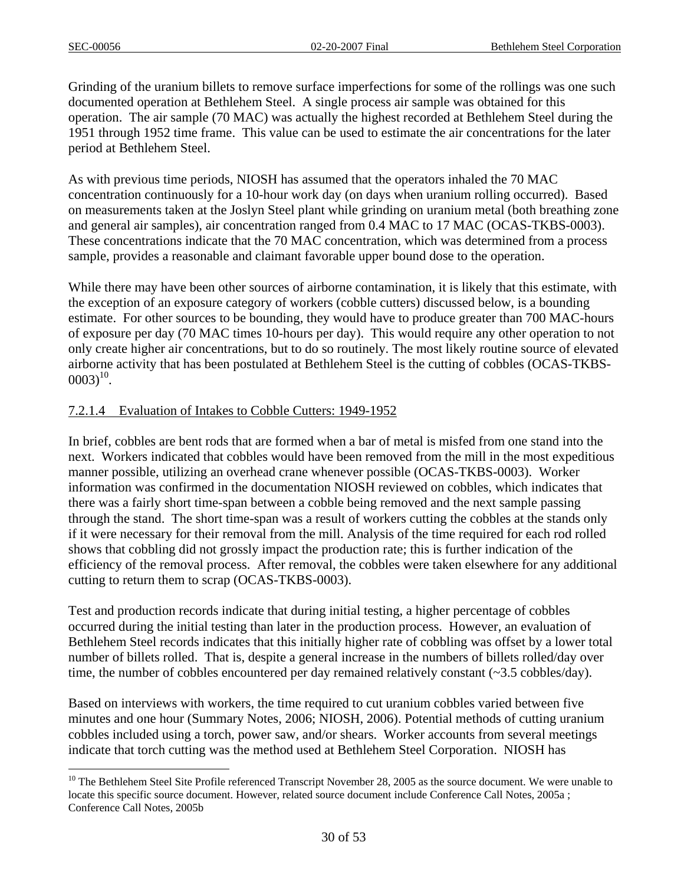Grinding of the uranium billets to remove surface imperfections for some of the rollings was one such documented operation at Bethlehem Steel. A single process air sample was obtained for this operation. The air sample (70 MAC) was actually the highest recorded at Bethlehem Steel during the 1951 through 1952 time frame. This value can be used to estimate the air concentrations for the later period at Bethlehem Steel.

As with previous time periods, NIOSH has assumed that the operators inhaled the 70 MAC concentration continuously for a 10-hour work day (on days when uranium rolling occurred). Based on measurements taken at the Joslyn Steel plant while grinding on uranium metal (both breathing zone and general air samples), air concentration ranged from 0.4 MAC to 17 MAC (OCAS-TKBS-0003). These concentrations indicate that the 70 MAC concentration, which was determined from a process sample, provides a reasonable and claimant favorable upper bound dose to the operation.

While there may have been other sources of airborne contamination, it is likely that this estimate, with the exception of an exposure category of workers (cobble cutters) discussed below, is a bounding estimate. For other sources to be bounding, they would have to produce greater than 700 MAC-hours of exposure per day (70 MAC times 10-hours per day). This would require any other operation to not only create higher air concentrations, but to do so routinely. The most likely routine source of elevated airborne activity that has been postulated at Bethlehem Steel is the cutting of cobbles (OCAS-TKBS- $0003)^{10}$ .

#### 7.2.1.4 Evaluation of Intakes to Cobble Cutters: 1949-1952

In brief, cobbles are bent rods that are formed when a bar of metal is misfed from one stand into the next. Workers indicated that cobbles would have been removed from the mill in the most expeditious manner possible, utilizing an overhead crane whenever possible (OCAS-TKBS-0003). Worker information was confirmed in the documentation NIOSH reviewed on cobbles, which indicates that there was a fairly short time-span between a cobble being removed and the next sample passing through the stand. The short time-span was a result of workers cutting the cobbles at the stands only if it were necessary for their removal from the mill. Analysis of the time required for each rod rolled shows that cobbling did not grossly impact the production rate; this is further indication of the efficiency of the removal process. After removal, the cobbles were taken elsewhere for any additional cutting to return them to scrap (OCAS-TKBS-0003).

Test and production records indicate that during initial testing, a higher percentage of cobbles occurred during the initial testing than later in the production process. However, an evaluation of Bethlehem Steel records indicates that this initially higher rate of cobbling was offset by a lower total number of billets rolled. That is, despite a general increase in the numbers of billets rolled/day over time, the number of cobbles encountered per day remained relatively constant (~3.5 cobbles/day).

Based on interviews with workers, the time required to cut uranium cobbles varied between five minutes and one hour (Summary Notes, 2006; NIOSH, 2006). Potential methods of cutting uranium cobbles included using a torch, power saw, and/or shears. Worker accounts from several meetings indicate that torch cutting was the method used at Bethlehem Steel Corporation. NIOSH has

 $\overline{a}$  $10$  The Bethlehem Steel Site Profile referenced Transcript November 28, 2005 as the source document. We were unable to locate this specific source document. However, related source document include Conference Call Notes, 2005a ; Conference Call Notes, 2005b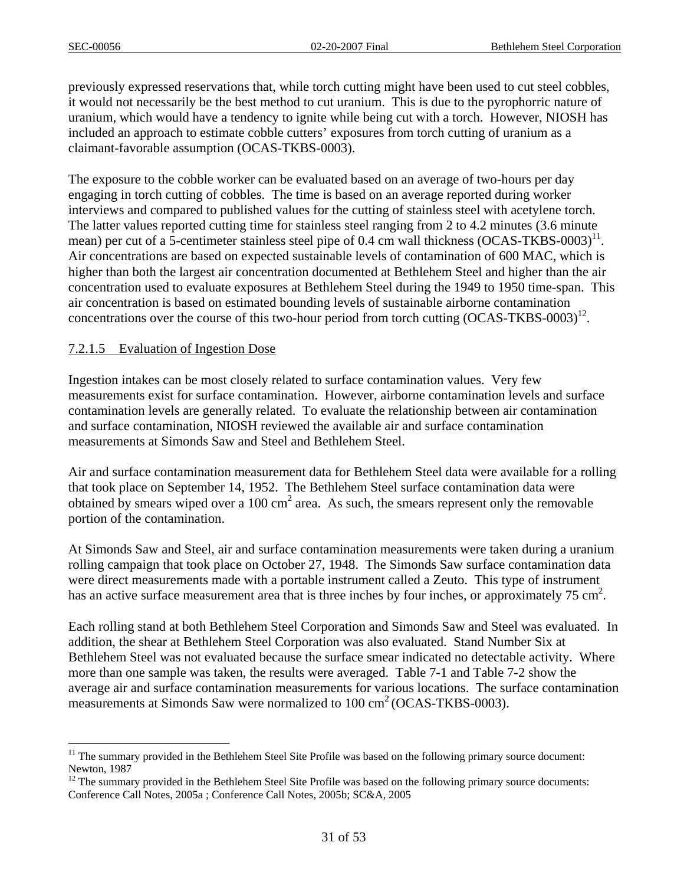$\overline{a}$ 

previously expressed reservations that, while torch cutting might have been used to cut steel cobbles, it would not necessarily be the best method to cut uranium. This is due to the pyrophorric nature of uranium, which would have a tendency to ignite while being cut with a torch. However, NIOSH has included an approach to estimate cobble cutters' exposures from torch cutting of uranium as a claimant-favorable assumption (OCAS-TKBS-0003).

The exposure to the cobble worker can be evaluated based on an average of two-hours per day engaging in torch cutting of cobbles. The time is based on an average reported during worker interviews and compared to published values for the cutting of stainless steel with acetylene torch. The latter values reported cutting time for stainless steel ranging from 2 to 4.2 minutes (3.6 minute mean) per cut of a 5-centimeter stainless steel pipe of  $0.4$  cm wall thickness (OCAS-TKBS-0003)<sup>11</sup>. Air concentrations are based on expected sustainable levels of contamination of 600 MAC, which is higher than both the largest air concentration documented at Bethlehem Steel and higher than the air concentration used to evaluate exposures at Bethlehem Steel during the 1949 to 1950 time-span. This air concentration is based on estimated bounding levels of sustainable airborne contamination concentrations over the course of this two-hour period from torch cutting  $(OCAS-TKBS-0003)^{12}$ .

#### 7.2.1.5 Evaluation of Ingestion Dose

Ingestion intakes can be most closely related to surface contamination values. Very few measurements exist for surface contamination. However, airborne contamination levels and surface contamination levels are generally related. To evaluate the relationship between air contamination and surface contamination, NIOSH reviewed the available air and surface contamination measurements at Simonds Saw and Steel and Bethlehem Steel.

Air and surface contamination measurement data for Bethlehem Steel data were available for a rolling that took place on September 14, 1952. The Bethlehem Steel surface contamination data were obtained by smears wiped over a 100 cm<sup>2</sup> area. As such, the smears represent only the removable portion of the contamination.

At Simonds Saw and Steel, air and surface contamination measurements were taken during a uranium rolling campaign that took place on October 27, 1948. The Simonds Saw surface contamination data were direct measurements made with a portable instrument called a Zeuto. This type of instrument has an active surface measurement area that is three inches by four inches, or approximately  $75 \text{ cm}^2$ .

Each rolling stand at both Bethlehem Steel Corporation and Simonds Saw and Steel was evaluated. In addition, the shear at Bethlehem Steel Corporation was also evaluated. Stand Number Six at Bethlehem Steel was not evaluated because the surface smear indicated no detectable activity. Where more than one sample was taken, the results were averaged. Table 7-1 and Table 7-2 show the average air and surface contamination measurements for various locations. The surface contamination measurements at Simonds Saw were normalized to 100 cm<sup>2</sup> (OCAS-TKBS-0003).

<sup>&</sup>lt;sup>11</sup> The summary provided in the Bethlehem Steel Site Profile was based on the following primary source document: Newton, 1987

 $12$  The summary provided in the Bethlehem Steel Site Profile was based on the following primary source documents: Conference Call Notes, 2005a ; Conference Call Notes, 2005b; SC&A, 2005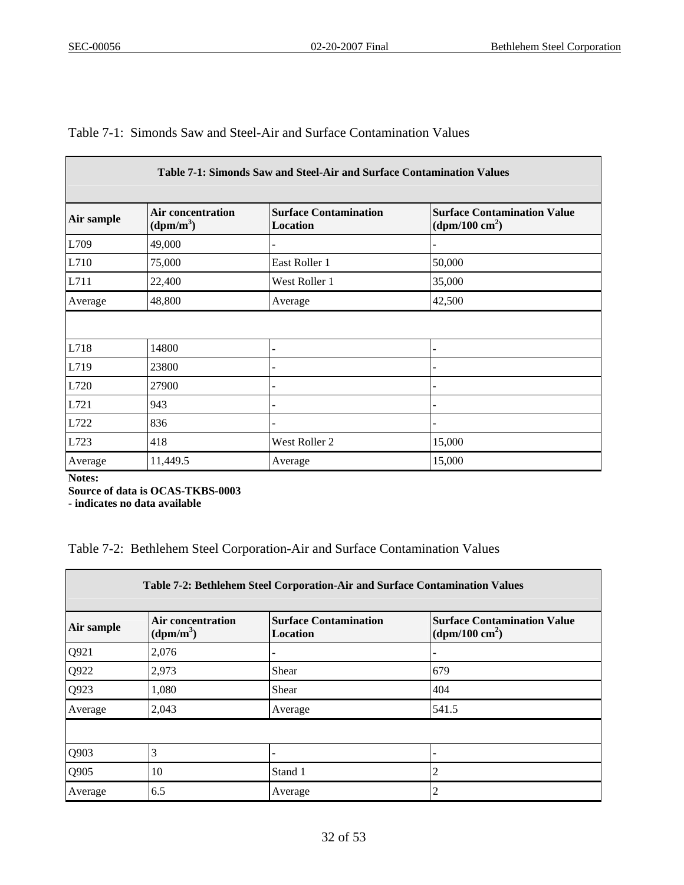| Table 7-1: Simonds Saw and Steel-Air and Surface Contamination Values |                                                   |                                          |                                                                |  |  |
|-----------------------------------------------------------------------|---------------------------------------------------|------------------------------------------|----------------------------------------------------------------|--|--|
| Air sample                                                            | <b>Air concentration</b><br>(dpm/m <sup>3</sup> ) | <b>Surface Contamination</b><br>Location | <b>Surface Contamination Value</b><br>$(dpm/100 \text{ cm}^2)$ |  |  |
| L709                                                                  | 49,000                                            |                                          |                                                                |  |  |
| L710                                                                  | 75,000                                            | East Roller 1                            | 50,000                                                         |  |  |
| L711                                                                  | 22,400                                            | West Roller 1                            | 35,000                                                         |  |  |
| Average                                                               | 48,800                                            | Average                                  | 42,500                                                         |  |  |
|                                                                       |                                                   |                                          |                                                                |  |  |
| L718                                                                  | 14800                                             |                                          |                                                                |  |  |
| L719                                                                  | 23800                                             |                                          | ۰                                                              |  |  |
| L720                                                                  | 27900                                             |                                          |                                                                |  |  |
| L721                                                                  | 943                                               |                                          |                                                                |  |  |
| L722                                                                  | 836                                               |                                          |                                                                |  |  |
| L723                                                                  | 418                                               | West Roller 2                            | 15,000                                                         |  |  |
| Average                                                               | 11,449.5                                          | Average                                  | 15,000                                                         |  |  |

#### Table 7-1: Simonds Saw and Steel-Air and Surface Contamination Values

**Notes:** 

**Source of data is OCAS-TKBS-0003** 

**- indicates no data available** 

#### Table 7-2: Bethlehem Steel Corporation-Air and Surface Contamination Values

| Table 7-2: Bethlehem Steel Corporation-Air and Surface Contamination Values |                                            |                                          |                                                                  |
|-----------------------------------------------------------------------------|--------------------------------------------|------------------------------------------|------------------------------------------------------------------|
| Air sample                                                                  | Air concentration<br>(dpm/m <sup>3</sup> ) | <b>Surface Contamination</b><br>Location | <b>Surface Contamination Value</b><br>(dpm/100 cm <sup>2</sup> ) |
| Q921                                                                        | 2,076                                      |                                          | ۰                                                                |
| Q922                                                                        | 2,973                                      | Shear                                    | 679                                                              |
| Q923                                                                        | 1,080                                      | Shear                                    | 404                                                              |
| Average                                                                     | 2,043                                      | Average                                  | 541.5                                                            |
|                                                                             |                                            |                                          |                                                                  |
| Q903                                                                        | 3                                          |                                          | ۰                                                                |
| Q905                                                                        | 10                                         | Stand 1                                  | 2                                                                |
| Average                                                                     | 6.5                                        | Average                                  | 2                                                                |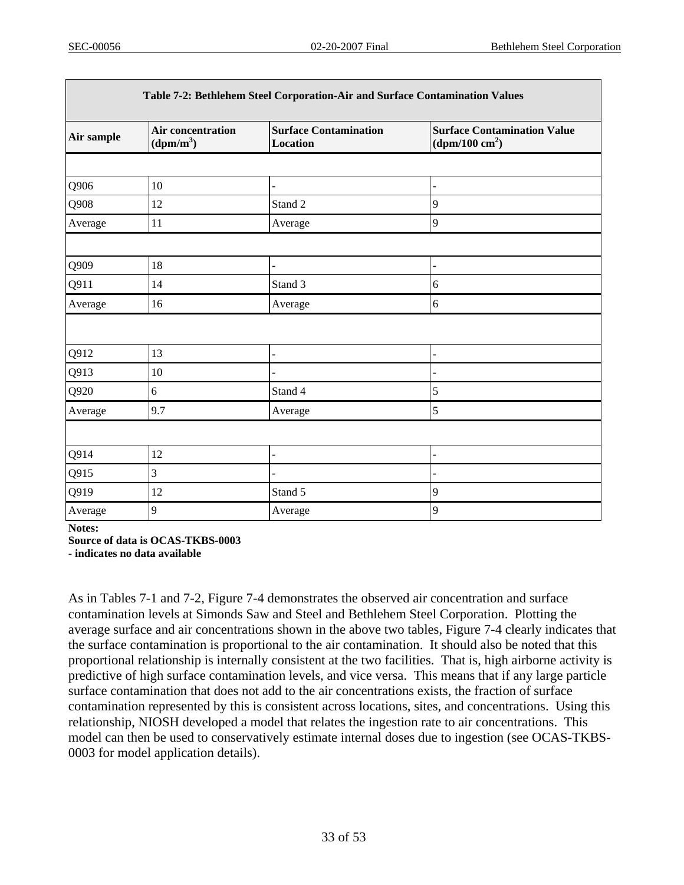| Air sample | Air concentration<br>(dpm/m <sup>3</sup> ) | <b>Surface Contamination</b><br>Location | <b>Surface Contamination Value</b><br>$(dpm/100 \text{ cm}^2)$ |
|------------|--------------------------------------------|------------------------------------------|----------------------------------------------------------------|
|            |                                            |                                          |                                                                |
| Q906       | $10\,$                                     | ٠                                        | $\blacksquare$                                                 |
| Q908       | 12                                         | Stand 2                                  | 9                                                              |
| Average    | 11                                         | Average                                  | 9                                                              |
|            |                                            |                                          |                                                                |
| Q909       | 18                                         | L                                        | $\blacksquare$                                                 |
| Q911       | 14                                         | Stand 3                                  | 6                                                              |
| Average    | 16                                         | Average                                  | $6\,$                                                          |
|            |                                            |                                          |                                                                |
| Q912       | 13                                         | ÷,                                       | $\blacksquare$                                                 |
| Q913       | 10                                         |                                          |                                                                |
| Q920       | 6                                          | Stand 4                                  | 5                                                              |
| Average    | 9.7                                        | Average                                  | 5                                                              |
|            |                                            |                                          |                                                                |
| Q914       | 12                                         | ÷,                                       | $\blacksquare$                                                 |
| Q915       | 3                                          | ÷                                        | $\blacksquare$                                                 |
| Q919       | 12                                         | Stand 5                                  | 9                                                              |
| Average    | 9                                          | Average                                  | $\mathbf{9}$                                                   |

**Notes:** 

**Source of data is OCAS-TKBS-0003** 

**- indicates no data available** 

As in Tables 7-1 and 7-2, Figure 7-4 demonstrates the observed air concentration and surface contamination levels at Simonds Saw and Steel and Bethlehem Steel Corporation. Plotting the average surface and air concentrations shown in the above two tables, Figure 7-4 clearly indicates that the surface contamination is proportional to the air contamination. It should also be noted that this proportional relationship is internally consistent at the two facilities. That is, high airborne activity is predictive of high surface contamination levels, and vice versa. This means that if any large particle surface contamination that does not add to the air concentrations exists, the fraction of surface contamination represented by this is consistent across locations, sites, and concentrations. Using this relationship, NIOSH developed a model that relates the ingestion rate to air concentrations. This model can then be used to conservatively estimate internal doses due to ingestion (see OCAS-TKBS-0003 for model application details).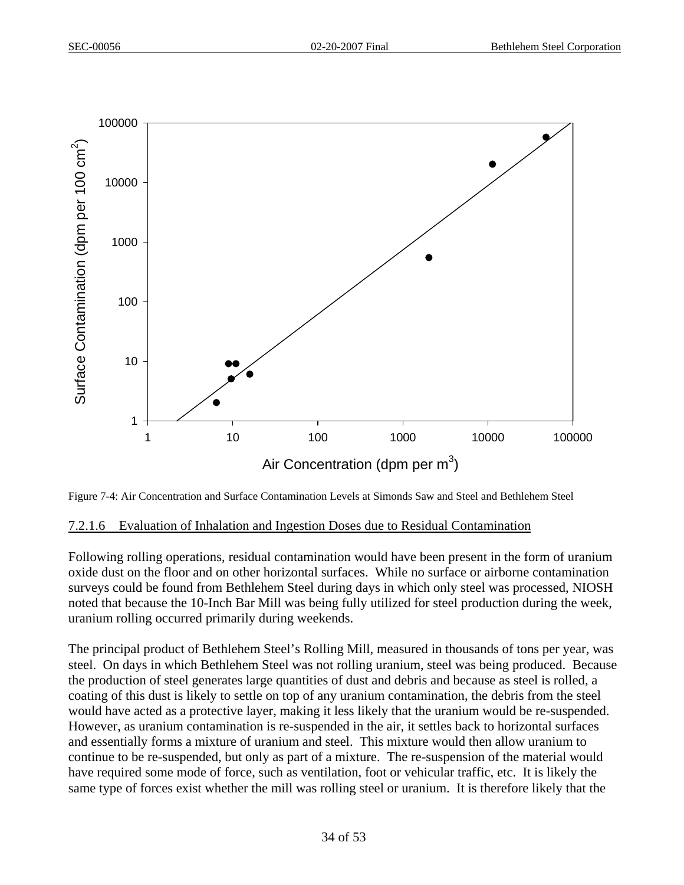

Figure 7-4: Air Concentration and Surface Contamination Levels at Simonds Saw and Steel and Bethlehem Steel

#### 7.2.1.6 Evaluation of Inhalation and Ingestion Doses due to Residual Contamination

Following rolling operations, residual contamination would have been present in the form of uranium oxide dust on the floor and on other horizontal surfaces. While no surface or airborne contamination surveys could be found from Bethlehem Steel during days in which only steel was processed, NIOSH noted that because the 10-Inch Bar Mill was being fully utilized for steel production during the week, uranium rolling occurred primarily during weekends.

The principal product of Bethlehem Steel's Rolling Mill, measured in thousands of tons per year, was steel. On days in which Bethlehem Steel was not rolling uranium, steel was being produced. Because the production of steel generates large quantities of dust and debris and because as steel is rolled, a coating of this dust is likely to settle on top of any uranium contamination, the debris from the steel would have acted as a protective layer, making it less likely that the uranium would be re-suspended. However, as uranium contamination is re-suspended in the air, it settles back to horizontal surfaces and essentially forms a mixture of uranium and steel. This mixture would then allow uranium to continue to be re-suspended, but only as part of a mixture. The re-suspension of the material would have required some mode of force, such as ventilation, foot or vehicular traffic, etc. It is likely the same type of forces exist whether the mill was rolling steel or uranium. It is therefore likely that the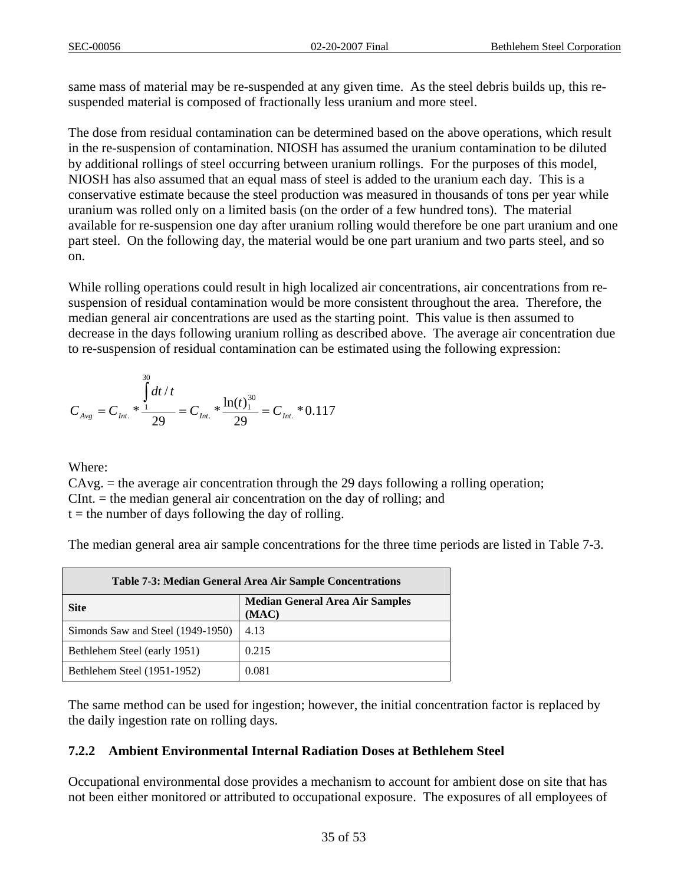same mass of material may be re-suspended at any given time. As the steel debris builds up, this resuspended material is composed of fractionally less uranium and more steel.

The dose from residual contamination can be determined based on the above operations, which result in the re-suspension of contamination. NIOSH has assumed the uranium contamination to be diluted by additional rollings of steel occurring between uranium rollings. For the purposes of this model, NIOSH has also assumed that an equal mass of steel is added to the uranium each day. This is a conservative estimate because the steel production was measured in thousands of tons per year while uranium was rolled only on a limited basis (on the order of a few hundred tons). The material available for re-suspension one day after uranium rolling would therefore be one part uranium and one part steel. On the following day, the material would be one part uranium and two parts steel, and so on.

While rolling operations could result in high localized air concentrations, air concentrations from resuspension of residual contamination would be more consistent throughout the area. Therefore, the median general air concentrations are used as the starting point. This value is then assumed to decrease in the days following uranium rolling as described above. The average air concentration due to re-suspension of residual contamination can be estimated using the following expression:

$$
C_{Avg} = C_{Int.} * \frac{\int_{1}^{30} dt/t}{29} = C_{Int.} * \frac{\ln(t)_{1}^{30}}{29} = C_{Int.} * 0.117
$$

Where:

CAvg. = the average air concentration through the 29 days following a rolling operation; CInt. = the median general air concentration on the day of rolling; and  $t =$  the number of days following the day of rolling.

The median general area air sample concentrations for the three time periods are listed in Table 7-3.

| Table 7-3: Median General Area Air Sample Concentrations |                                                 |  |  |
|----------------------------------------------------------|-------------------------------------------------|--|--|
| <b>Site</b>                                              | <b>Median General Area Air Samples</b><br>(MAC) |  |  |
| Simonds Saw and Steel (1949-1950)                        | 4.13                                            |  |  |
| Bethlehem Steel (early 1951)                             | 0.215                                           |  |  |
| Bethlehem Steel (1951-1952)                              | 0.081                                           |  |  |

The same method can be used for ingestion; however, the initial concentration factor is replaced by the daily ingestion rate on rolling days.

## **7.2.2 Ambient Environmental Internal Radiation Doses at Bethlehem Steel**

Occupational environmental dose provides a mechanism to account for ambient dose on site that has not been either monitored or attributed to occupational exposure. The exposures of all employees of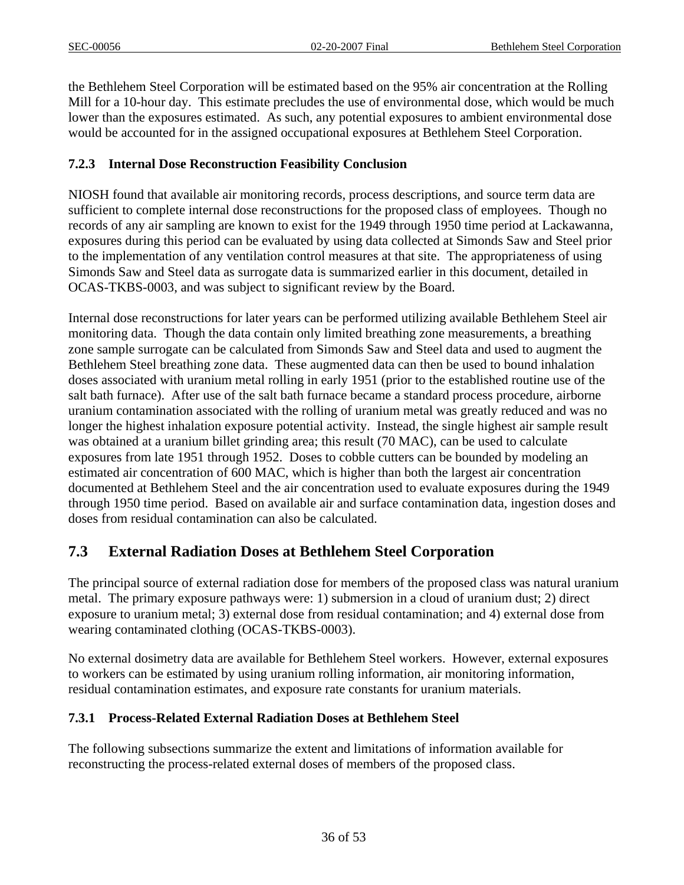the Bethlehem Steel Corporation will be estimated based on the 95% air concentration at the Rolling Mill for a 10-hour day. This estimate precludes the use of environmental dose, which would be much lower than the exposures estimated. As such, any potential exposures to ambient environmental dose would be accounted for in the assigned occupational exposures at Bethlehem Steel Corporation.

#### **7.2.3 Internal Dose Reconstruction Feasibility Conclusion**

NIOSH found that available air monitoring records, process descriptions, and source term data are sufficient to complete internal dose reconstructions for the proposed class of employees. Though no records of any air sampling are known to exist for the 1949 through 1950 time period at Lackawanna, exposures during this period can be evaluated by using data collected at Simonds Saw and Steel prior to the implementation of any ventilation control measures at that site. The appropriateness of using Simonds Saw and Steel data as surrogate data is summarized earlier in this document, detailed in OCAS-TKBS-0003, and was subject to significant review by the Board.

Internal dose reconstructions for later years can be performed utilizing available Bethlehem Steel air monitoring data. Though the data contain only limited breathing zone measurements, a breathing zone sample surrogate can be calculated from Simonds Saw and Steel data and used to augment the Bethlehem Steel breathing zone data. These augmented data can then be used to bound inhalation doses associated with uranium metal rolling in early 1951 (prior to the established routine use of the salt bath furnace). After use of the salt bath furnace became a standard process procedure, airborne uranium contamination associated with the rolling of uranium metal was greatly reduced and was no longer the highest inhalation exposure potential activity. Instead, the single highest air sample result was obtained at a uranium billet grinding area; this result (70 MAC), can be used to calculate exposures from late 1951 through 1952. Doses to cobble cutters can be bounded by modeling an estimated air concentration of 600 MAC, which is higher than both the largest air concentration documented at Bethlehem Steel and the air concentration used to evaluate exposures during the 1949 through 1950 time period. Based on available air and surface contamination data, ingestion doses and doses from residual contamination can also be calculated.

## **7.3 External Radiation Doses at Bethlehem Steel Corporation**

The principal source of external radiation dose for members of the proposed class was natural uranium metal. The primary exposure pathways were: 1) submersion in a cloud of uranium dust; 2) direct exposure to uranium metal; 3) external dose from residual contamination; and 4) external dose from wearing contaminated clothing (OCAS-TKBS-0003).

No external dosimetry data are available for Bethlehem Steel workers. However, external exposures to workers can be estimated by using uranium rolling information, air monitoring information, residual contamination estimates, and exposure rate constants for uranium materials.

#### **7.3.1 Process-Related External Radiation Doses at Bethlehem Steel**

The following subsections summarize the extent and limitations of information available for reconstructing the process-related external doses of members of the proposed class.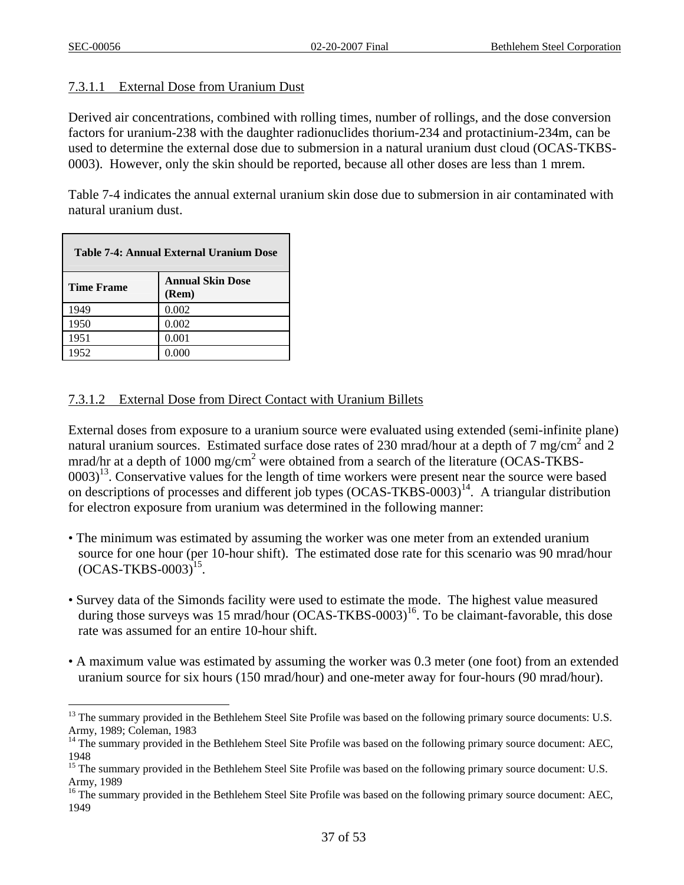$\overline{a}$ 

#### 7.3.1.1 External Dose from Uranium Dust

Derived air concentrations, combined with rolling times, number of rollings, and the dose conversion factors for uranium-238 with the daughter radionuclides thorium-234 and protactinium-234m, can be used to determine the external dose due to submersion in a natural uranium dust cloud (OCAS-TKBS-0003). However, only the skin should be reported, because all other doses are less than 1 mrem.

Table 7-4 indicates the annual external uranium skin dose due to submersion in air contaminated with natural uranium dust.

| Table 7-4: Annual External Uranium Dose |                                  |  |  |
|-----------------------------------------|----------------------------------|--|--|
| <b>Time Frame</b>                       | <b>Annual Skin Dose</b><br>(Rem) |  |  |
| 1949                                    | 0.002                            |  |  |
| 1950                                    | 0.002                            |  |  |
| 1951                                    | 0.001                            |  |  |
| 1952                                    |                                  |  |  |

#### 7.3.1.2 External Dose from Direct Contact with Uranium Billets

External doses from exposure to a uranium source were evaluated using extended (semi-infinite plane) natural uranium sources. Estimated surface dose rates of 230 mrad/hour at a depth of 7 mg/cm<sup>2</sup> and 2 mrad/hr at a depth of 1000 mg/cm<sup>2</sup> were obtained from a search of the literature (OCAS-TKBS-0003)<sup>13</sup>. Conservative values for the length of time workers were present near the source were based on descriptions of processes and different job types (OCAS-TKBS-0003)<sup>14</sup>. A triangular distribution for electron exposure from uranium was determined in the following manner:

- The minimum was estimated by assuming the worker was one meter from an extended uranium source for one hour (per 10-hour shift). The estimated dose rate for this scenario was 90 mrad/hour  $(OCAS-TKBS-0003)^{15}$ .
- Survey data of the Simonds facility were used to estimate the mode. The highest value measured during those surveys was 15 mrad/hour (OCAS-TKBS-0003)<sup>16</sup>. To be claimant-favorable, this dose rate was assumed for an entire 10-hour shift.
- A maximum value was estimated by assuming the worker was 0.3 meter (one foot) from an extended uranium source for six hours (150 mrad/hour) and one-meter away for four-hours (90 mrad/hour).

<sup>&</sup>lt;sup>13</sup> The summary provided in the Bethlehem Steel Site Profile was based on the following primary source documents: U.S. Army, 1989; Coleman, 1983

<sup>&</sup>lt;sup>14</sup> The summary provided in the Bethlehem Steel Site Profile was based on the following primary source document: AEC, 1948

<sup>&</sup>lt;sup>15</sup> The summary provided in the Bethlehem Steel Site Profile was based on the following primary source document: U.S. Army, 1989

<sup>&</sup>lt;sup>16</sup> The summary provided in the Bethlehem Steel Site Profile was based on the following primary source document: AEC, 1949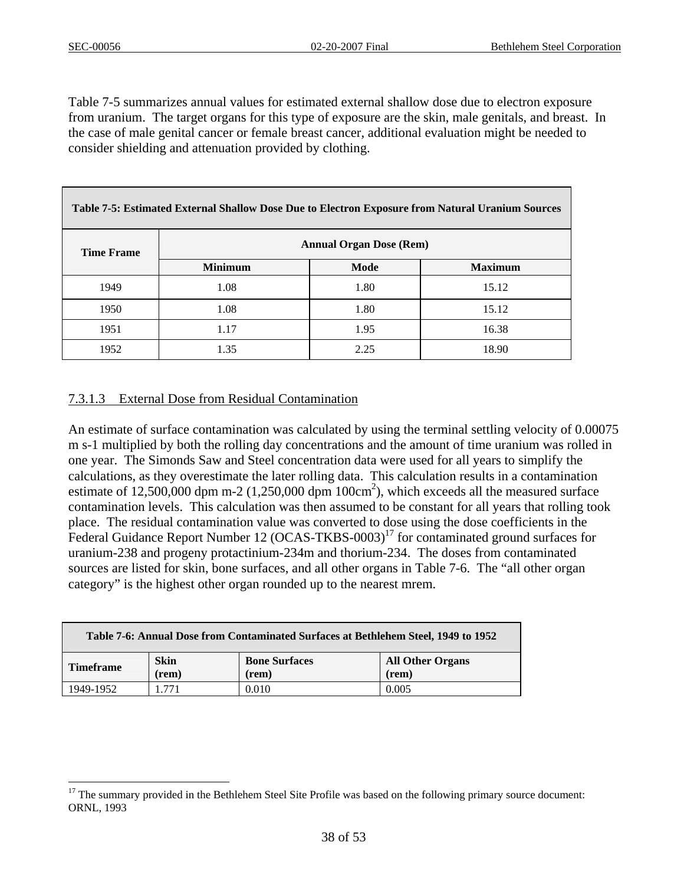$\overline{a}$ 

Table 7-5 summarizes annual values for estimated external shallow dose due to electron exposure from uranium. The target organs for this type of exposure are the skin, male genitals, and breast. In the case of male genital cancer or female breast cancer, additional evaluation might be needed to consider shielding and attenuation provided by clothing.

| Table 7-5: Estimated External Shallow Dose Due to Electron Exposure from Natural Uranium Sources |                                |      |                |  |
|--------------------------------------------------------------------------------------------------|--------------------------------|------|----------------|--|
| <b>Time Frame</b>                                                                                | <b>Annual Organ Dose (Rem)</b> |      |                |  |
|                                                                                                  | <b>Minimum</b>                 | Mode | <b>Maximum</b> |  |
| 1949                                                                                             | 1.08                           | 1.80 | 15.12          |  |
| 1950                                                                                             | 1.08                           | 1.80 | 15.12          |  |
| 1951                                                                                             | 1.17                           | 1.95 | 16.38          |  |
| 1952                                                                                             | 1.35                           | 2.25 | 18.90          |  |

#### 7.3.1.3 External Dose from Residual Contamination

An estimate of surface contamination was calculated by using the terminal settling velocity of 0.00075 m s-1 multiplied by both the rolling day concentrations and the amount of time uranium was rolled in one year. The Simonds Saw and Steel concentration data were used for all years to simplify the calculations, as they overestimate the later rolling data. This calculation results in a contamination estimate of 12,500,000 dpm m-2 (1,250,000 dpm 100cm<sup>2</sup>), which exceeds all the measured surface contamination levels. This calculation was then assumed to be constant for all years that rolling took place. The residual contamination value was converted to dose using the dose coefficients in the Federal Guidance Report Number 12 (OCAS-TKBS-0003)<sup>17</sup> for contaminated ground surfaces for uranium-238 and progeny protactinium-234m and thorium-234. The doses from contaminated sources are listed for skin, bone surfaces, and all other organs in Table 7-6. The "all other organ category" is the highest other organ rounded up to the nearest mrem.

| Table 7-6: Annual Dose from Contaminated Surfaces at Bethlehem Steel, 1949 to 1952 |                      |                               |                                  |
|------------------------------------------------------------------------------------|----------------------|-------------------------------|----------------------------------|
| <b>Timeframe</b>                                                                   | <b>Skin</b><br>(rem) | <b>Bone Surfaces</b><br>(rem) | <b>All Other Organs</b><br>(rem) |
| 1949-1952                                                                          | 771                  | 0.010                         | 0.005                            |

<sup>&</sup>lt;sup>17</sup> The summary provided in the Bethlehem Steel Site Profile was based on the following primary source document: ORNL, 1993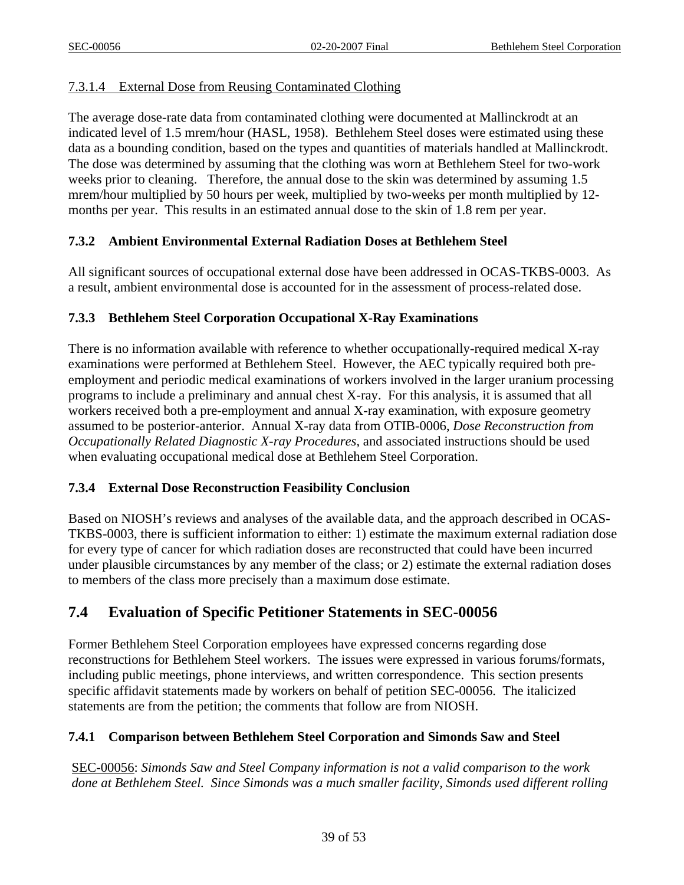#### 7.3.1.4 External Dose from Reusing Contaminated Clothing

The average dose-rate data from contaminated clothing were documented at Mallinckrodt at an indicated level of 1.5 mrem/hour (HASL, 1958). Bethlehem Steel doses were estimated using these data as a bounding condition, based on the types and quantities of materials handled at Mallinckrodt. The dose was determined by assuming that the clothing was worn at Bethlehem Steel for two-work weeks prior to cleaning. Therefore, the annual dose to the skin was determined by assuming 1.5 mrem/hour multiplied by 50 hours per week, multiplied by two-weeks per month multiplied by 12 months per year. This results in an estimated annual dose to the skin of 1.8 rem per year.

## **7.3.2 Ambient Environmental External Radiation Doses at Bethlehem Steel**

All significant sources of occupational external dose have been addressed in OCAS-TKBS-0003. As a result, ambient environmental dose is accounted for in the assessment of process-related dose.

#### **7.3.3 Bethlehem Steel Corporation Occupational X-Ray Examinations**

There is no information available with reference to whether occupationally-required medical X-ray examinations were performed at Bethlehem Steel. However, the AEC typically required both preemployment and periodic medical examinations of workers involved in the larger uranium processing programs to include a preliminary and annual chest X-ray. For this analysis, it is assumed that all workers received both a pre-employment and annual X-ray examination, with exposure geometry assumed to be posterior-anterior. Annual X-ray data from OTIB-0006, *Dose Reconstruction from Occupationally Related Diagnostic X-ray Procedures*, and associated instructions should be used when evaluating occupational medical dose at Bethlehem Steel Corporation.

#### **7.3.4 External Dose Reconstruction Feasibility Conclusion**

Based on NIOSH's reviews and analyses of the available data, and the approach described in OCAS-TKBS-0003, there is sufficient information to either: 1) estimate the maximum external radiation dose for every type of cancer for which radiation doses are reconstructed that could have been incurred under plausible circumstances by any member of the class; or 2) estimate the external radiation doses to members of the class more precisely than a maximum dose estimate.

## **7.4 Evaluation of Specific Petitioner Statements in SEC-00056**

Former Bethlehem Steel Corporation employees have expressed concerns regarding dose reconstructions for Bethlehem Steel workers. The issues were expressed in various forums/formats, including public meetings, phone interviews, and written correspondence. This section presents specific affidavit statements made by workers on behalf of petition SEC-00056. The italicized statements are from the petition; the comments that follow are from NIOSH.

## **7.4.1 Comparison between Bethlehem Steel Corporation and Simonds Saw and Steel**

SEC-00056: *Simonds Saw and Steel Company information is not a valid comparison to the work done at Bethlehem Steel. Since Simonds was a much smaller facility, Simonds used different rolling*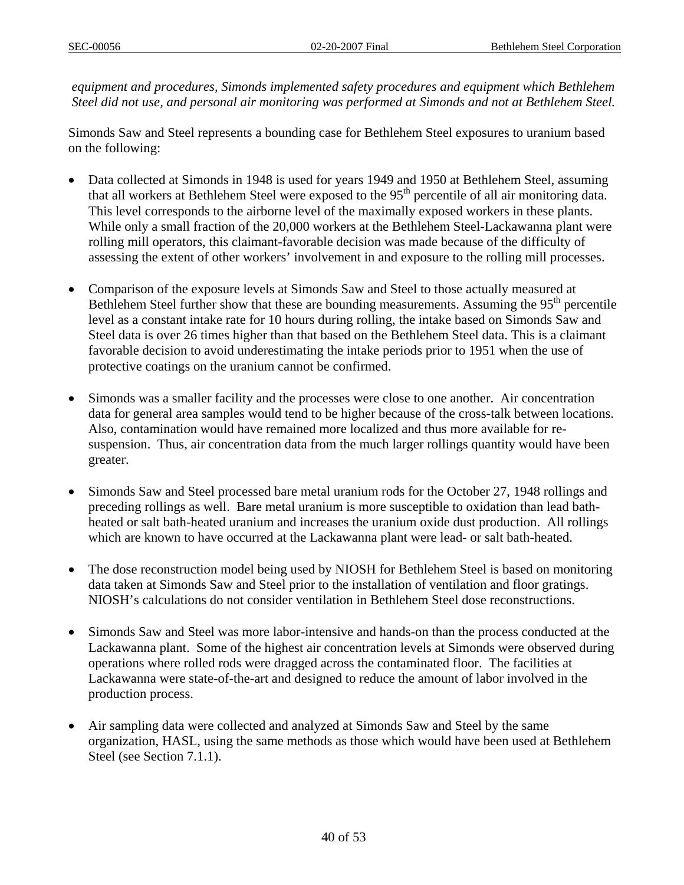*equipment and procedures, Simonds implemented safety procedures and equipment which Bethlehem Steel did not use, and personal air monitoring was performed at Simonds and not at Bethlehem Steel.* 

Simonds Saw and Steel represents a bounding case for Bethlehem Steel exposures to uranium based on the following:

- Data collected at Simonds in 1948 is used for years 1949 and 1950 at Bethlehem Steel, assuming that all workers at Bethlehem Steel were exposed to the 95<sup>th</sup> percentile of all air monitoring data. This level corresponds to the airborne level of the maximally exposed workers in these plants. While only a small fraction of the 20,000 workers at the Bethlehem Steel-Lackawanna plant were rolling mill operators, this claimant-favorable decision was made because of the difficulty of assessing the extent of other workers' involvement in and exposure to the rolling mill processes.
- Comparison of the exposure levels at Simonds Saw and Steel to those actually measured at Bethlehem Steel further show that these are bounding measurements. Assuming the 95<sup>th</sup> percentile level as a constant intake rate for 10 hours during rolling, the intake based on Simonds Saw and Steel data is over 26 times higher than that based on the Bethlehem Steel data. This is a claimant favorable decision to avoid underestimating the intake periods prior to 1951 when the use of protective coatings on the uranium cannot be confirmed.
- Simonds was a smaller facility and the processes were close to one another. Air concentration data for general area samples would tend to be higher because of the cross-talk between locations. Also, contamination would have remained more localized and thus more available for resuspension. Thus, air concentration data from the much larger rollings quantity would have been greater.
- Simonds Saw and Steel processed bare metal uranium rods for the October 27, 1948 rollings and preceding rollings as well. Bare metal uranium is more susceptible to oxidation than lead bathheated or salt bath-heated uranium and increases the uranium oxide dust production. All rollings which are known to have occurred at the Lackawanna plant were lead- or salt bath-heated.
- The dose reconstruction model being used by NIOSH for Bethlehem Steel is based on monitoring data taken at Simonds Saw and Steel prior to the installation of ventilation and floor gratings. NIOSH's calculations do not consider ventilation in Bethlehem Steel dose reconstructions.
- Simonds Saw and Steel was more labor-intensive and hands-on than the process conducted at the Lackawanna plant. Some of the highest air concentration levels at Simonds were observed during operations where rolled rods were dragged across the contaminated floor. The facilities at Lackawanna were state-of-the-art and designed to reduce the amount of labor involved in the production process.
- Air sampling data were collected and analyzed at Simonds Saw and Steel by the same organization, HASL, using the same methods as those which would have been used at Bethlehem Steel (see Section 7.1.1).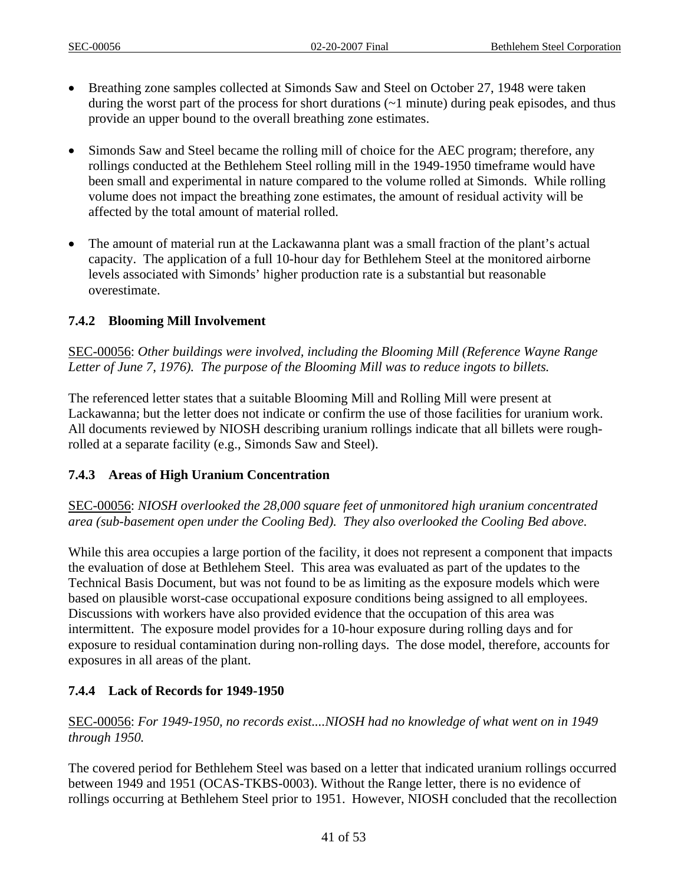- Breathing zone samples collected at Simonds Saw and Steel on October 27, 1948 were taken during the worst part of the process for short durations (~1 minute) during peak episodes, and thus provide an upper bound to the overall breathing zone estimates.
- Simonds Saw and Steel became the rolling mill of choice for the AEC program; therefore, any rollings conducted at the Bethlehem Steel rolling mill in the 1949-1950 timeframe would have been small and experimental in nature compared to the volume rolled at Simonds. While rolling volume does not impact the breathing zone estimates, the amount of residual activity will be affected by the total amount of material rolled.
- The amount of material run at the Lackawanna plant was a small fraction of the plant's actual capacity. The application of a full 10-hour day for Bethlehem Steel at the monitored airborne levels associated with Simonds' higher production rate is a substantial but reasonable overestimate.

## **7.4.2 Blooming Mill Involvement**

SEC-00056: *Other buildings were involved, including the Blooming Mill (Reference Wayne Range Letter of June 7, 1976). The purpose of the Blooming Mill was to reduce ingots to billets.* 

The referenced letter states that a suitable Blooming Mill and Rolling Mill were present at Lackawanna; but the letter does not indicate or confirm the use of those facilities for uranium work. All documents reviewed by NIOSH describing uranium rollings indicate that all billets were roughrolled at a separate facility (e.g., Simonds Saw and Steel).

## **7.4.3 Areas of High Uranium Concentration**

SEC-00056: *NIOSH overlooked the 28,000 square feet of unmonitored high uranium concentrated area (sub-basement open under the Cooling Bed). They also overlooked the Cooling Bed above.* 

While this area occupies a large portion of the facility, it does not represent a component that impacts the evaluation of dose at Bethlehem Steel. This area was evaluated as part of the updates to the Technical Basis Document, but was not found to be as limiting as the exposure models which were based on plausible worst-case occupational exposure conditions being assigned to all employees. Discussions with workers have also provided evidence that the occupation of this area was intermittent. The exposure model provides for a 10-hour exposure during rolling days and for exposure to residual contamination during non-rolling days. The dose model, therefore, accounts for exposures in all areas of the plant.

## **7.4.4 Lack of Records for 1949-1950**

## SEC-00056: *For 1949-1950, no records exist....NIOSH had no knowledge of what went on in 1949 through 1950.*

The covered period for Bethlehem Steel was based on a letter that indicated uranium rollings occurred between 1949 and 1951 (OCAS-TKBS-0003). Without the Range letter, there is no evidence of rollings occurring at Bethlehem Steel prior to 1951. However, NIOSH concluded that the recollection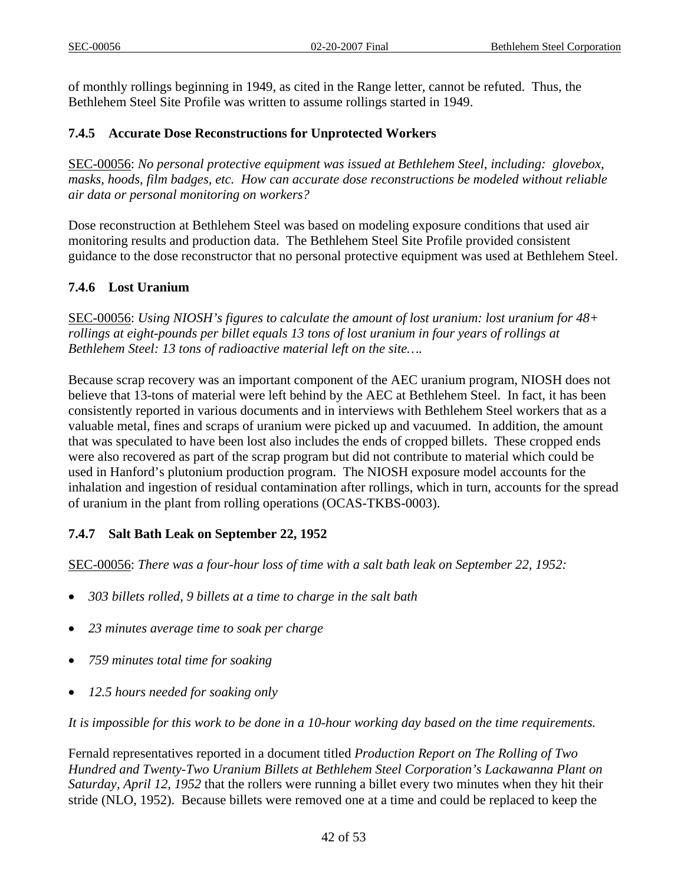of monthly rollings beginning in 1949, as cited in the Range letter, cannot be refuted. Thus, the Bethlehem Steel Site Profile was written to assume rollings started in 1949.

## **7.4.5 Accurate Dose Reconstructions for Unprotected Workers**

SEC-00056: *No personal protective equipment was issued at Bethlehem Steel, including: glovebox, masks, hoods, film badges, etc. How can accurate dose reconstructions be modeled without reliable air data or personal monitoring on workers?* 

Dose reconstruction at Bethlehem Steel was based on modeling exposure conditions that used air monitoring results and production data. The Bethlehem Steel Site Profile provided consistent guidance to the dose reconstructor that no personal protective equipment was used at Bethlehem Steel.

#### **7.4.6 Lost Uranium**

SEC-00056: *Using NIOSH's figures to calculate the amount of lost uranium: lost uranium for 48+ rollings at eight-pounds per billet equals 13 tons of lost uranium in four years of rollings at Bethlehem Steel: 13 tons of radioactive material left on the site….* 

Because scrap recovery was an important component of the AEC uranium program, NIOSH does not believe that 13-tons of material were left behind by the AEC at Bethlehem Steel. In fact, it has been consistently reported in various documents and in interviews with Bethlehem Steel workers that as a valuable metal, fines and scraps of uranium were picked up and vacuumed. In addition, the amount that was speculated to have been lost also includes the ends of cropped billets. These cropped ends were also recovered as part of the scrap program but did not contribute to material which could be used in Hanford's plutonium production program. The NIOSH exposure model accounts for the inhalation and ingestion of residual contamination after rollings, which in turn, accounts for the spread of uranium in the plant from rolling operations (OCAS-TKBS-0003).

#### **7.4.7 Salt Bath Leak on September 22, 1952**

SEC-00056: *There was a four-hour loss of time with a salt bath leak on September 22, 1952:* 

- *303 billets rolled, 9 billets at a time to charge in the salt bath*
- *23 minutes average time to soak per charge*
- *759 minutes total time for soaking*
- *12.5 hours needed for soaking only*

*It is impossible for this work to be done in a 10-hour working day based on the time requirements.* 

Fernald representatives reported in a document titled *Production Report on The Rolling of Two Hundred and Twenty-Two Uranium Billets at Bethlehem Steel Corporation's Lackawanna Plant on Saturday, April 12, 1952* that the rollers were running a billet every two minutes when they hit their stride (NLO, 1952). Because billets were removed one at a time and could be replaced to keep the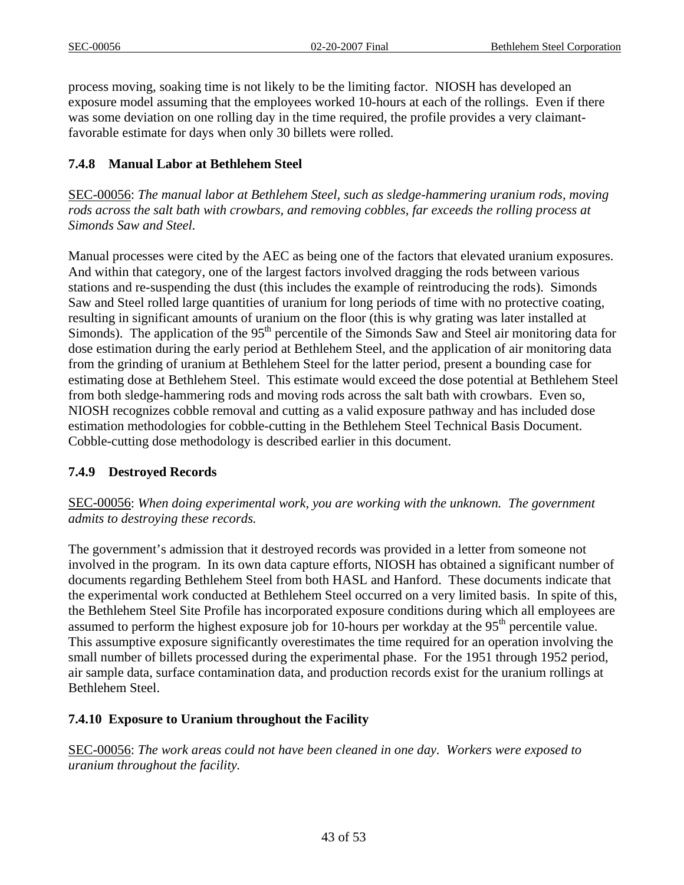process moving, soaking time is not likely to be the limiting factor. NIOSH has developed an exposure model assuming that the employees worked 10-hours at each of the rollings. Even if there was some deviation on one rolling day in the time required, the profile provides a very claimantfavorable estimate for days when only 30 billets were rolled.

#### **7.4.8 Manual Labor at Bethlehem Steel**

SEC-00056: *The manual labor at Bethlehem Steel, such as sledge-hammering uranium rods, moving rods across the salt bath with crowbars, and removing cobbles, far exceeds the rolling process at Simonds Saw and Steel.* 

Manual processes were cited by the AEC as being one of the factors that elevated uranium exposures. And within that category, one of the largest factors involved dragging the rods between various stations and re-suspending the dust (this includes the example of reintroducing the rods). Simonds Saw and Steel rolled large quantities of uranium for long periods of time with no protective coating, resulting in significant amounts of uranium on the floor (this is why grating was later installed at Simonds). The application of the 95<sup>th</sup> percentile of the Simonds Saw and Steel air monitoring data for dose estimation during the early period at Bethlehem Steel, and the application of air monitoring data from the grinding of uranium at Bethlehem Steel for the latter period, present a bounding case for estimating dose at Bethlehem Steel. This estimate would exceed the dose potential at Bethlehem Steel from both sledge-hammering rods and moving rods across the salt bath with crowbars. Even so, NIOSH recognizes cobble removal and cutting as a valid exposure pathway and has included dose estimation methodologies for cobble-cutting in the Bethlehem Steel Technical Basis Document. Cobble-cutting dose methodology is described earlier in this document.

#### **7.4.9 Destroyed Records**

SEC-00056: *When doing experimental work, you are working with the unknown. The government admits to destroying these records.* 

The government's admission that it destroyed records was provided in a letter from someone not involved in the program. In its own data capture efforts, NIOSH has obtained a significant number of documents regarding Bethlehem Steel from both HASL and Hanford. These documents indicate that the experimental work conducted at Bethlehem Steel occurred on a very limited basis. In spite of this, the Bethlehem Steel Site Profile has incorporated exposure conditions during which all employees are assumed to perform the highest exposure job for 10-hours per workday at the 95<sup>th</sup> percentile value. This assumptive exposure significantly overestimates the time required for an operation involving the small number of billets processed during the experimental phase. For the 1951 through 1952 period, air sample data, surface contamination data, and production records exist for the uranium rollings at Bethlehem Steel.

#### **7.4.10 Exposure to Uranium throughout the Facility**

SEC-00056: *The work areas could not have been cleaned in one day. Workers were exposed to uranium throughout the facility.*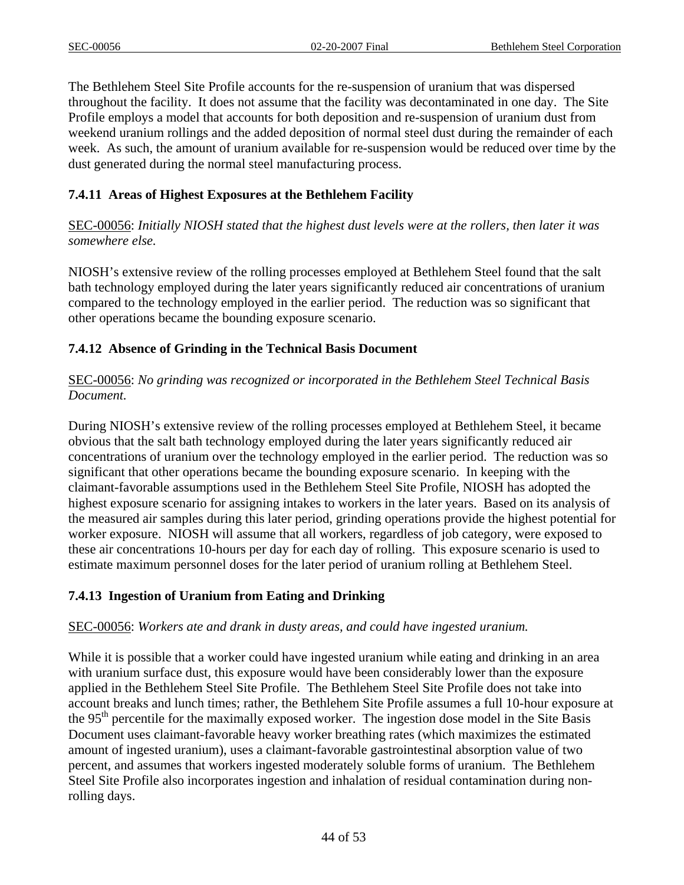The Bethlehem Steel Site Profile accounts for the re-suspension of uranium that was dispersed throughout the facility. It does not assume that the facility was decontaminated in one day. The Site Profile employs a model that accounts for both deposition and re-suspension of uranium dust from weekend uranium rollings and the added deposition of normal steel dust during the remainder of each week. As such, the amount of uranium available for re-suspension would be reduced over time by the dust generated during the normal steel manufacturing process.

#### **7.4.11 Areas of Highest Exposures at the Bethlehem Facility**

SEC-00056: *Initially NIOSH stated that the highest dust levels were at the rollers, then later it was somewhere else.* 

NIOSH's extensive review of the rolling processes employed at Bethlehem Steel found that the salt bath technology employed during the later years significantly reduced air concentrations of uranium compared to the technology employed in the earlier period. The reduction was so significant that other operations became the bounding exposure scenario.

#### **7.4.12 Absence of Grinding in the Technical Basis Document**

SEC-00056: *No grinding was recognized or incorporated in the Bethlehem Steel Technical Basis Document.* 

During NIOSH's extensive review of the rolling processes employed at Bethlehem Steel, it became obvious that the salt bath technology employed during the later years significantly reduced air concentrations of uranium over the technology employed in the earlier period. The reduction was so significant that other operations became the bounding exposure scenario. In keeping with the claimant-favorable assumptions used in the Bethlehem Steel Site Profile, NIOSH has adopted the highest exposure scenario for assigning intakes to workers in the later years. Based on its analysis of the measured air samples during this later period, grinding operations provide the highest potential for worker exposure. NIOSH will assume that all workers, regardless of job category, were exposed to these air concentrations 10-hours per day for each day of rolling. This exposure scenario is used to estimate maximum personnel doses for the later period of uranium rolling at Bethlehem Steel.

## **7.4.13 Ingestion of Uranium from Eating and Drinking**

#### SEC-00056: *Workers ate and drank in dusty areas, and could have ingested uranium.*

While it is possible that a worker could have ingested uranium while eating and drinking in an area with uranium surface dust, this exposure would have been considerably lower than the exposure applied in the Bethlehem Steel Site Profile. The Bethlehem Steel Site Profile does not take into account breaks and lunch times; rather, the Bethlehem Site Profile assumes a full 10-hour exposure at the 95<sup>th</sup> percentile for the maximally exposed worker. The ingestion dose model in the Site Basis Document uses claimant-favorable heavy worker breathing rates (which maximizes the estimated amount of ingested uranium), uses a claimant-favorable gastrointestinal absorption value of two percent, and assumes that workers ingested moderately soluble forms of uranium. The Bethlehem Steel Site Profile also incorporates ingestion and inhalation of residual contamination during nonrolling days.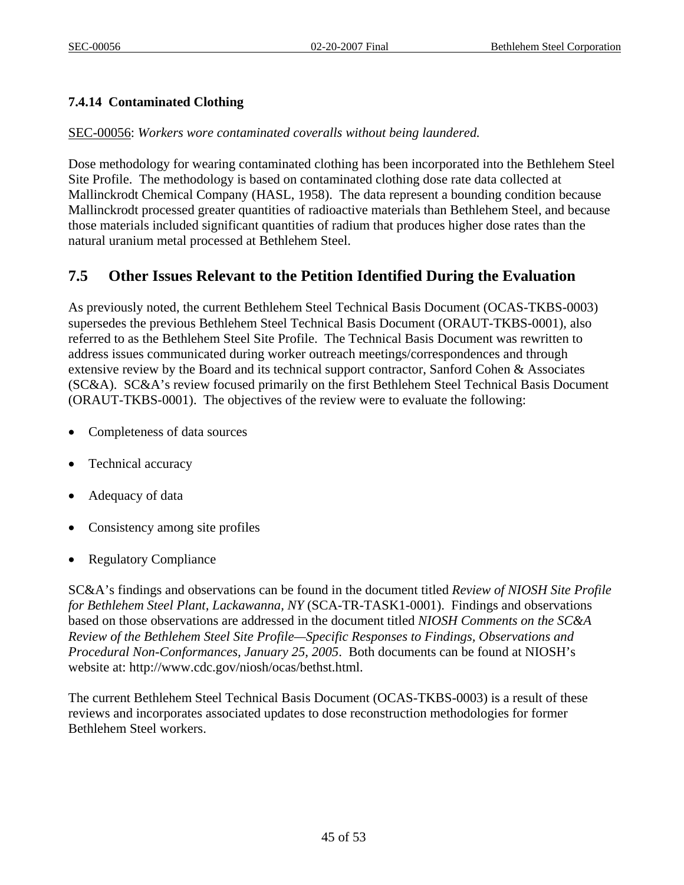## **7.4.14 Contaminated Clothing**

#### SEC-00056: *Workers wore contaminated coveralls without being laundered.*

Dose methodology for wearing contaminated clothing has been incorporated into the Bethlehem Steel Site Profile. The methodology is based on contaminated clothing dose rate data collected at Mallinckrodt Chemical Company (HASL, 1958). The data represent a bounding condition because Mallinckrodt processed greater quantities of radioactive materials than Bethlehem Steel, and because those materials included significant quantities of radium that produces higher dose rates than the natural uranium metal processed at Bethlehem Steel.

## **7.5 Other Issues Relevant to the Petition Identified During the Evaluation**

As previously noted, the current Bethlehem Steel Technical Basis Document (OCAS-TKBS-0003) supersedes the previous Bethlehem Steel Technical Basis Document (ORAUT-TKBS-0001), also referred to as the Bethlehem Steel Site Profile. The Technical Basis Document was rewritten to address issues communicated during worker outreach meetings/correspondences and through extensive review by the Board and its technical support contractor, Sanford Cohen & Associates (SC&A). SC&A's review focused primarily on the first Bethlehem Steel Technical Basis Document (ORAUT-TKBS-0001). The objectives of the review were to evaluate the following:

- Completeness of data sources
- Technical accuracy
- Adequacy of data
- Consistency among site profiles
- Regulatory Compliance

SC&A's findings and observations can be found in the document titled *Review of NIOSH Site Profile for Bethlehem Steel Plant, Lackawanna, NY* (SCA-TR-TASK1-0001). Findings and observations based on those observations are addressed in the document titled *NIOSH Comments on the SC&A Review of the Bethlehem Steel Site Profile—Specific Responses to Findings, Observations and Procedural Non-Conformances, January 25, 2005*. Both documents can be found at NIOSH's website at: http://www.cdc.gov/niosh/ocas/bethst.html.

The current Bethlehem Steel Technical Basis Document (OCAS-TKBS-0003) is a result of these reviews and incorporates associated updates to dose reconstruction methodologies for former Bethlehem Steel workers.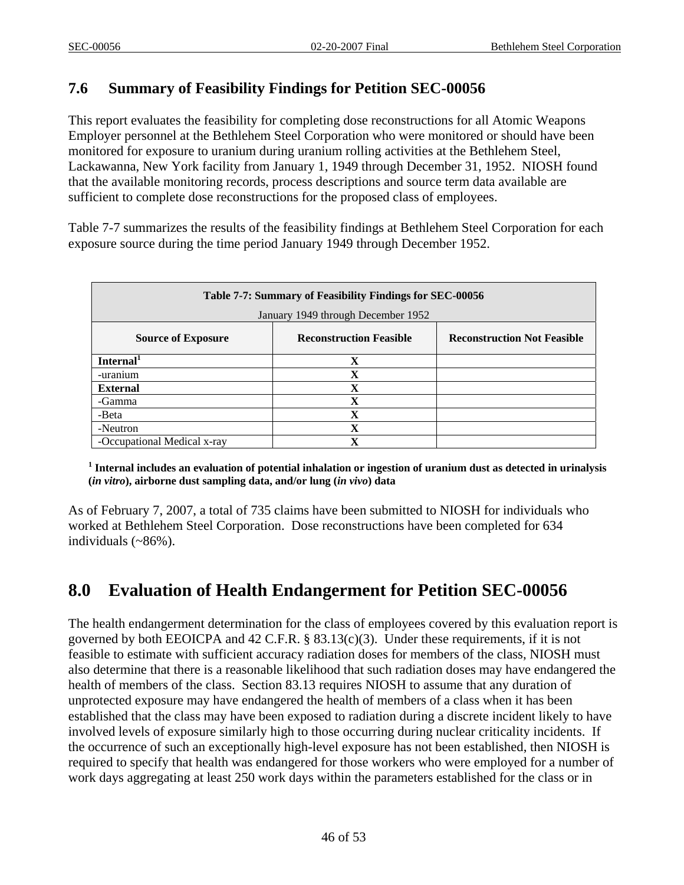## **7.6 Summary of Feasibility Findings for Petition SEC-00056**

This report evaluates the feasibility for completing dose reconstructions for all Atomic Weapons Employer personnel at the Bethlehem Steel Corporation who were monitored or should have been monitored for exposure to uranium during uranium rolling activities at the Bethlehem Steel, Lackawanna, New York facility from January 1, 1949 through December 31, 1952. NIOSH found that the available monitoring records, process descriptions and source term data available are sufficient to complete dose reconstructions for the proposed class of employees.

Table 7-7 summarizes the results of the feasibility findings at Bethlehem Steel Corporation for each exposure source during the time period January 1949 through December 1952.

| Table 7-7: Summary of Feasibility Findings for SEC-00056                                          |             |  |  |
|---------------------------------------------------------------------------------------------------|-------------|--|--|
| January 1949 through December 1952                                                                |             |  |  |
| <b>Reconstruction Feasible</b><br><b>Reconstruction Not Feasible</b><br><b>Source of Exposure</b> |             |  |  |
| Internal <sup>1</sup>                                                                             | X           |  |  |
| -uranium                                                                                          | $\mathbf X$ |  |  |
| <b>External</b>                                                                                   | X           |  |  |
| -Gamma                                                                                            | $\mathbf X$ |  |  |
| -Beta                                                                                             | $\mathbf X$ |  |  |
| -Neutron                                                                                          | $\mathbf X$ |  |  |
| -Occupational Medical x-ray                                                                       | X           |  |  |

**1 Internal includes an evaluation of potential inhalation or ingestion of uranium dust as detected in urinalysis (***in vitro***), airborne dust sampling data, and/or lung (***in vivo***) data** 

As of February 7, 2007, a total of 735 claims have been submitted to NIOSH for individuals who worked at Bethlehem Steel Corporation. Dose reconstructions have been completed for 634 individuals (~86%).

# **8.0 Evaluation of Health Endangerment for Petition SEC-00056**

The health endangerment determination for the class of employees covered by this evaluation report is governed by both EEOICPA and 42 C.F.R.  $\S$  83.13(c)(3). Under these requirements, if it is not feasible to estimate with sufficient accuracy radiation doses for members of the class, NIOSH must also determine that there is a reasonable likelihood that such radiation doses may have endangered the health of members of the class. Section 83.13 requires NIOSH to assume that any duration of unprotected exposure may have endangered the health of members of a class when it has been established that the class may have been exposed to radiation during a discrete incident likely to have involved levels of exposure similarly high to those occurring during nuclear criticality incidents. If the occurrence of such an exceptionally high-level exposure has not been established, then NIOSH is required to specify that health was endangered for those workers who were employed for a number of work days aggregating at least 250 work days within the parameters established for the class or in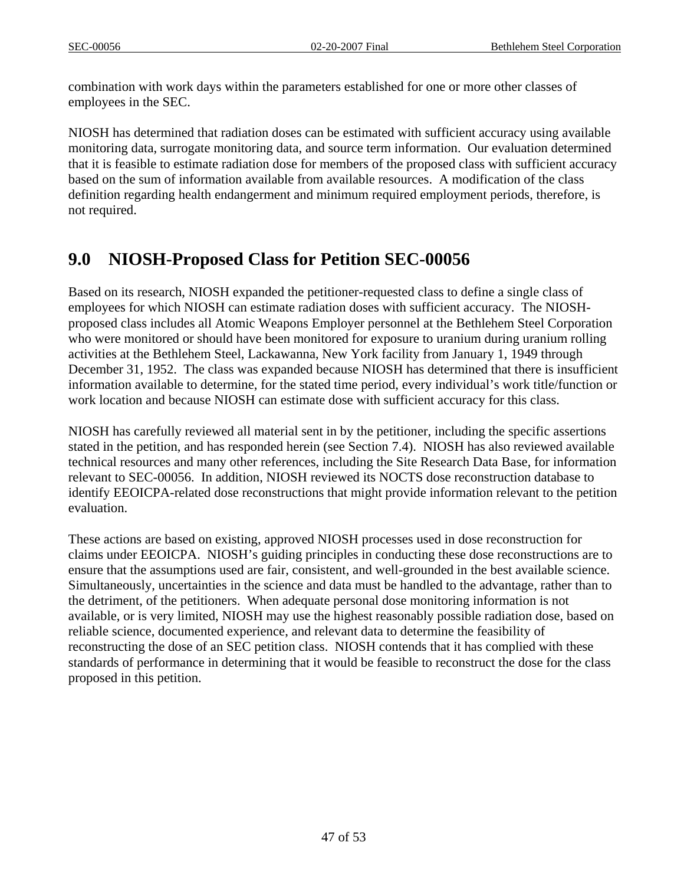combination with work days within the parameters established for one or more other classes of employees in the SEC.

NIOSH has determined that radiation doses can be estimated with sufficient accuracy using available monitoring data, surrogate monitoring data, and source term information. Our evaluation determined that it is feasible to estimate radiation dose for members of the proposed class with sufficient accuracy based on the sum of information available from available resources. A modification of the class definition regarding health endangerment and minimum required employment periods, therefore, is not required.

# **9.0 NIOSH-Proposed Class for Petition SEC-00056**

Based on its research, NIOSH expanded the petitioner-requested class to define a single class of employees for which NIOSH can estimate radiation doses with sufficient accuracy. The NIOSHproposed class includes all Atomic Weapons Employer personnel at the Bethlehem Steel Corporation who were monitored or should have been monitored for exposure to uranium during uranium rolling activities at the Bethlehem Steel, Lackawanna, New York facility from January 1, 1949 through December 31, 1952. The class was expanded because NIOSH has determined that there is insufficient information available to determine, for the stated time period, every individual's work title/function or work location and because NIOSH can estimate dose with sufficient accuracy for this class.

NIOSH has carefully reviewed all material sent in by the petitioner, including the specific assertions stated in the petition, and has responded herein (see Section 7.4). NIOSH has also reviewed available technical resources and many other references, including the Site Research Data Base, for information relevant to SEC-00056. In addition, NIOSH reviewed its NOCTS dose reconstruction database to identify EEOICPA-related dose reconstructions that might provide information relevant to the petition evaluation.

These actions are based on existing, approved NIOSH processes used in dose reconstruction for claims under EEOICPA. NIOSH's guiding principles in conducting these dose reconstructions are to ensure that the assumptions used are fair, consistent, and well-grounded in the best available science. Simultaneously, uncertainties in the science and data must be handled to the advantage, rather than to the detriment, of the petitioners. When adequate personal dose monitoring information is not available, or is very limited, NIOSH may use the highest reasonably possible radiation dose, based on reliable science, documented experience, and relevant data to determine the feasibility of reconstructing the dose of an SEC petition class. NIOSH contends that it has complied with these standards of performance in determining that it would be feasible to reconstruct the dose for the class proposed in this petition.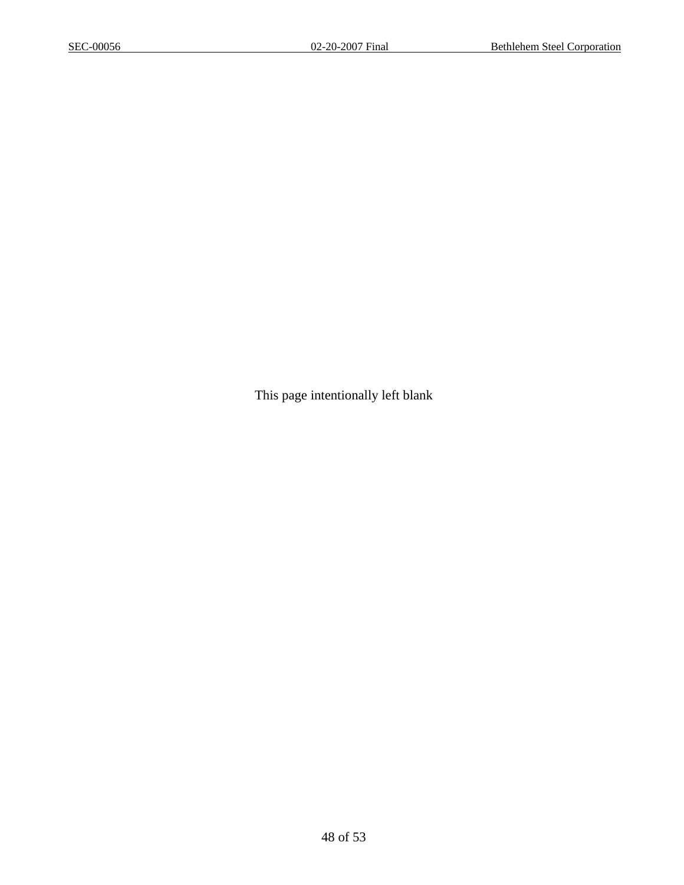This page intentionally left blank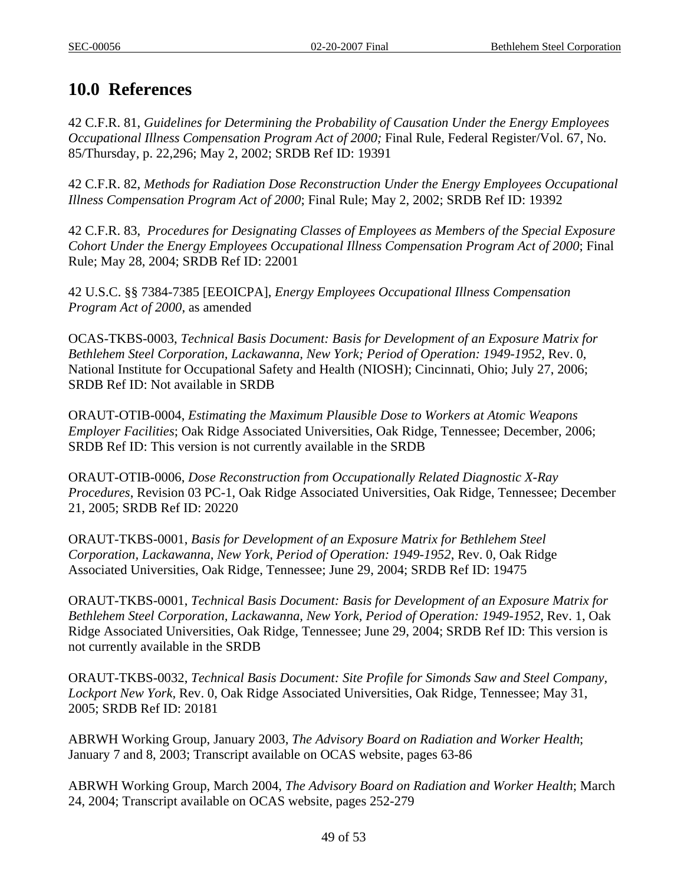# **10.0 References**

42 C.F.R. 81, *Guidelines for Determining the Probability of Causation Under the Energy Employees Occupational Illness Compensation Program Act of 2000;* Final Rule, Federal Register/Vol. 67, No. 85/Thursday, p. 22,296; May 2, 2002; SRDB Ref ID: 19391

42 C.F.R. 82, *Methods for Radiation Dose Reconstruction Under the Energy Employees Occupational Illness Compensation Program Act of 2000*; Final Rule; May 2, 2002; SRDB Ref ID: 19392

42 C.F.R. 83, *Procedures for Designating Classes of Employees as Members of the Special Exposure Cohort Under the Energy Employees Occupational Illness Compensation Program Act of 2000*; Final Rule; May 28, 2004; SRDB Ref ID: 22001

42 U.S.C. §§ 7384-7385 [EEOICPA], *Energy Employees Occupational Illness Compensation Program Act of 2000*, as amended

OCAS-TKBS-0003, *Technical Basis Document: Basis for Development of an Exposure Matrix for Bethlehem Steel Corporation, Lackawanna, New York; Period of Operation: 1949-1952*, Rev. 0, National Institute for Occupational Safety and Health (NIOSH); Cincinnati, Ohio; July 27, 2006; SRDB Ref ID: Not available in SRDB

ORAUT-OTIB-0004, *Estimating the Maximum Plausible Dose to Workers at Atomic Weapons Employer Facilities*; Oak Ridge Associated Universities, Oak Ridge, Tennessee; December, 2006; SRDB Ref ID: This version is not currently available in the SRDB

ORAUT-OTIB-0006, *Dose Reconstruction from Occupationally Related Diagnostic X-Ray Procedures*, Revision 03 PC-1, Oak Ridge Associated Universities, Oak Ridge, Tennessee; December 21, 2005; SRDB Ref ID: 20220

ORAUT-TKBS-0001, *Basis for Development of an Exposure Matrix for Bethlehem Steel Corporation, Lackawanna, New York, Period of Operation: 1949-1952*, Rev. 0, Oak Ridge Associated Universities, Oak Ridge, Tennessee; June 29, 2004; SRDB Ref ID: 19475

ORAUT-TKBS-0001, *Technical Basis Document: Basis for Development of an Exposure Matrix for Bethlehem Steel Corporation, Lackawanna, New York, Period of Operation: 1949-1952*, Rev. 1, Oak Ridge Associated Universities, Oak Ridge, Tennessee; June 29, 2004; SRDB Ref ID: This version is not currently available in the SRDB

ORAUT-TKBS-0032, *Technical Basis Document: Site Profile for Simonds Saw and Steel Company, Lockport New York,* Rev. 0, Oak Ridge Associated Universities, Oak Ridge, Tennessee; May 31, 2005; SRDB Ref ID: 20181

ABRWH Working Group, January 2003, *The Advisory Board on Radiation and Worker Health*; January 7 and 8, 2003; Transcript available on OCAS website, pages 63-86

ABRWH Working Group, March 2004, *The Advisory Board on Radiation and Worker Health*; March 24, 2004; Transcript available on OCAS website, pages 252-279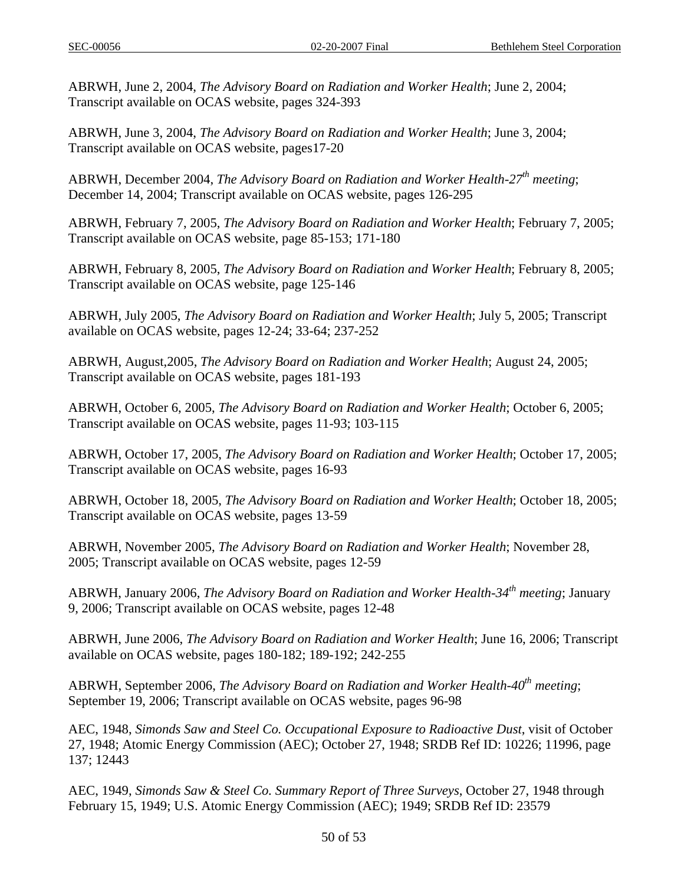ABRWH, June 2, 2004, *The Advisory Board on Radiation and Worker Health*; June 2, 2004; Transcript available on OCAS website, pages 324-393

ABRWH, June 3, 2004, *The Advisory Board on Radiation and Worker Health*; June 3, 2004; Transcript available on OCAS website, pages17-20

ABRWH, December 2004, *The Advisory Board on Radiation and Worker Health-27<sup>th</sup> meeting*; December 14, 2004; Transcript available on OCAS website, pages 126-295

ABRWH, February 7, 2005, *The Advisory Board on Radiation and Worker Health*; February 7, 2005; Transcript available on OCAS website, page 85-153; 171-180

ABRWH, February 8, 2005, *The Advisory Board on Radiation and Worker Health*; February 8, 2005; Transcript available on OCAS website, page 125-146

ABRWH, July 2005, *The Advisory Board on Radiation and Worker Health*; July 5, 2005; Transcript available on OCAS website, pages 12-24; 33-64; 237-252

ABRWH, August,2005, *The Advisory Board on Radiation and Worker Health*; August 24, 2005; Transcript available on OCAS website, pages 181-193

ABRWH, October 6, 2005, *The Advisory Board on Radiation and Worker Health*; October 6, 2005; Transcript available on OCAS website, pages 11-93; 103-115

ABRWH, October 17, 2005, *The Advisory Board on Radiation and Worker Health*; October 17, 2005; Transcript available on OCAS website, pages 16-93

ABRWH, October 18, 2005, *The Advisory Board on Radiation and Worker Health*; October 18, 2005; Transcript available on OCAS website, pages 13-59

ABRWH, November 2005, *The Advisory Board on Radiation and Worker Health*; November 28, 2005; Transcript available on OCAS website, pages 12-59

ABRWH, January 2006, *The Advisory Board on Radiation and Worker Health-34th meeting*; January 9, 2006; Transcript available on OCAS website, pages 12-48

ABRWH, June 2006, *The Advisory Board on Radiation and Worker Health*; June 16, 2006; Transcript available on OCAS website, pages 180-182; 189-192; 242-255

ABRWH, September 2006, *The Advisory Board on Radiation and Worker Health-40<sup>th</sup> meeting*; September 19, 2006; Transcript available on OCAS website, pages 96-98

AEC, 1948, *Simonds Saw and Steel Co. Occupational Exposure to Radioactive Dust*, visit of October 27, 1948; Atomic Energy Commission (AEC); October 27, 1948; SRDB Ref ID: 10226; 11996, page 137; 12443

AEC, 1949, *Simonds Saw & Steel Co. Summary Report of Three Surveys*, October 27, 1948 through February 15, 1949; U.S. Atomic Energy Commission (AEC); 1949; SRDB Ref ID: 23579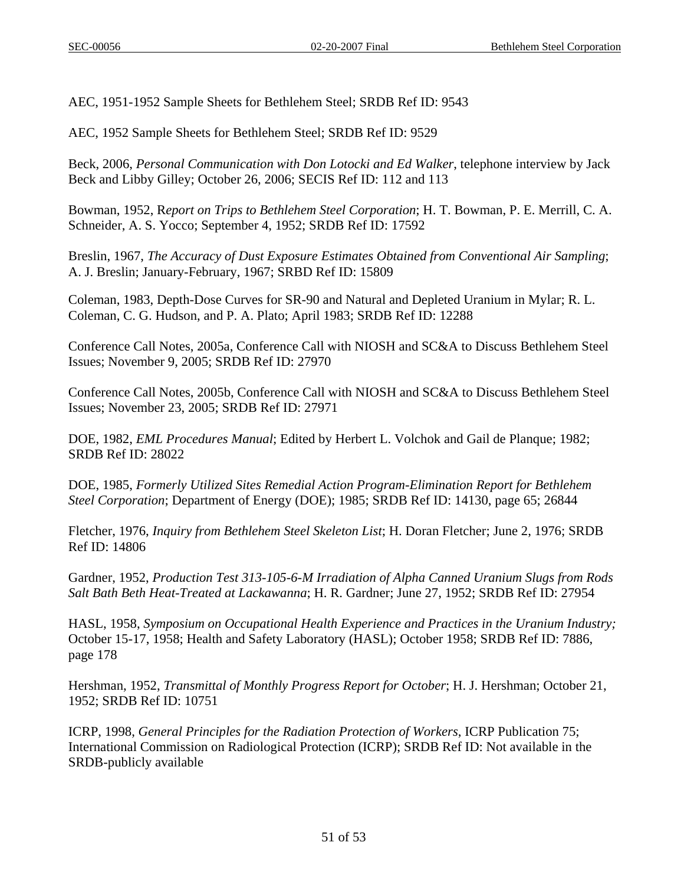AEC, 1951-1952 Sample Sheets for Bethlehem Steel; SRDB Ref ID: 9543

AEC, 1952 Sample Sheets for Bethlehem Steel; SRDB Ref ID: 9529

Beck, 2006, *Personal Communication with Don Lotocki and Ed Walker*, telephone interview by Jack Beck and Libby Gilley; October 26, 2006; SECIS Ref ID: 112 and 113

Bowman, 1952, R*eport on Trips to Bethlehem Steel Corporation*; H. T. Bowman, P. E. Merrill, C. A. Schneider, A. S. Yocco; September 4, 1952; SRDB Ref ID: 17592

Breslin, 1967, *The Accuracy of Dust Exposure Estimates Obtained from Conventional Air Sampling*; A. J. Breslin; January-February, 1967; SRBD Ref ID: 15809

Coleman, 1983, Depth-Dose Curves for SR-90 and Natural and Depleted Uranium in Mylar; R. L. Coleman, C. G. Hudson, and P. A. Plato; April 1983; SRDB Ref ID: 12288

Conference Call Notes, 2005a, Conference Call with NIOSH and SC&A to Discuss Bethlehem Steel Issues; November 9, 2005; SRDB Ref ID: 27970

Conference Call Notes, 2005b, Conference Call with NIOSH and SC&A to Discuss Bethlehem Steel Issues; November 23, 2005; SRDB Ref ID: 27971

DOE, 1982, *EML Procedures Manual*; Edited by Herbert L. Volchok and Gail de Planque; 1982; SRDB Ref ID: 28022

DOE, 1985, *Formerly Utilized Sites Remedial Action Program-Elimination Report for Bethlehem Steel Corporation*; Department of Energy (DOE); 1985; SRDB Ref ID: 14130, page 65; 26844

Fletcher, 1976, *Inquiry from Bethlehem Steel Skeleton List*; H. Doran Fletcher; June 2, 1976; SRDB Ref ID: 14806

Gardner, 1952, *Production Test 313-105-6-M Irradiation of Alpha Canned Uranium Slugs from Rods Salt Bath Beth Heat-Treated at Lackawanna*; H. R. Gardner; June 27, 1952; SRDB Ref ID: 27954

HASL, 1958, *Symposium on Occupational Health Experience and Practices in the Uranium Industry;* October 15-17, 1958; Health and Safety Laboratory (HASL); October 1958; SRDB Ref ID: 7886, page 178

Hershman, 1952, *Transmittal of Monthly Progress Report for October*; H. J. Hershman; October 21, 1952; SRDB Ref ID: 10751

ICRP, 1998, *General Principles for the Radiation Protection of Workers*, ICRP Publication 75; International Commission on Radiological Protection (ICRP); SRDB Ref ID: Not available in the SRDB-publicly available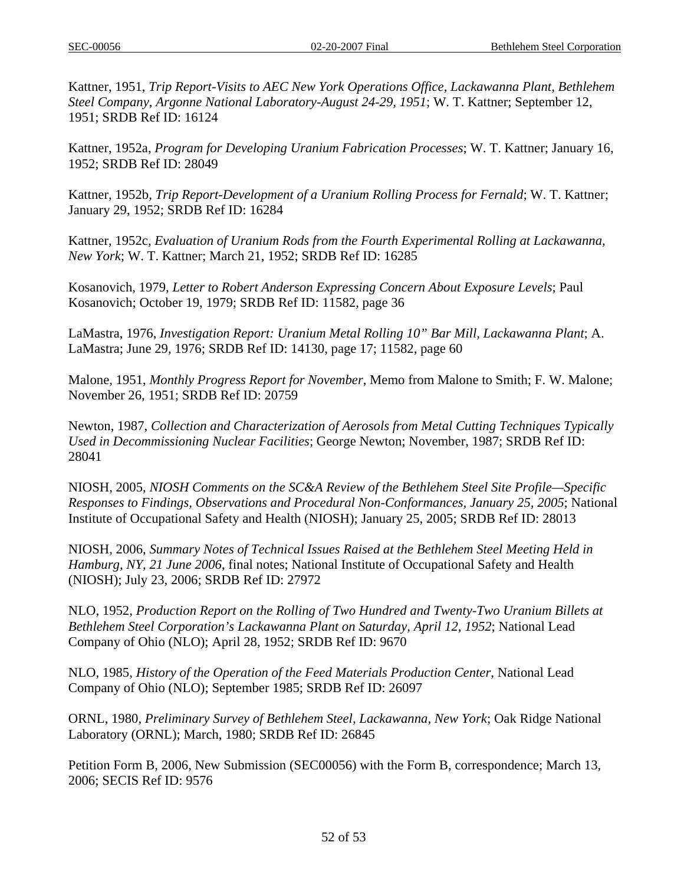Kattner, 1951, *Trip Report-Visits to AEC New York Operations Office, Lackawanna Plant, Bethlehem Steel Company, Argonne National Laboratory-August 24-29, 1951*; W. T. Kattner; September 12, 1951; SRDB Ref ID: 16124

Kattner, 1952a, *Program for Developing Uranium Fabrication Processes*; W. T. Kattner; January 16, 1952; SRDB Ref ID: 28049

Kattner, 1952b, *Trip Report-Development of a Uranium Rolling Process for Fernald*; W. T. Kattner; January 29, 1952; SRDB Ref ID: 16284

Kattner, 1952c, *Evaluation of Uranium Rods from the Fourth Experimental Rolling at Lackawanna, New York*; W. T. Kattner; March 21, 1952; SRDB Ref ID: 16285

Kosanovich, 1979, *Letter to Robert Anderson Expressing Concern About Exposure Levels*; Paul Kosanovich; October 19, 1979; SRDB Ref ID: 11582, page 36

LaMastra, 1976, *Investigation Report: Uranium Metal Rolling 10" Bar Mill, Lackawanna Plant*; A. LaMastra; June 29, 1976; SRDB Ref ID: 14130, page 17; 11582, page 60

Malone, 1951, *Monthly Progress Report for November*, Memo from Malone to Smith; F. W. Malone; November 26, 1951; SRDB Ref ID: 20759

Newton, 1987, *Collection and Characterization of Aerosols from Metal Cutting Techniques Typically Used in Decommissioning Nuclear Facilities*; George Newton; November, 1987; SRDB Ref ID: 28041

NIOSH, 2005, *NIOSH Comments on the SC&A Review of the Bethlehem Steel Site Profile—Specific Responses to Findings, Observations and Procedural Non-Conformances, January 25, 2005*; National Institute of Occupational Safety and Health (NIOSH); January 25, 2005; SRDB Ref ID: 28013

NIOSH, 2006, *Summary Notes of Technical Issues Raised at the Bethlehem Steel Meeting Held in Hamburg, NY, 21 June 2006*, final notes; National Institute of Occupational Safety and Health (NIOSH); July 23, 2006; SRDB Ref ID: 27972

NLO, 1952, *Production Report on the Rolling of Two Hundred and Twenty-Two Uranium Billets at Bethlehem Steel Corporation's Lackawanna Plant on Saturday, April 12, 1952*; National Lead Company of Ohio (NLO); April 28, 1952; SRDB Ref ID: 9670

NLO, 1985, *History of the Operation of the Feed Materials Production Center*, National Lead Company of Ohio (NLO); September 1985; SRDB Ref ID: 26097

ORNL, 1980, *Preliminary Survey of Bethlehem Steel, Lackawanna, New York*; Oak Ridge National Laboratory (ORNL); March, 1980; SRDB Ref ID: 26845

Petition Form B, 2006, New Submission (SEC00056) with the Form B, correspondence; March 13, 2006; SECIS Ref ID: 9576